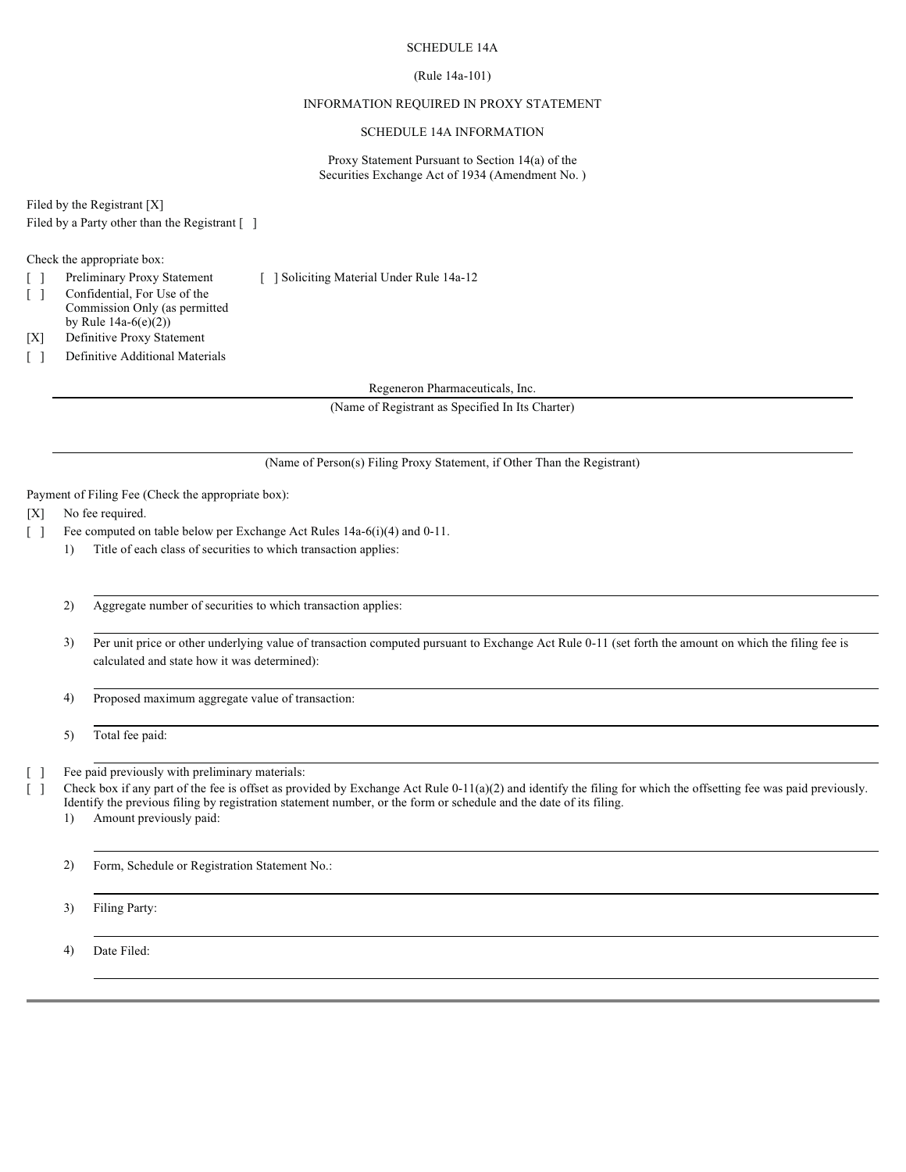#### SCHEDULE 14A

#### (Rule 14a-101)

#### INFORMATION REQUIRED IN PROXY STATEMENT

#### SCHEDULE 14A INFORMATION

Proxy Statement Pursuant to Section 14(a) of the Securities Exchange Act of 1934 (Amendment No. )

Filed by the Registrant [X] Filed by a Party other than the Registrant [ ]

Check the appropriate box:

[ ] Preliminary Proxy Statement [ ] Soliciting Material Under Rule 14a-12

[ ] Confidential, For Use of the Commission Only (as permitted by Rule 14a-6(e)(2)) [X] Definitive Proxy Statement

[ ] Definitive Additional Materials

Regeneron Pharmaceuticals, Inc.

(Name of Registrant as Specified In Its Charter)

(Name of Person(s) Filing Proxy Statement, if Other Than the Registrant)

Payment of Filing Fee (Check the appropriate box):

[X] No fee required.

- [ ] Fee computed on table below per Exchange Act Rules 14a-6(i)(4) and 0-11.
	- 1) Title of each class of securities to which transaction applies:
	- 2) Aggregate number of securities to which transaction applies:
	- 3) Per unit price or other underlying value of transaction computed pursuant to Exchange Act Rule 0-11 (set forth the amount on which the filing fee is calculated and state how it was determined):

4) Proposed maximum aggregate value of transaction:

5) Total fee paid:

] Fee paid previously with preliminary materials:

[ ] Check box if any part of the fee is offset as provided by Exchange Act Rule 0-11(a)(2) and identify the filing for which the offsetting fee was paid previously. Identify the previous filing by registration statement number, or the form or schedule and the date of its filing.

1) Amount previously paid:

2) Form, Schedule or Registration Statement No.:

3) Filing Party:

4) Date Filed: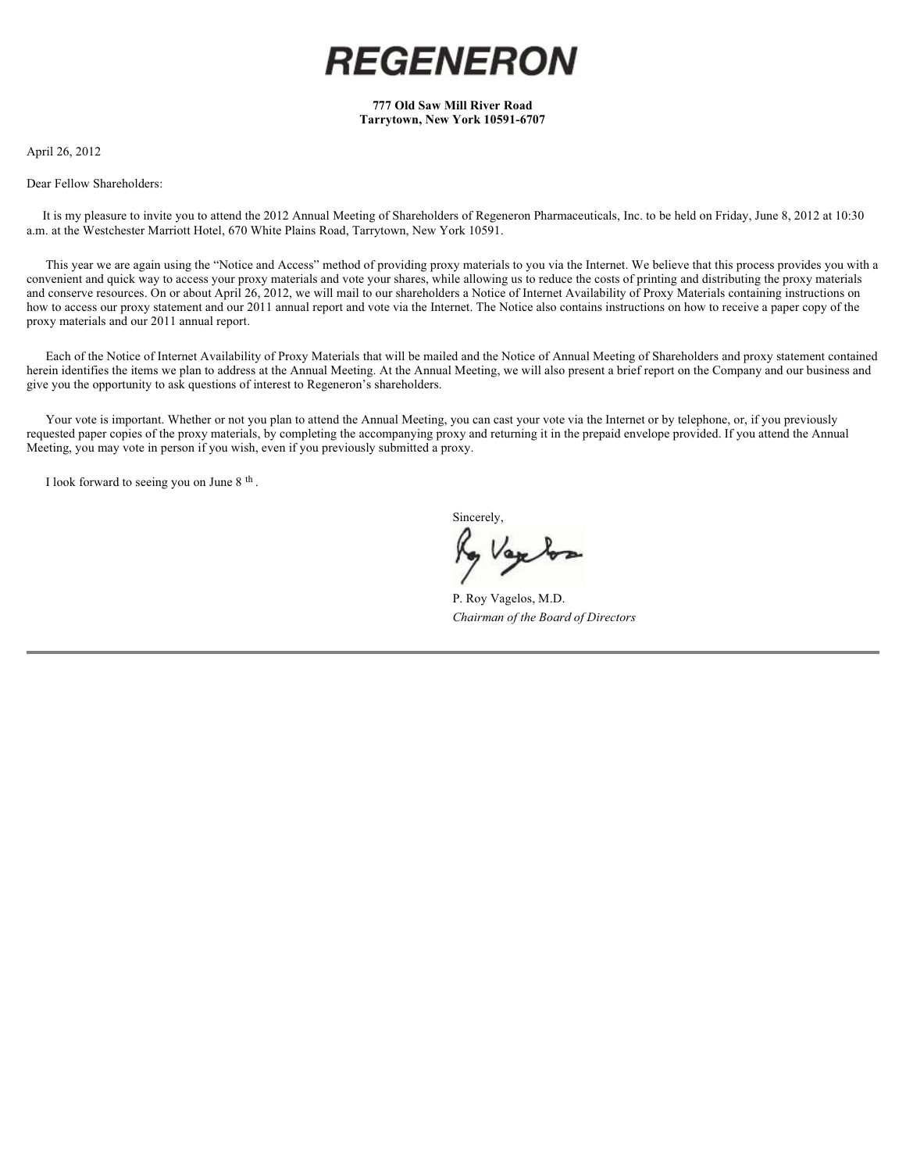# *REGENERON*

**777 Old Saw Mill River Road Tarrytown, New York 10591-6707** 

April 26, 2012

Dear Fellow Shareholders:

 It is my pleasure to invite you to attend the 2012 Annual Meeting of Shareholders of Regeneron Pharmaceuticals, Inc. to be held on Friday, June 8, 2012 at 10:30 a.m. at the Westchester Marriott Hotel, 670 White Plains Road, Tarrytown, New York 10591.

 This year we are again using the "Notice and Access" method of providing proxy materials to you via the Internet. We believe that this process provides you with a convenient and quick way to access your proxy materials and vote your shares, while allowing us to reduce the costs of printing and distributing the proxy materials and conserve resources. On or about April 26, 2012, we will mail to our shareholders a Notice of Internet Availability of Proxy Materials containing instructions on how to access our proxy statement and our 2011 annual report and vote via the Internet. The Notice also contains instructions on how to receive a paper copy of the proxy materials and our 2011 annual report.

 Each of the Notice of Internet Availability of Proxy Materials that will be mailed and the Notice of Annual Meeting of Shareholders and proxy statement contained herein identifies the items we plan to address at the Annual Meeting. At the Annual Meeting, we will also present a brief report on the Company and our business and give you the opportunity to ask questions of interest to Regeneron's shareholders.

Your vote is important. Whether or not you plan to attend the Annual Meeting, you can cast your vote via the Internet or by telephone, or, if you previously requested paper copies of the proxy materials, by completing the accompanying proxy and returning it in the prepaid envelope provided. If you attend the Annual Meeting, you may vote in person if you wish, even if you previously submitted a proxy.

I look forward to seeing you on June 8<sup>th</sup>.

Sincerely,

P. Roy Vagelos, M.D. *Chairman of the Board of Directors*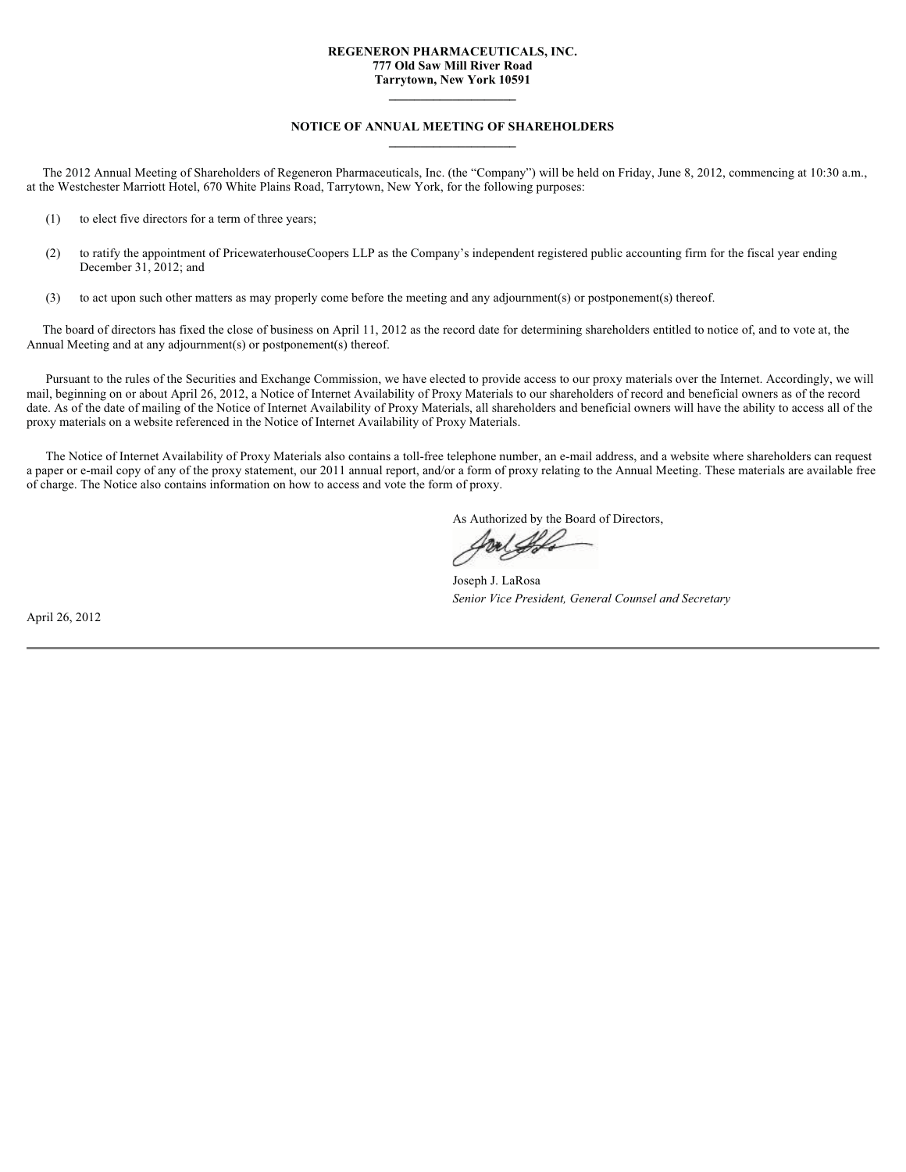#### **REGENERON PHARMACEUTICALS, INC. 777 Old Saw Mill River Road Tarrytown, New York 10591**

**\_\_\_\_\_\_\_\_\_\_\_\_\_\_\_\_\_\_\_\_** 

#### **NOTICE OF ANNUAL MEETING OF SHAREHOLDERS \_\_\_\_\_\_\_\_\_\_\_\_\_\_\_\_\_\_\_\_**

 The 2012 Annual Meeting of Shareholders of Regeneron Pharmaceuticals, Inc. (the "Company") will be held on Friday, June 8, 2012, commencing at 10:30 a.m., at the Westchester Marriott Hotel, 670 White Plains Road, Tarrytown, New York, for the following purposes:

- (1) to elect five directors for a term of three years;
- (2) to ratify the appointment of PricewaterhouseCoopers LLP as the Company's independent registered public accounting firm for the fiscal year ending December 31, 2012; and
- (3) to act upon such other matters as may properly come before the meeting and any adjournment(s) or postponement(s) thereof.

 The board of directors has fixed the close of business on April 11, 2012 as the record date for determining shareholders entitled to notice of, and to vote at, the Annual Meeting and at any adjournment(s) or postponement(s) thereof.

 Pursuant to the rules of the Securities and Exchange Commission, we have elected to provide access to our proxy materials over the Internet. Accordingly, we will mail, beginning on or about April 26, 2012, a Notice of Internet Availability of Proxy Materials to our shareholders of record and beneficial owners as of the record date. As of the date of mailing of the Notice of Internet Availability of Proxy Materials, all shareholders and beneficial owners will have the ability to access all of the proxy materials on a website referenced in the Notice of Internet Availability of Proxy Materials.

 The Notice of Internet Availability of Proxy Materials also contains a toll-free telephone number, an e-mail address, and a website where shareholders can request a paper or e-mail copy of any of the proxy statement, our 2011 annual report, and/or a form of proxy relating to the Annual Meeting. These materials are available free of charge. The Notice also contains information on how to access and vote the form of proxy.

As Authorized by the Board of Directors,

forl St

Joseph J. LaRosa *Senior Vice President, General Counsel and Secretary* 

April 26, 2012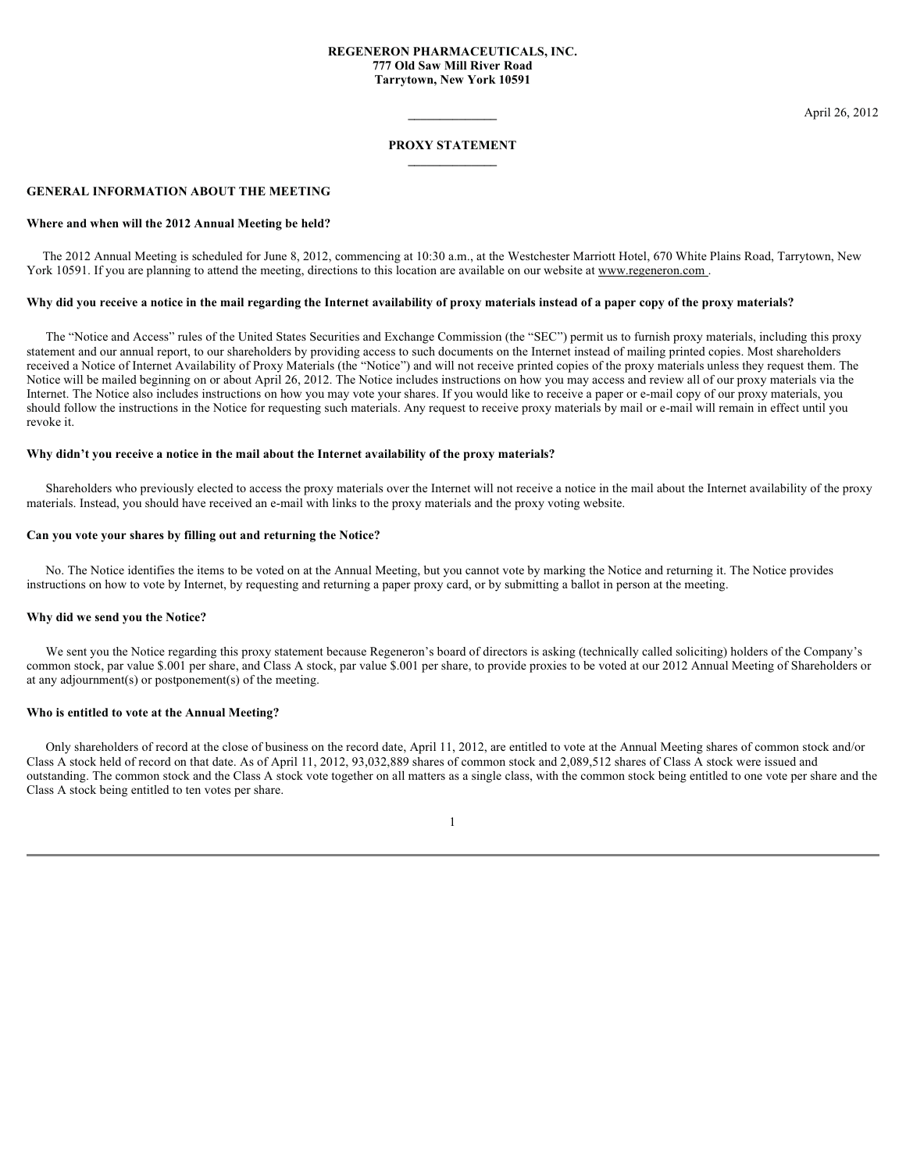#### **REGENERON PHARMACEUTICALS, INC. 777 Old Saw Mill River Road Tarrytown, New York 10591**

**\_\_\_\_\_\_\_\_\_\_\_\_\_\_** April 26, 2012

#### **PROXY STATEMENT \_\_\_\_\_\_\_\_\_\_\_\_\_\_**

#### **GENERAL INFORMATION ABOUT THE MEETING**

#### **Where and when will the 2012 Annual Meeting be held?**

 The 2012 Annual Meeting is scheduled for June 8, 2012, commencing at 10:30 a.m., at the Westchester Marriott Hotel, 670 White Plains Road, Tarrytown, New York 10591. If you are planning to attend the meeting, directions to this location are available on our website at www.regeneron.com.

#### **Why did you receive a notice in the mail regarding the Internet availability of proxy materials instead of a paper copy of the proxy materials?**

 The "Notice and Access" rules of the United States Securities and Exchange Commission (the "SEC") permit us to furnish proxy materials, including this proxy statement and our annual report, to our shareholders by providing access to such documents on the Internet instead of mailing printed copies. Most shareholders received a Notice of Internet Availability of Proxy Materials (the "Notice") and will not receive printed copies of the proxy materials unless they request them. The Notice will be mailed beginning on or about April 26, 2012. The Notice includes instructions on how you may access and review all of our proxy materials via the Internet. The Notice also includes instructions on how you may vote your shares. If you would like to receive a paper or e-mail copy of our proxy materials, you should follow the instructions in the Notice for requesting such materials. Any request to receive proxy materials by mail or e-mail will remain in effect until you revoke it.

#### **Why didn't you receive a notice in the mail about the Internet availability of the proxy materials?**

 Shareholders who previously elected to access the proxy materials over the Internet will not receive a notice in the mail about the Internet availability of the proxy materials. Instead, you should have received an e-mail with links to the proxy materials and the proxy voting website.

#### **Can you vote your shares by filling out and returning the Notice?**

 No. The Notice identifies the items to be voted on at the Annual Meeting, but you cannot vote by marking the Notice and returning it. The Notice provides instructions on how to vote by Internet, by requesting and returning a paper proxy card, or by submitting a ballot in person at the meeting.

#### **Why did we send you the Notice?**

 We sent you the Notice regarding this proxy statement because Regeneron's board of directors is asking (technically called soliciting) holders of the Company's common stock, par value \$.001 per share, and Class A stock, par value \$.001 per share, to provide proxies to be voted at our 2012 Annual Meeting of Shareholders or at any adjournment(s) or postponement(s) of the meeting.

#### **Who is entitled to vote at the Annual Meeting?**

 Only shareholders of record at the close of business on the record date, April 11, 2012, are entitled to vote at the Annual Meeting shares of common stock and/or Class A stock held of record on that date. As of April 11, 2012, 93,032,889 shares of common stock and 2,089,512 shares of Class A stock were issued and outstanding. The common stock and the Class A stock vote together on all matters as a single class, with the common stock being entitled to one vote per share and the Class A stock being entitled to ten votes per share.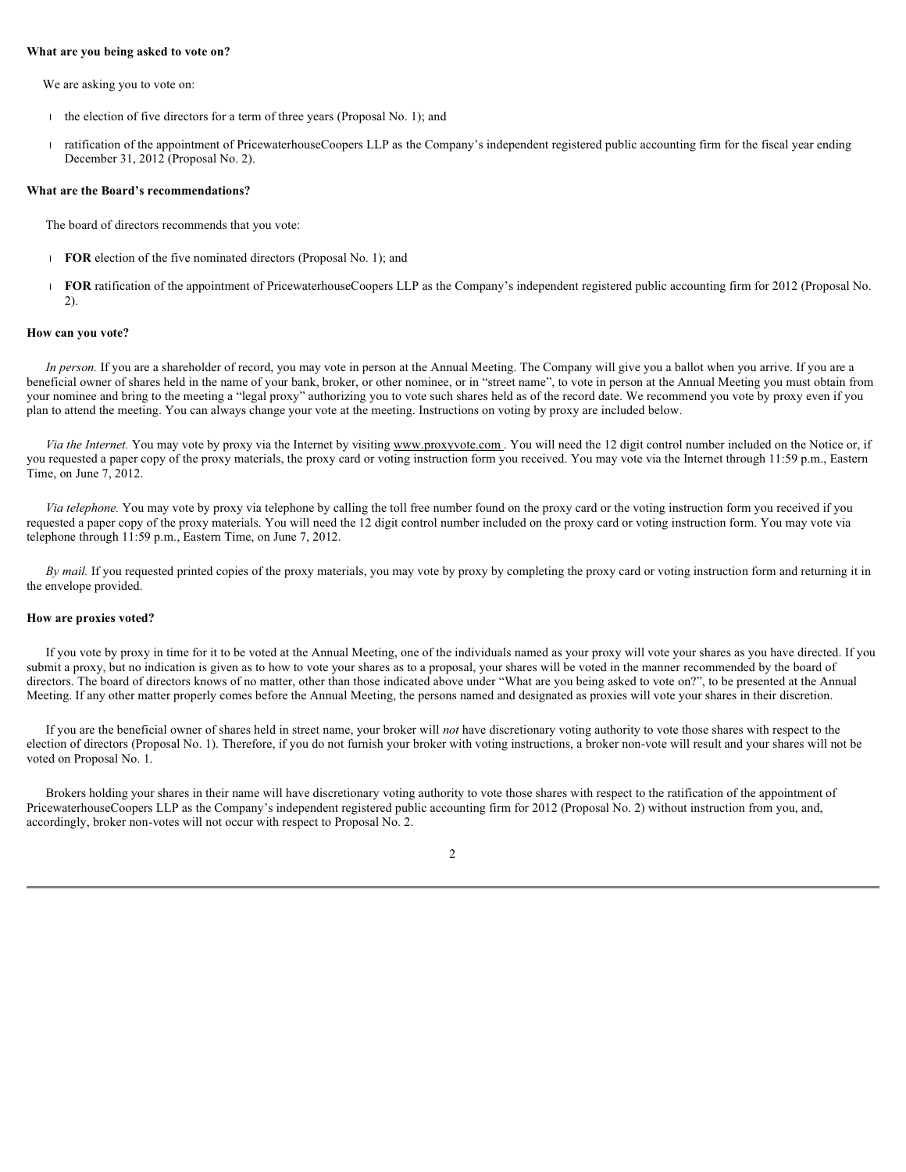#### **What are you being asked to vote on?**

We are asking you to vote on:

- l the election of five directors for a term of three years (Proposal No. 1); and
- ratification of the appointment of PricewaterhouseCoopers LLP as the Company's independent registered public accounting firm for the fiscal year ending December 31, 2012 (Proposal No. 2).

#### **What are the Board's recommendations?**

The board of directors recommends that you vote:

- <sup>l</sup> **FOR** election of the five nominated directors (Proposal No. 1); and
- <sup>l</sup> **FOR** ratification of the appointment of PricewaterhouseCoopers LLP as the Company's independent registered public accounting firm for 2012 (Proposal No. 2).

#### **How can you vote?**

 *In person.* If you are a shareholder of record, you may vote in person at the Annual Meeting. The Company will give you a ballot when you arrive. If you are a beneficial owner of shares held in the name of your bank, broker, or other nominee, or in "street name", to vote in person at the Annual Meeting you must obtain from your nominee and bring to the meeting a "legal proxy" authorizing you to vote such shares held as of the record date. We recommend you vote by proxy even if you plan to attend the meeting. You can always change your vote at the meeting. Instructions on voting by proxy are included below.

 *Via the Internet.* You may vote by proxy via the Internet by visiting www.proxyvote.com . You will need the 12 digit control number included on the Notice or, if you requested a paper copy of the proxy materials, the proxy card or voting instruction form you received. You may vote via the Internet through 11:59 p.m., Eastern Time, on June 7, 2012.

 *Via telephone.* You may vote by proxy via telephone by calling the toll free number found on the proxy card or the voting instruction form you received if you requested a paper copy of the proxy materials. You will need the 12 digit control number included on the proxy card or voting instruction form. You may vote via telephone through 11:59 p.m., Eastern Time, on June 7, 2012.

 *By mail.* If you requested printed copies of the proxy materials, you may vote by proxy by completing the proxy card or voting instruction form and returning it in the envelope provided.

#### **How are proxies voted?**

 If you vote by proxy in time for it to be voted at the Annual Meeting, one of the individuals named as your proxy will vote your shares as you have directed. If you submit a proxy, but no indication is given as to how to vote your shares as to a proposal, your shares will be voted in the manner recommended by the board of directors. The board of directors knows of no matter, other than those indicated above under "What are you being asked to vote on?", to be presented at the Annual Meeting. If any other matter properly comes before the Annual Meeting, the persons named and designated as proxies will vote your shares in their discretion.

 If you are the beneficial owner of shares held in street name, your broker will *not* have discretionary voting authority to vote those shares with respect to the election of directors (Proposal No. 1). Therefore, if you do not furnish your broker with voting instructions, a broker non-vote will result and your shares will not be voted on Proposal No. 1.

 Brokers holding your shares in their name will have discretionary voting authority to vote those shares with respect to the ratification of the appointment of PricewaterhouseCoopers LLP as the Company's independent registered public accounting firm for 2012 (Proposal No. 2) without instruction from you, and, accordingly, broker non-votes will not occur with respect to Proposal No. 2.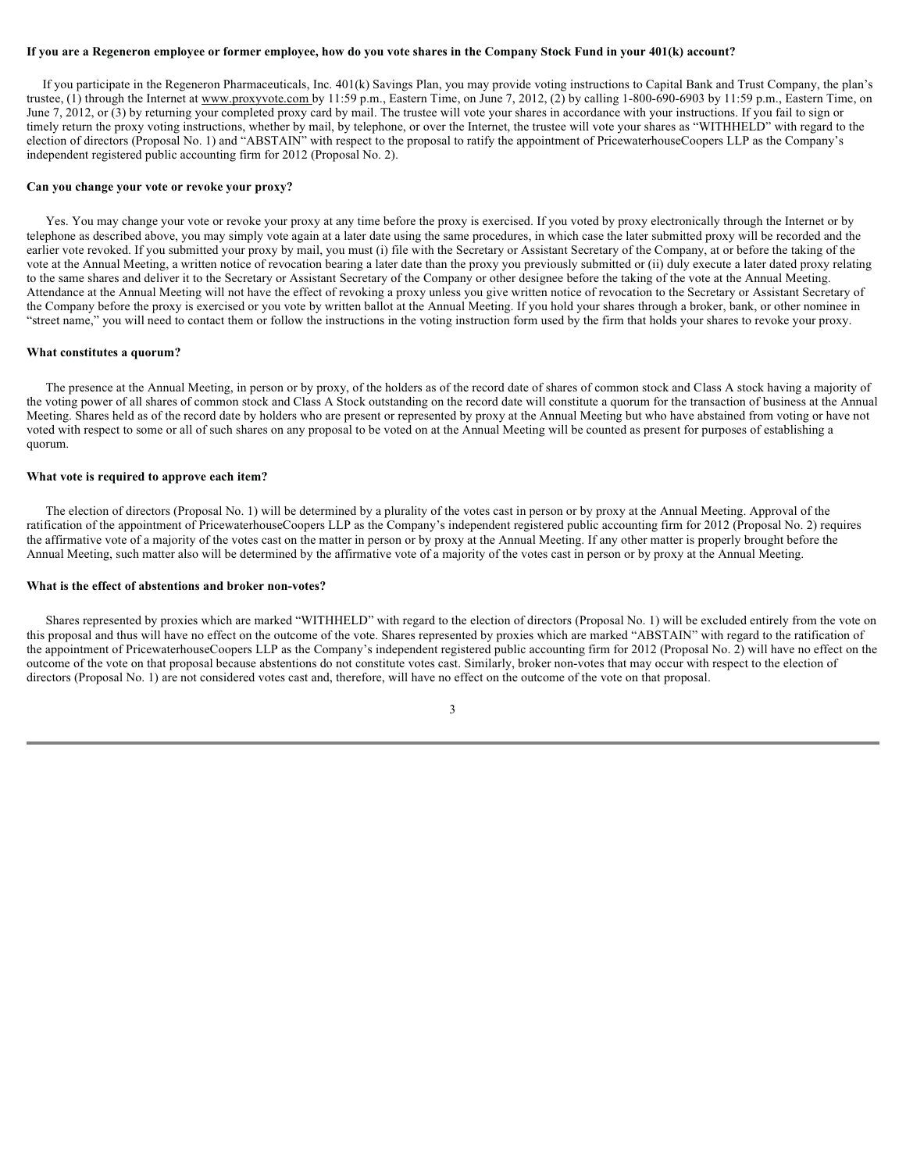#### **If you are a Regeneron employee or former employee, how do you vote shares in the Company Stock Fund in your 401(k) account?**

 If you participate in the Regeneron Pharmaceuticals, Inc. 401(k) Savings Plan, you may provide voting instructions to Capital Bank and Trust Company, the plan's trustee, (1) through the Internet at www.proxyvote.com by 11:59 p.m., Eastern Time, on June 7, 2012, (2) by calling 1-800-690-6903 by 11:59 p.m., Eastern Time, on June 7, 2012, or (3) by returning your completed proxy card by mail. The trustee will vote your shares in accordance with your instructions. If you fail to sign or timely return the proxy voting instructions, whether by mail, by telephone, or over the Internet, the trustee will vote your shares as "WITHHELD" with regard to the election of directors (Proposal No. 1) and "ABSTAIN" with respect to the proposal to ratify the appointment of PricewaterhouseCoopers LLP as the Company's independent registered public accounting firm for 2012 (Proposal No. 2).

#### **Can you change your vote or revoke your proxy?**

 Yes. You may change your vote or revoke your proxy at any time before the proxy is exercised. If you voted by proxy electronically through the Internet or by telephone as described above, you may simply vote again at a later date using the same procedures, in which case the later submitted proxy will be recorded and the earlier vote revoked. If you submitted your proxy by mail, you must (i) file with the Secretary or Assistant Secretary of the Company, at or before the taking of the vote at the Annual Meeting, a written notice of revocation bearing a later date than the proxy you previously submitted or (ii) duly execute a later dated proxy relating to the same shares and deliver it to the Secretary or Assistant Secretary of the Company or other designee before the taking of the vote at the Annual Meeting. Attendance at the Annual Meeting will not have the effect of revoking a proxy unless you give written notice of revocation to the Secretary or Assistant Secretary of the Company before the proxy is exercised or you vote by written ballot at the Annual Meeting. If you hold your shares through a broker, bank, or other nominee in "street name," you will need to contact them or follow the instructions in the voting instruction form used by the firm that holds your shares to revoke your proxy.

#### **What constitutes a quorum?**

 The presence at the Annual Meeting, in person or by proxy, of the holders as of the record date of shares of common stock and Class A stock having a majority of the voting power of all shares of common stock and Class A Stock outstanding on the record date will constitute a quorum for the transaction of business at the Annual Meeting. Shares held as of the record date by holders who are present or represented by proxy at the Annual Meeting but who have abstained from voting or have not voted with respect to some or all of such shares on any proposal to be voted on at the Annual Meeting will be counted as present for purposes of establishing a quorum.

#### **What vote is required to approve each item?**

 The election of directors (Proposal No. 1) will be determined by a plurality of the votes cast in person or by proxy at the Annual Meeting. Approval of the ratification of the appointment of PricewaterhouseCoopers LLP as the Company's independent registered public accounting firm for 2012 (Proposal No. 2) requires the affirmative vote of a majority of the votes cast on the matter in person or by proxy at the Annual Meeting. If any other matter is properly brought before the Annual Meeting, such matter also will be determined by the affirmative vote of a majority of the votes cast in person or by proxy at the Annual Meeting.

#### **What is the effect of abstentions and broker non-votes?**

 Shares represented by proxies which are marked "WITHHELD" with regard to the election of directors (Proposal No. 1) will be excluded entirely from the vote on this proposal and thus will have no effect on the outcome of the vote. Shares represented by proxies which are marked "ABSTAIN" with regard to the ratification of the appointment of PricewaterhouseCoopers LLP as the Company's independent registered public accounting firm for 2012 (Proposal No. 2) will have no effect on the outcome of the vote on that proposal because abstentions do not constitute votes cast. Similarly, broker non-votes that may occur with respect to the election of directors (Proposal No. 1) are not considered votes cast and, therefore, will have no effect on the outcome of the vote on that proposal.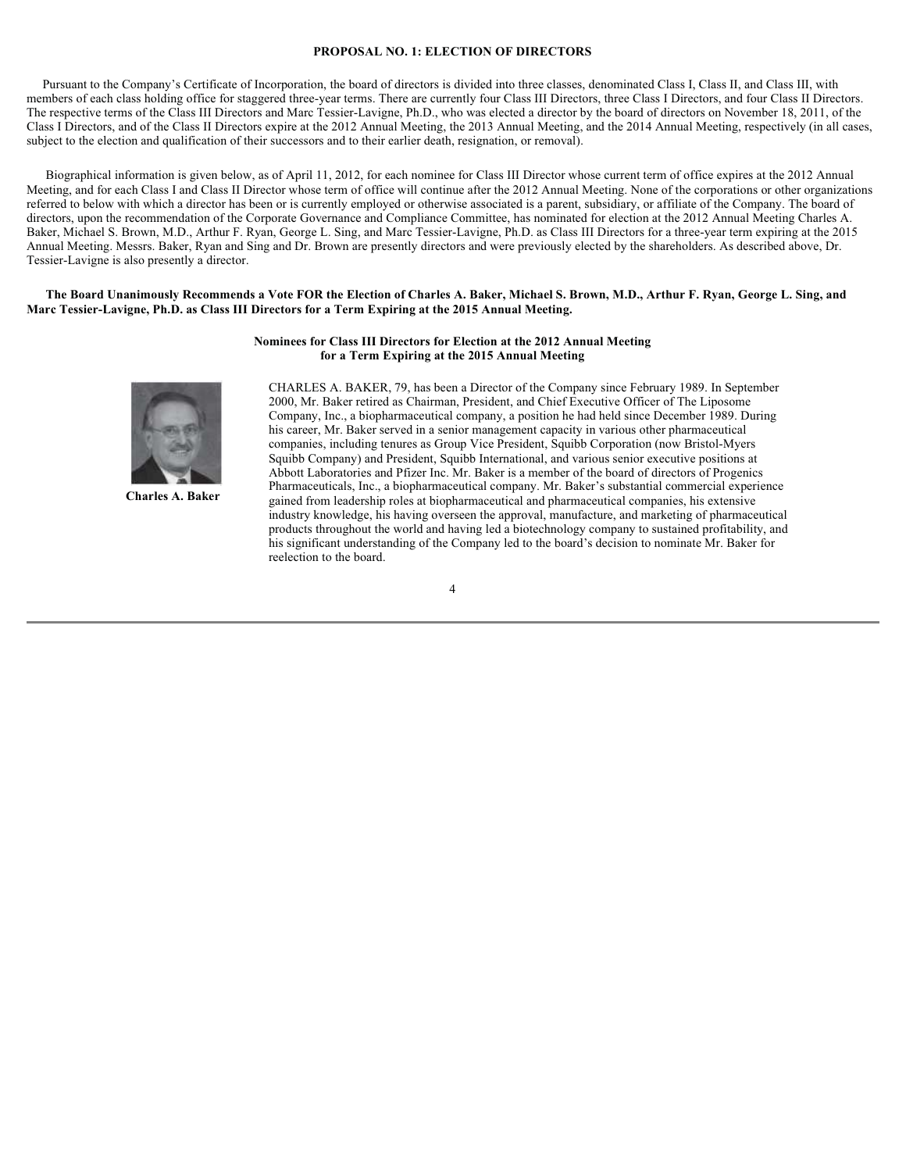#### **PROPOSAL NO. 1: ELECTION OF DIRECTORS**

 Pursuant to the Company's Certificate of Incorporation, the board of directors is divided into three classes, denominated Class I, Class II, and Class III, with members of each class holding office for staggered three-year terms. There are currently four Class III Directors, three Class I Directors, and four Class II Directors. The respective terms of the Class III Directors and Marc Tessier-Lavigne, Ph.D., who was elected a director by the board of directors on November 18, 2011, of the Class I Directors, and of the Class II Directors expire at the 2012 Annual Meeting, the 2013 Annual Meeting, and the 2014 Annual Meeting, respectively (in all cases, subject to the election and qualification of their successors and to their earlier death, resignation, or removal).

 Biographical information is given below, as of April 11, 2012, for each nominee for Class III Director whose current term of office expires at the 2012 Annual Meeting, and for each Class I and Class II Director whose term of office will continue after the 2012 Annual Meeting. None of the corporations or other organizations referred to below with which a director has been or is currently employed or otherwise associated is a parent, subsidiary, or affiliate of the Company. The board of directors, upon the recommendation of the Corporate Governance and Compliance Committee, has nominated for election at the 2012 Annual Meeting Charles A. Baker, Michael S. Brown, M.D., Arthur F. Ryan, George L. Sing, and Marc Tessier-Lavigne, Ph.D. as Class III Directors for a three-year term expiring at the 2015 Annual Meeting. Messrs. Baker, Ryan and Sing and Dr. Brown are presently directors and were previously elected by the shareholders. As described above, Dr. Tessier-Lavigne is also presently a director.

#### **The Board Unanimously Recommends a Vote FOR the Election of Charles A. Baker, Michael S. Brown, M.D., Arthur F. Ryan, George L. Sing, and Marc Tessier-Lavigne, Ph.D. as Class III Directors for a Term Expiring at the 2015 Annual Meeting.**

#### **Nominees for Class III Directors for Election at the 2012 Annual Meeting for a Term Expiring at the 2015 Annual Meeting**



**Charles A. Baker** 

CHARLES A. BAKER, 79, has been a Director of the Company since February 1989. In September 2000, Mr. Baker retired as Chairman, President, and Chief Executive Officer of The Liposome Company, Inc., a biopharmaceutical company, a position he had held since December 1989. During his career, Mr. Baker served in a senior management capacity in various other pharmaceutical companies, including tenures as Group Vice President, Squibb Corporation (now Bristol-Myers Squibb Company) and President, Squibb International, and various senior executive positions at Abbott Laboratories and Pfizer Inc. Mr. Baker is a member of the board of directors of Progenics Pharmaceuticals, Inc., a biopharmaceutical company. Mr. Baker's substantial commercial experience gained from leadership roles at biopharmaceutical and pharmaceutical companies, his extensive industry knowledge, his having overseen the approval, manufacture, and marketing of pharmaceutical products throughout the world and having led a biotechnology company to sustained profitability, and his significant understanding of the Company led to the board's decision to nominate Mr. Baker for reelection to the board.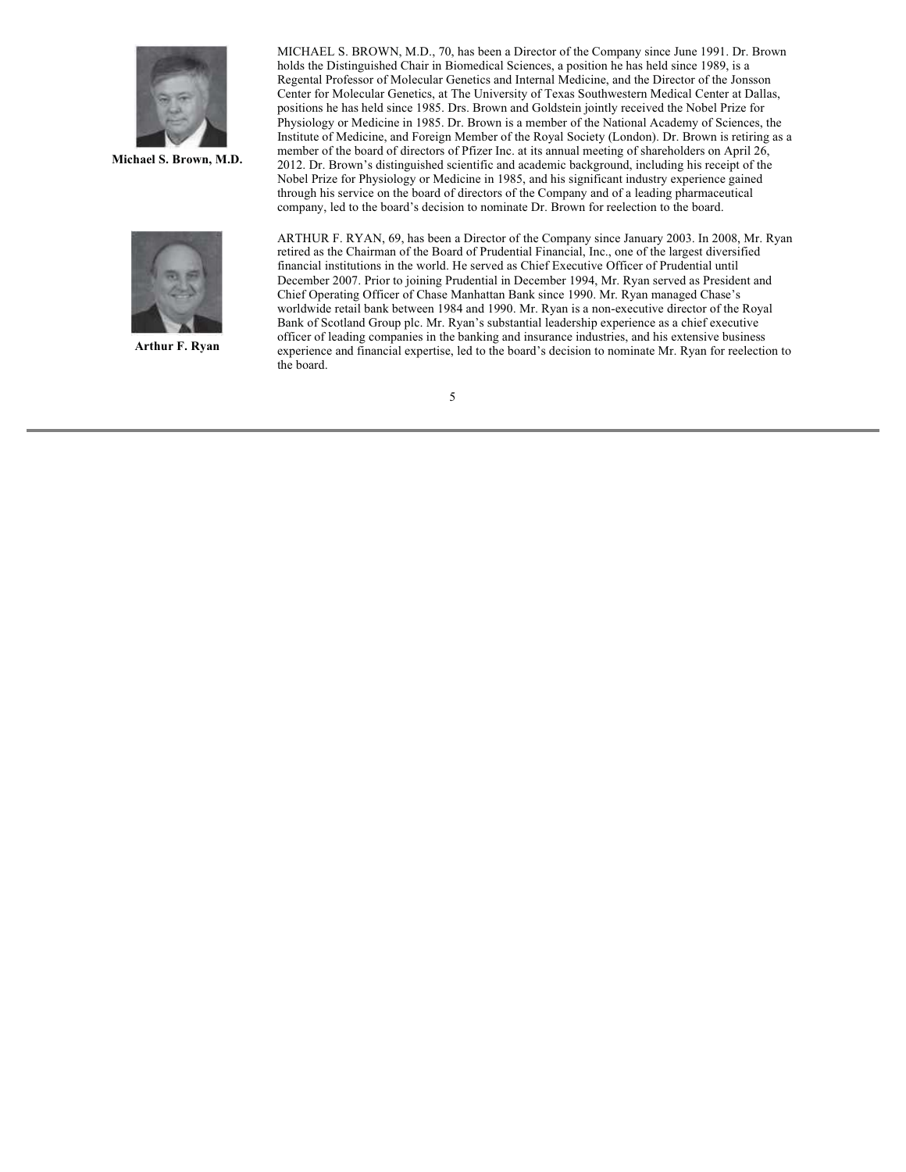

**Michael S. Brown, M.D.** 

MICHAEL S. BROWN, M.D., 70, has been a Director of the Company since June 1991. Dr. Brown holds the Distinguished Chair in Biomedical Sciences, a position he has held since 1989, is a Regental Professor of Molecular Genetics and Internal Medicine, and the Director of the Jonsson Center for Molecular Genetics, at The University of Texas Southwestern Medical Center at Dallas, positions he has held since 1985. Drs. Brown and Goldstein jointly received the Nobel Prize for Physiology or Medicine in 1985. Dr. Brown is a member of the National Academy of Sciences, the Institute of Medicine, and Foreign Member of the Royal Society (London). Dr. Brown is retiring as a member of the board of directors of Pfizer Inc. at its annual meeting of shareholders on April 26, 2012. Dr. Brown's distinguished scientific and academic background, including his receipt of the Nobel Prize for Physiology or Medicine in 1985, and his significant industry experience gained through his service on the board of directors of the Company and of a leading pharmaceutical company, led to the board's decision to nominate Dr. Brown for reelection to the board.



**Arthur F. Ryan** 

ARTHUR F. RYAN, 69, has been a Director of the Company since January 2003. In 2008, Mr. Ryan retired as the Chairman of the Board of Prudential Financial, Inc., one of the largest diversified financial institutions in the world. He served as Chief Executive Officer of Prudential until December 2007. Prior to joining Prudential in December 1994, Mr. Ryan served as President and Chief Operating Officer of Chase Manhattan Bank since 1990. Mr. Ryan managed Chase's worldwide retail bank between 1984 and 1990. Mr. Ryan is a non-executive director of the Royal Bank of Scotland Group plc. Mr. Ryan's substantial leadership experience as a chief executive officer of leading companies in the banking and insurance industries, and his extensive business experience and financial expertise, led to the board's decision to nominate Mr. Ryan for reelection to the board.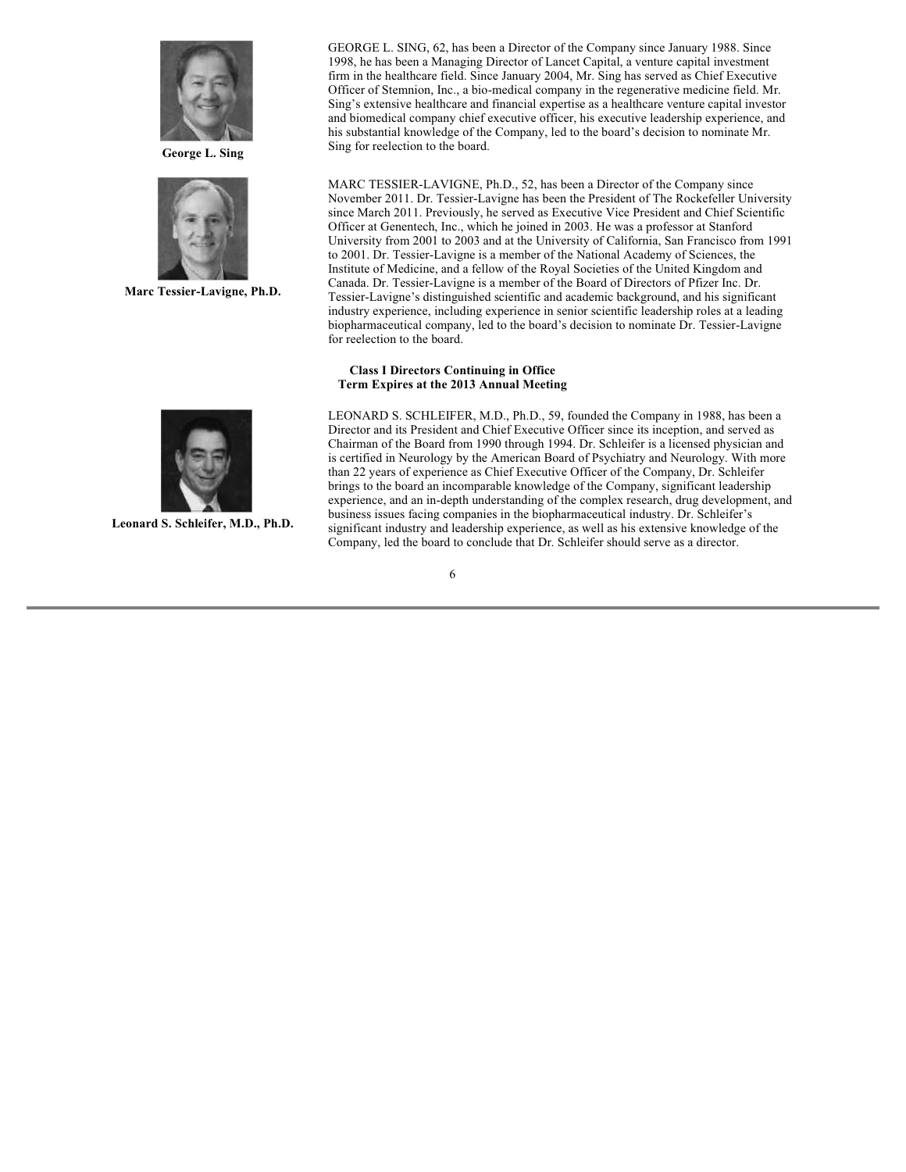

**George L. Sing**



**Marc Tessier-Lavigne, Ph.D.** 

**Leonard S. Schleifer, M.D., Ph.D.** 

GEORGE L. SING, 62, has been a Director of the Company since January 1988. Since 1998, he has been a Managing Director of Lancet Capital, a venture capital investment firm in the healthcare field. Since January 2004, Mr. Sing has served as Chief Executive Officer of Stemnion, Inc., a bio-medical company in the regenerative medicine field. Mr. Sing's extensive healthcare and financial expertise as a healthcare venture capital investor and biomedical company chief executive officer, his executive leadership experience, and his substantial knowledge of the Company, led to the board's decision to nominate Mr. Sing for reelection to the board.

MARC TESSIER-LAVIGNE, Ph.D., 52, has been a Director of the Company since November 2011. Dr. Tessier-Lavigne has been the President of The Rockefeller University since March 2011. Previously, he served as Executive Vice President and Chief Scientific Officer at Genentech, Inc., which he joined in 2003. He was a professor at Stanford University from 2001 to 2003 and at the University of California, San Francisco from 1991 to 2001. Dr. Tessier-Lavigne is a member of the National Academy of Sciences, the Institute of Medicine, and a fellow of the Royal Societies of the United Kingdom and Canada. Dr. Tessier-Lavigne is a member of the Board of Directors of Pfizer Inc. Dr. Tessier-Lavigne's distinguished scientific and academic background, and his significant industry experience, including experience in senior scientific leadership roles at a leading biopharmaceutical company, led to the board's decision to nominate Dr. Tessier-Lavigne for reelection to the board.

#### **Class I Directors Continuing in Office Term Expires at the 2013 Annual Meeting**

LEONARD S. SCHLEIFER, M.D., Ph.D., 59, founded the Company in 1988, has been a Director and its President and Chief Executive Officer since its inception, and served as Chairman of the Board from 1990 through 1994. Dr. Schleifer is a licensed physician and is certified in Neurology by the American Board of Psychiatry and Neurology. With more than 22 years of experience as Chief Executive Officer of the Company, Dr. Schleifer brings to the board an incomparable knowledge of the Company, significant leadership experience, and an in-depth understanding of the complex research, drug development, and business issues facing companies in the biopharmaceutical industry. Dr. Schleifer's significant industry and leadership experience, as well as his extensive knowledge of the Company, led the board to conclude that Dr. Schleifer should serve as a director.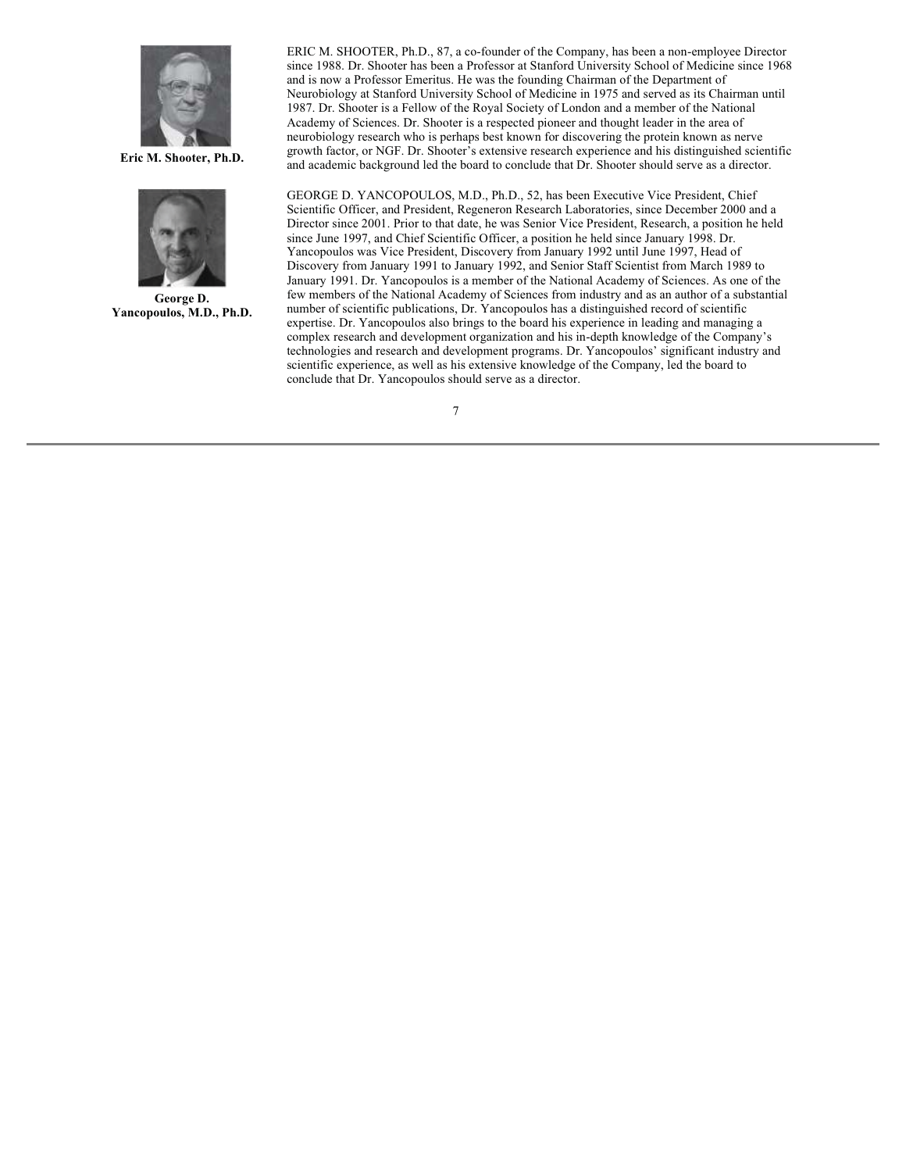

**Eric M. Shooter, Ph.D.** 



**George D. Yancopoulos, M.D., Ph.D.** 

ERIC M. SHOOTER, Ph.D., 87, a co-founder of the Company, has been a non-employee Director since 1988. Dr. Shooter has been a Professor at Stanford University School of Medicine since 1968 and is now a Professor Emeritus. He was the founding Chairman of the Department of Neurobiology at Stanford University School of Medicine in 1975 and served as its Chairman until 1987. Dr. Shooter is a Fellow of the Royal Society of London and a member of the National Academy of Sciences. Dr. Shooter is a respected pioneer and thought leader in the area of neurobiology research who is perhaps best known for discovering the protein known as nerve growth factor, or NGF. Dr. Shooter's extensive research experience and his distinguished scientific and academic background led the board to conclude that Dr. Shooter should serve as a director.

GEORGE D. YANCOPOULOS, M.D., Ph.D., 52, has been Executive Vice President, Chief Scientific Officer, and President, Regeneron Research Laboratories, since December 2000 and a Director since 2001. Prior to that date, he was Senior Vice President, Research, a position he held since June 1997, and Chief Scientific Officer, a position he held since January 1998. Dr. Yancopoulos was Vice President, Discovery from January 1992 until June 1997, Head of Discovery from January 1991 to January 1992, and Senior Staff Scientist from March 1989 to January 1991. Dr. Yancopoulos is a member of the National Academy of Sciences. As one of the few members of the National Academy of Sciences from industry and as an author of a substantial number of scientific publications, Dr. Yancopoulos has a distinguished record of scientific expertise. Dr. Yancopoulos also brings to the board his experience in leading and managing a complex research and development organization and his in-depth knowledge of the Company's technologies and research and development programs. Dr. Yancopoulos' significant industry and scientific experience, as well as his extensive knowledge of the Company, led the board to conclude that Dr. Yancopoulos should serve as a director.

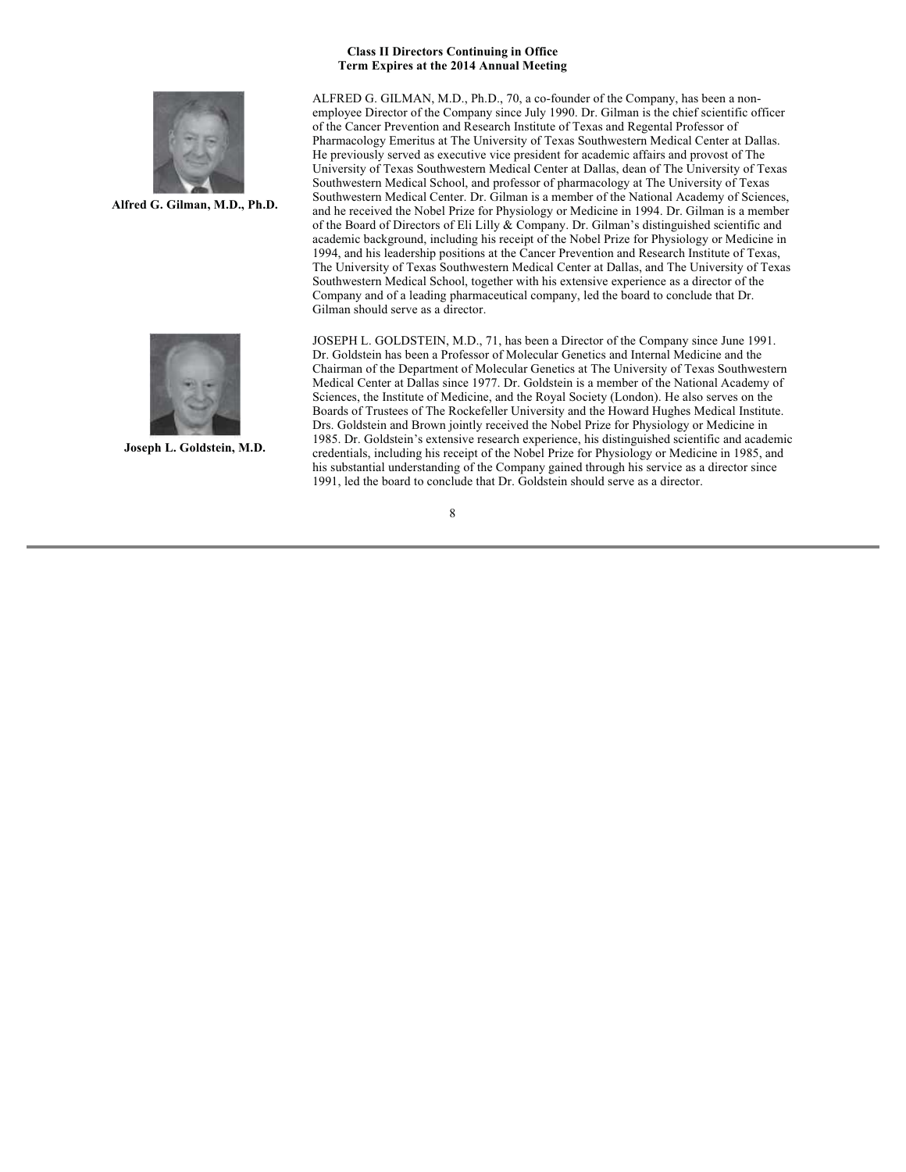

**Alfred G. Gilman, M.D., Ph.D.** 



**Joseph L. Goldstein, M.D.** 

#### **Class II Directors Continuing in Office Term Expires at the 2014 Annual Meeting**

ALFRED G. GILMAN, M.D., Ph.D., 70, a co-founder of the Company, has been a nonemployee Director of the Company since July 1990. Dr. Gilman is the chief scientific officer of the Cancer Prevention and Research Institute of Texas and Regental Professor of Pharmacology Emeritus at The University of Texas Southwestern Medical Center at Dallas. He previously served as executive vice president for academic affairs and provost of The University of Texas Southwestern Medical Center at Dallas, dean of The University of Texas Southwestern Medical School, and professor of pharmacology at The University of Texas Southwestern Medical Center. Dr. Gilman is a member of the National Academy of Sciences, and he received the Nobel Prize for Physiology or Medicine in 1994. Dr. Gilman is a member of the Board of Directors of Eli Lilly & Company. Dr. Gilman's distinguished scientific and academic background, including his receipt of the Nobel Prize for Physiology or Medicine in 1994, and his leadership positions at the Cancer Prevention and Research Institute of Texas, The University of Texas Southwestern Medical Center at Dallas, and The University of Texas Southwestern Medical School, together with his extensive experience as a director of the Company and of a leading pharmaceutical company, led the board to conclude that Dr. Gilman should serve as a director.

JOSEPH L. GOLDSTEIN, M.D., 71, has been a Director of the Company since June 1991. Dr. Goldstein has been a Professor of Molecular Genetics and Internal Medicine and the Chairman of the Department of Molecular Genetics at The University of Texas Southwestern Medical Center at Dallas since 1977. Dr. Goldstein is a member of the National Academy of Sciences, the Institute of Medicine, and the Royal Society (London). He also serves on the Boards of Trustees of The Rockefeller University and the Howard Hughes Medical Institute. Drs. Goldstein and Brown jointly received the Nobel Prize for Physiology or Medicine in 1985. Dr. Goldstein's extensive research experience, his distinguished scientific and academic credentials, including his receipt of the Nobel Prize for Physiology or Medicine in 1985, and his substantial understanding of the Company gained through his service as a director since 1991, led the board to conclude that Dr. Goldstein should serve as a director.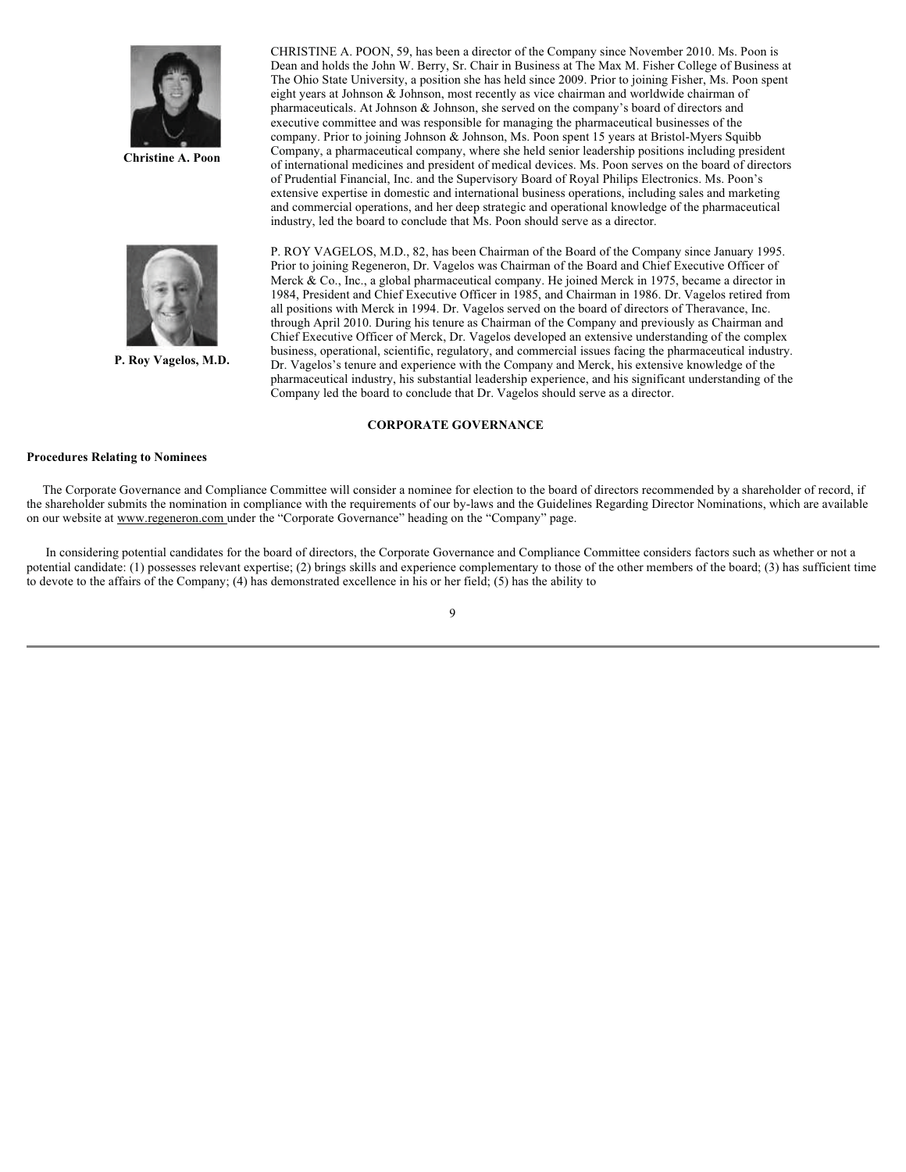

**Christine A. Poon** 

CHRISTINE A. POON, 59, has been a director of the Company since November 2010. Ms. Poon is Dean and holds the John W. Berry, Sr. Chair in Business at The Max M. Fisher College of Business at The Ohio State University, a position she has held since 2009. Prior to joining Fisher, Ms. Poon spent eight years at Johnson & Johnson, most recently as vice chairman and worldwide chairman of pharmaceuticals. At Johnson & Johnson, she served on the company's board of directors and executive committee and was responsible for managing the pharmaceutical businesses of the company. Prior to joining Johnson & Johnson, Ms. Poon spent 15 years at Bristol-Myers Squibb Company, a pharmaceutical company, where she held senior leadership positions including president of international medicines and president of medical devices. Ms. Poon serves on the board of directors of Prudential Financial, Inc. and the Supervisory Board of Royal Philips Electronics. Ms. Poon's extensive expertise in domestic and international business operations, including sales and marketing and commercial operations, and her deep strategic and operational knowledge of the pharmaceutical industry, led the board to conclude that Ms. Poon should serve as a director.



**P. Roy Vagelos, M.D.** 

P. ROY VAGELOS, M.D., 82, has been Chairman of the Board of the Company since January 1995. Prior to joining Regeneron, Dr. Vagelos was Chairman of the Board and Chief Executive Officer of Merck & Co., Inc., a global pharmaceutical company. He joined Merck in 1975, became a director in 1984, President and Chief Executive Officer in 1985, and Chairman in 1986. Dr. Vagelos retired from all positions with Merck in 1994. Dr. Vagelos served on the board of directors of Theravance, Inc. through April 2010. During his tenure as Chairman of the Company and previously as Chairman and Chief Executive Officer of Merck, Dr. Vagelos developed an extensive understanding of the complex business, operational, scientific, regulatory, and commercial issues facing the pharmaceutical industry. Dr. Vagelos's tenure and experience with the Company and Merck, his extensive knowledge of the pharmaceutical industry, his substantial leadership experience, and his significant understanding of the Company led the board to conclude that Dr. Vagelos should serve as a director.

#### **CORPORATE GOVERNANCE**

#### **Procedures Relating to Nominees**

 The Corporate Governance and Compliance Committee will consider a nominee for election to the board of directors recommended by a shareholder of record, if the shareholder submits the nomination in compliance with the requirements of our by-laws and the Guidelines Regarding Director Nominations, which are available on our website at www.regeneron.com under the "Corporate Governance" heading on the "Company" page.

 In considering potential candidates for the board of directors, the Corporate Governance and Compliance Committee considers factors such as whether or not a potential candidate: (1) possesses relevant expertise; (2) brings skills and experience complementary to those of the other members of the board; (3) has sufficient time to devote to the affairs of the Company; (4) has demonstrated excellence in his or her field; (5) has the ability to

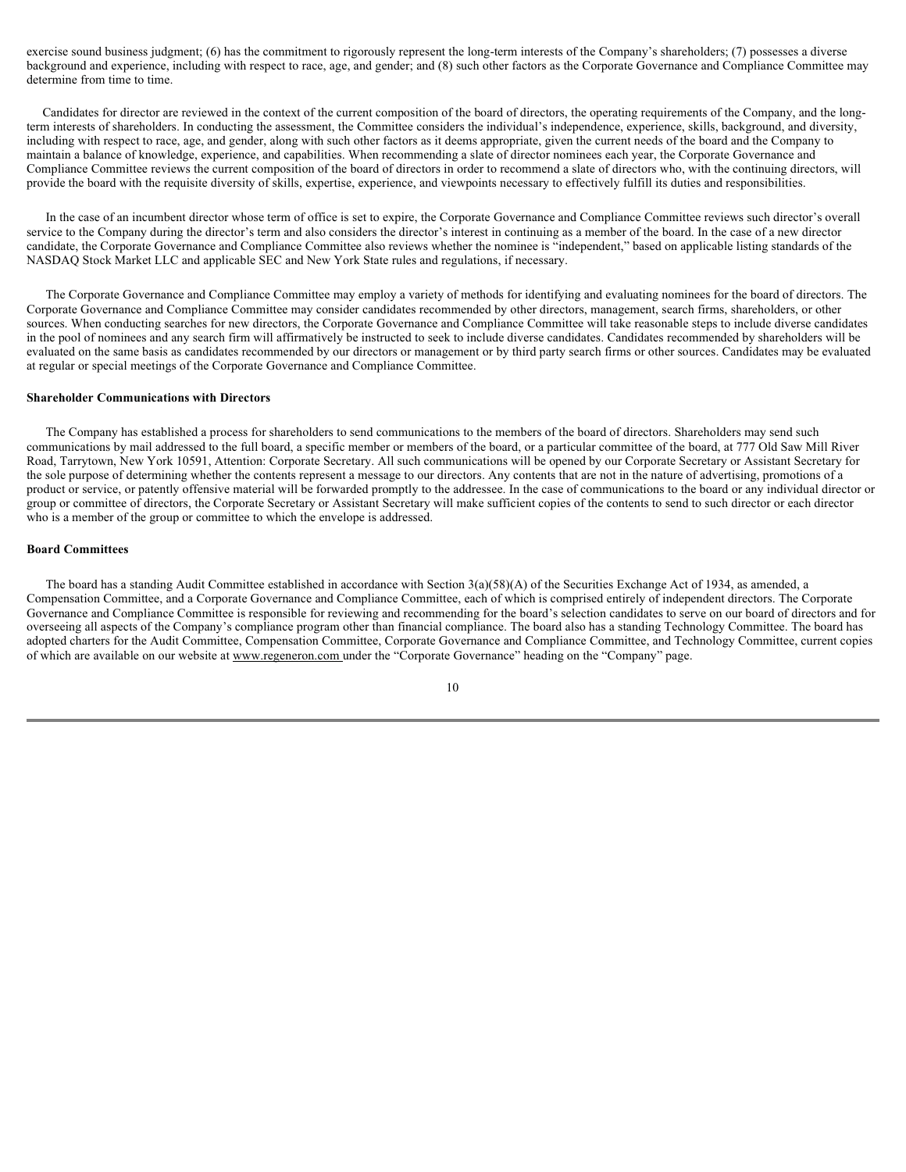exercise sound business judgment; (6) has the commitment to rigorously represent the long-term interests of the Company's shareholders; (7) possesses a diverse background and experience, including with respect to race, age, and gender; and (8) such other factors as the Corporate Governance and Compliance Committee may determine from time to time.

 Candidates for director are reviewed in the context of the current composition of the board of directors, the operating requirements of the Company, and the longterm interests of shareholders. In conducting the assessment, the Committee considers the individual's independence, experience, skills, background, and diversity, including with respect to race, age, and gender, along with such other factors as it deems appropriate, given the current needs of the board and the Company to maintain a balance of knowledge, experience, and capabilities. When recommending a slate of director nominees each year, the Corporate Governance and Compliance Committee reviews the current composition of the board of directors in order to recommend a slate of directors who, with the continuing directors, will provide the board with the requisite diversity of skills, expertise, experience, and viewpoints necessary to effectively fulfill its duties and responsibilities.

 In the case of an incumbent director whose term of office is set to expire, the Corporate Governance and Compliance Committee reviews such director's overall service to the Company during the director's term and also considers the director's interest in continuing as a member of the board. In the case of a new director candidate, the Corporate Governance and Compliance Committee also reviews whether the nominee is "independent," based on applicable listing standards of the NASDAQ Stock Market LLC and applicable SEC and New York State rules and regulations, if necessary.

 The Corporate Governance and Compliance Committee may employ a variety of methods for identifying and evaluating nominees for the board of directors. The Corporate Governance and Compliance Committee may consider candidates recommended by other directors, management, search firms, shareholders, or other sources. When conducting searches for new directors, the Corporate Governance and Compliance Committee will take reasonable steps to include diverse candidates in the pool of nominees and any search firm will affirmatively be instructed to seek to include diverse candidates. Candidates recommended by shareholders will be evaluated on the same basis as candidates recommended by our directors or management or by third party search firms or other sources. Candidates may be evaluated at regular or special meetings of the Corporate Governance and Compliance Committee.

#### **Shareholder Communications with Directors**

 The Company has established a process for shareholders to send communications to the members of the board of directors. Shareholders may send such communications by mail addressed to the full board, a specific member or members of the board, or a particular committee of the board, at 777 Old Saw Mill River Road, Tarrytown, New York 10591, Attention: Corporate Secretary. All such communications will be opened by our Corporate Secretary or Assistant Secretary for the sole purpose of determining whether the contents represent a message to our directors. Any contents that are not in the nature of advertising, promotions of a product or service, or patently offensive material will be forwarded promptly to the addressee. In the case of communications to the board or any individual director or group or committee of directors, the Corporate Secretary or Assistant Secretary will make sufficient copies of the contents to send to such director or each director who is a member of the group or committee to which the envelope is addressed.

#### **Board Committees**

 The board has a standing Audit Committee established in accordance with Section 3(a)(58)(A) of the Securities Exchange Act of 1934, as amended, a Compensation Committee, and a Corporate Governance and Compliance Committee, each of which is comprised entirely of independent directors. The Corporate Governance and Compliance Committee is responsible for reviewing and recommending for the board's selection candidates to serve on our board of directors and for overseeing all aspects of the Company's compliance program other than financial compliance. The board also has a standing Technology Committee. The board has adopted charters for the Audit Committee, Compensation Committee, Corporate Governance and Compliance Committee, and Technology Committee, current copies of which are available on our website at www.regeneron.com under the "Corporate Governance" heading on the "Company" page.

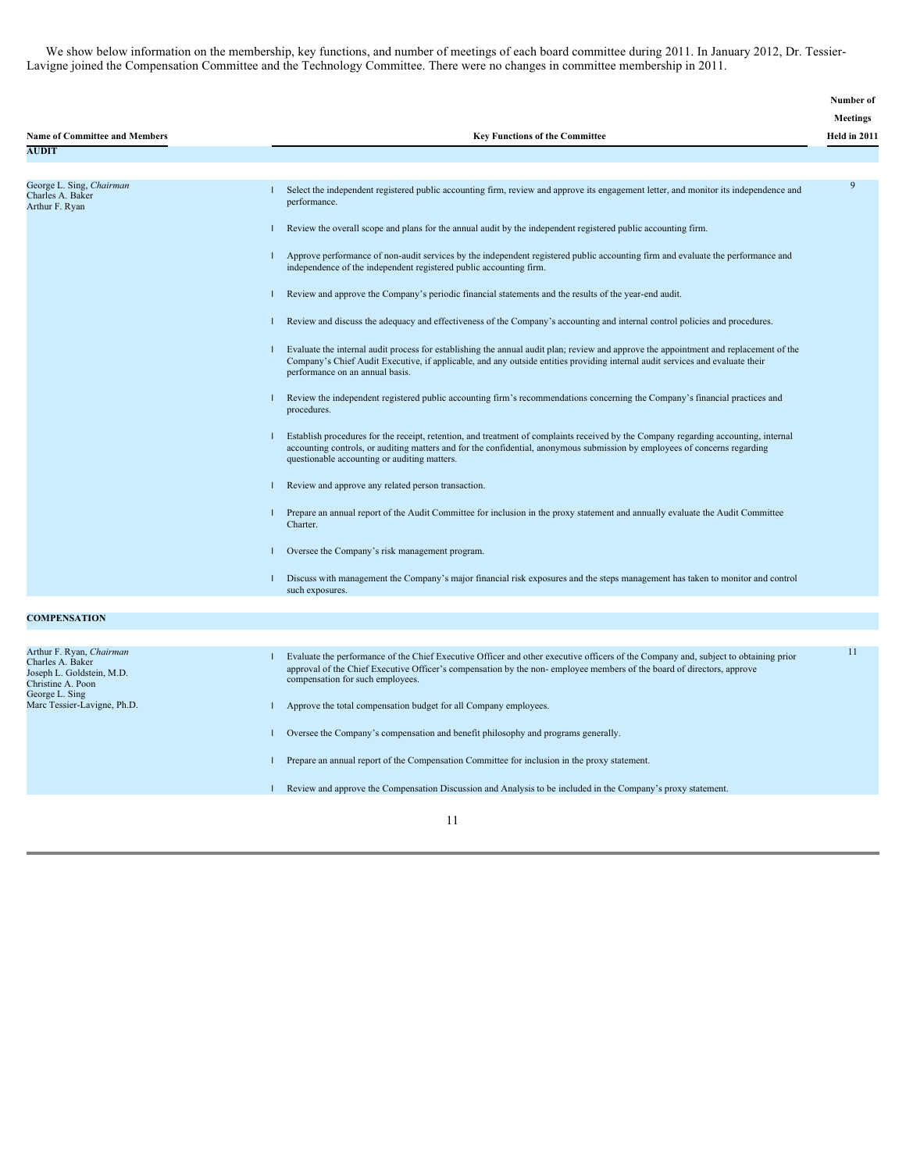We show below information on the membership, key functions, and number of meetings of each board committee during 2011. In January 2012, Dr. Tessier-Lavigne joined the Compensation Committee and the Technology Committee. There were no changes in committee membership in 2011.

|                                                                |                                                                                                                                                                                                                                                                                                                   | Number of       |
|----------------------------------------------------------------|-------------------------------------------------------------------------------------------------------------------------------------------------------------------------------------------------------------------------------------------------------------------------------------------------------------------|-----------------|
|                                                                |                                                                                                                                                                                                                                                                                                                   | <b>Meetings</b> |
| <b>Name of Committee and Members</b>                           | <b>Key Functions of the Committee</b>                                                                                                                                                                                                                                                                             | Held in 2011    |
| <b>AUDIT</b>                                                   |                                                                                                                                                                                                                                                                                                                   |                 |
|                                                                |                                                                                                                                                                                                                                                                                                                   |                 |
| George L. Sing, Chairman<br>Charles A. Baker<br>Arthur F. Ryan | Select the independent registered public accounting firm, review and approve its engagement letter, and monitor its independence and<br>performance.                                                                                                                                                              | 9               |
|                                                                | Review the overall scope and plans for the annual audit by the independent registered public accounting firm.                                                                                                                                                                                                     |                 |
|                                                                | Approve performance of non-audit services by the independent registered public accounting firm and evaluate the performance and<br>independence of the independent registered public accounting firm.                                                                                                             |                 |
|                                                                | Review and approve the Company's periodic financial statements and the results of the year-end audit.                                                                                                                                                                                                             |                 |
|                                                                | Review and discuss the adequacy and effectiveness of the Company's accounting and internal control policies and procedures.                                                                                                                                                                                       |                 |
|                                                                | Evaluate the internal audit process for establishing the annual audit plan; review and approve the appointment and replacement of the<br>Company's Chief Audit Executive, if applicable, and any outside entities providing internal audit services and evaluate their<br>performance on an annual basis.         |                 |
|                                                                | Review the independent registered public accounting firm's recommendations concerning the Company's financial practices and<br>procedures.                                                                                                                                                                        |                 |
|                                                                | Establish procedures for the receipt, retention, and treatment of complaints received by the Company regarding accounting, internal<br>accounting controls, or auditing matters and for the confidential, anonymous submission by employees of concerns regarding<br>questionable accounting or auditing matters. |                 |
|                                                                | Review and approve any related person transaction.                                                                                                                                                                                                                                                                |                 |
|                                                                | Prepare an annual report of the Audit Committee for inclusion in the proxy statement and annually evaluate the Audit Committee<br>Charter.                                                                                                                                                                        |                 |
|                                                                | Oversee the Company's risk management program.                                                                                                                                                                                                                                                                    |                 |
|                                                                | Discuss with management the Company's major financial risk exposures and the steps management has taken to monitor and control<br>such exposures.                                                                                                                                                                 |                 |
|                                                                |                                                                                                                                                                                                                                                                                                                   |                 |
| <b>COMPENSATION</b>                                            |                                                                                                                                                                                                                                                                                                                   |                 |
| Arthur F. Ryan, Chairman<br>Charles A. Baker                   | Evaluate the performance of the Chief Executive Officer and other executive officers of the Company and, subject to obtaining prior                                                                                                                                                                               | 11              |

| Charles A. Baker<br>Joseph L. Goldstein, M.D.<br>Christine A. Poon<br>George L. Sing | Evaluate the performance of the Chief Executive Officer and other executive officers of the Company and, subject to obtaining prior<br>approval of the Chief Executive Officer's compensation by the non-employee members of the board of directors, approve<br>compensation for such employees. |
|--------------------------------------------------------------------------------------|--------------------------------------------------------------------------------------------------------------------------------------------------------------------------------------------------------------------------------------------------------------------------------------------------|
| Marc Tessier-Lavigne, Ph.D.                                                          | Approve the total compensation budget for all Company employees.                                                                                                                                                                                                                                 |
|                                                                                      | Oversee the Company's compensation and benefit philosophy and programs generally.                                                                                                                                                                                                                |
|                                                                                      | Prepare an annual report of the Compensation Committee for inclusion in the proxy statement.                                                                                                                                                                                                     |
|                                                                                      | Review and approve the Compensation Discussion and Analysis to be included in the Company's proxy statement.                                                                                                                                                                                     |
|                                                                                      |                                                                                                                                                                                                                                                                                                  |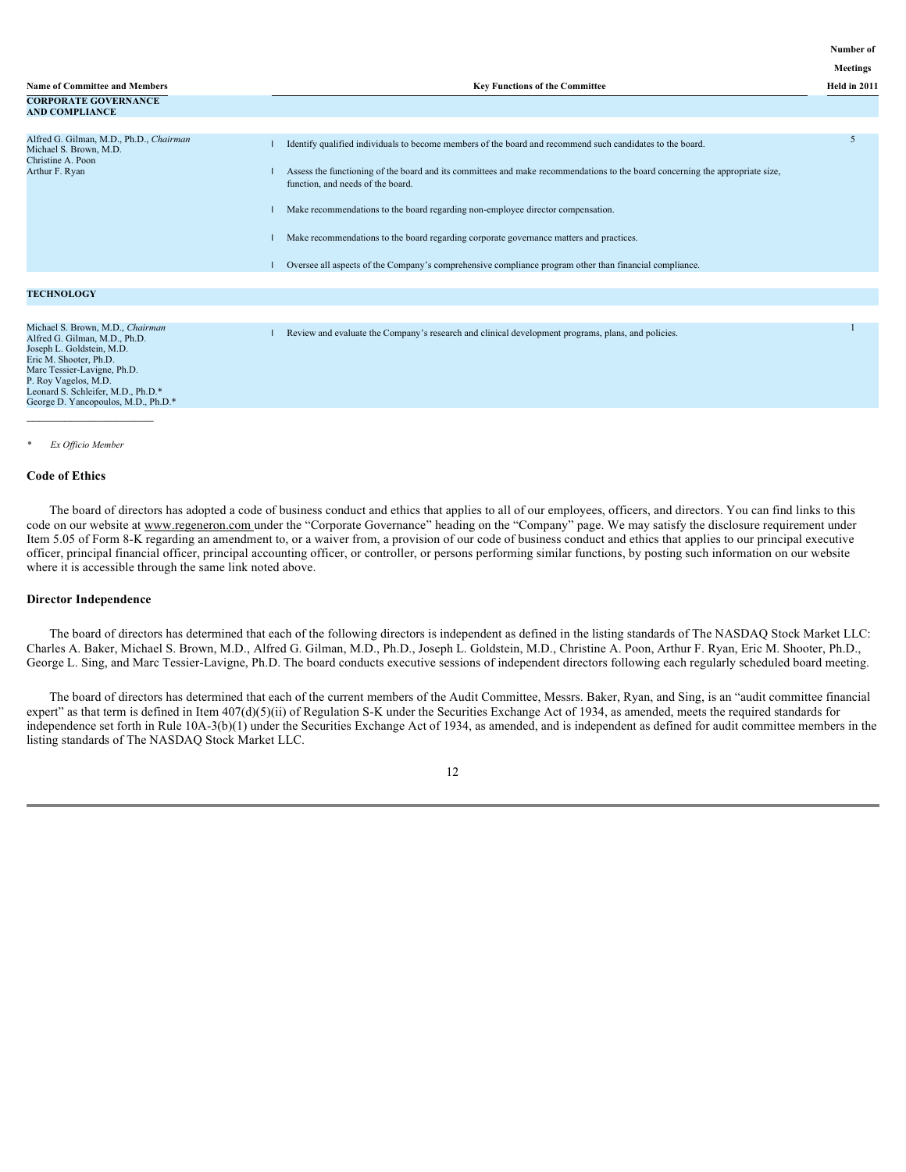**Number of** 

|                                                                                                                                                                                 |                                                                                                                                                                                                                                                                                                                                                                                                                                                               | <b>Meetings</b> |
|---------------------------------------------------------------------------------------------------------------------------------------------------------------------------------|---------------------------------------------------------------------------------------------------------------------------------------------------------------------------------------------------------------------------------------------------------------------------------------------------------------------------------------------------------------------------------------------------------------------------------------------------------------|-----------------|
| <b>Name of Committee and Members</b>                                                                                                                                            | <b>Key Functions of the Committee</b>                                                                                                                                                                                                                                                                                                                                                                                                                         | Held in 2011    |
| <b>CORPORATE GOVERNANCE</b><br><b>AND COMPLIANCE</b>                                                                                                                            |                                                                                                                                                                                                                                                                                                                                                                                                                                                               |                 |
| Alfred G. Gilman, M.D., Ph.D., Chairman<br>Michael S. Brown, M.D.<br>Christine A. Poon<br>Arthur F. Ryan                                                                        | Identify qualified individuals to become members of the board and recommend such candidates to the board.<br>Assess the functioning of the board and its committees and make recommendations to the board concerning the appropriate size,<br>function, and needs of the board.<br>Make recommendations to the board regarding non-employee director compensation.<br>Make recommendations to the board regarding corporate governance matters and practices. | 5               |
|                                                                                                                                                                                 | Oversee all aspects of the Company's comprehensive compliance program other than financial compliance.                                                                                                                                                                                                                                                                                                                                                        |                 |
| <b>TECHNOLOGY</b>                                                                                                                                                               |                                                                                                                                                                                                                                                                                                                                                                                                                                                               |                 |
| Michael S. Brown, M.D., Chairman<br>Alfred G. Gilman, M.D., Ph.D.<br>Joseph L. Goldstein, M.D.<br>Eric M. Shooter, Ph.D.<br>Marc Tessier-Lavigne, Ph.D.<br>P. Roy Vagelos, M.D. | Review and evaluate the Company's research and clinical development programs, plans, and policies.                                                                                                                                                                                                                                                                                                                                                            |                 |

#### *\* Ex Officio Member*

\_\_\_\_\_\_\_\_\_\_\_\_\_\_\_\_\_\_\_\_

Leonard S. Schleifer, M.D., Ph.D.\* George D. Yancopoulos, M.D., Ph.D.\*

#### **Code of Ethics**

 The board of directors has adopted a code of business conduct and ethics that applies to all of our employees, officers, and directors. You can find links to this code on our website at www.regeneron.com under the "Corporate Governance" heading on the "Company" page. We may satisfy the disclosure requirement under Item 5.05 of Form 8-K regarding an amendment to, or a waiver from, a provision of our code of business conduct and ethics that applies to our principal executive officer, principal financial officer, principal accounting officer, or controller, or persons performing similar functions, by posting such information on our website where it is accessible through the same link noted above.

#### **Director Independence**

 The board of directors has determined that each of the following directors is independent as defined in the listing standards of The NASDAQ Stock Market LLC: Charles A. Baker, Michael S. Brown, M.D., Alfred G. Gilman, M.D., Ph.D., Joseph L. Goldstein, M.D., Christine A. Poon, Arthur F. Ryan, Eric M. Shooter, Ph.D., George L. Sing, and Marc Tessier-Lavigne, Ph.D. The board conducts executive sessions of independent directors following each regularly scheduled board meeting.

 The board of directors has determined that each of the current members of the Audit Committee, Messrs. Baker, Ryan, and Sing, is an "audit committee financial expert" as that term is defined in Item  $407(d)(5)(ii)$  of Regulation S-K under the Securities Exchange Act of 1934, as amended, meets the required standards for independence set forth in Rule 10A-3(b)(1) under the Securities Exchange Act of 1934, as amended, and is independent as defined for audit committee members in the listing standards of The NASDAQ Stock Market LLC.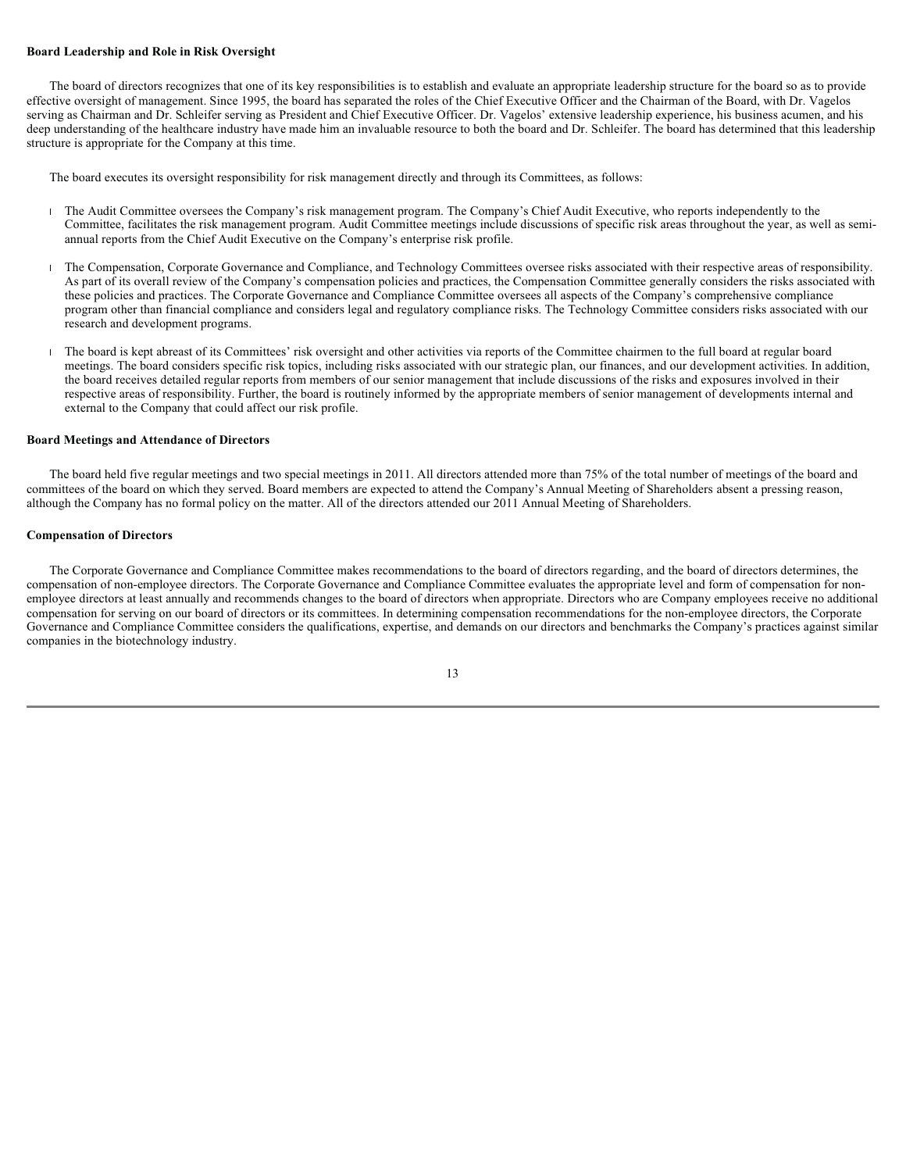#### **Board Leadership and Role in Risk Oversight**

 The board of directors recognizes that one of its key responsibilities is to establish and evaluate an appropriate leadership structure for the board so as to provide effective oversight of management. Since 1995, the board has separated the roles of the Chief Executive Officer and the Chairman of the Board, with Dr. Vagelos serving as Chairman and Dr. Schleifer serving as President and Chief Executive Officer. Dr. Vagelos' extensive leadership experience, his business acumen, and his deep understanding of the healthcare industry have made him an invaluable resource to both the board and Dr. Schleifer. The board has determined that this leadership structure is appropriate for the Company at this time.

The board executes its oversight responsibility for risk management directly and through its Committees, as follows:

- l The Audit Committee oversees the Company's risk management program. The Company's Chief Audit Executive, who reports independently to the Committee, facilitates the risk management program. Audit Committee meetings include discussions of specific risk areas throughout the year, as well as semiannual reports from the Chief Audit Executive on the Company's enterprise risk profile.
- l The Compensation, Corporate Governance and Compliance, and Technology Committees oversee risks associated with their respective areas of responsibility. As part of its overall review of the Company's compensation policies and practices, the Compensation Committee generally considers the risks associated with these policies and practices. The Corporate Governance and Compliance Committee oversees all aspects of the Company's comprehensive compliance program other than financial compliance and considers legal and regulatory compliance risks. The Technology Committee considers risks associated with our research and development programs.
- l The board is kept abreast of its Committees' risk oversight and other activities via reports of the Committee chairmen to the full board at regular board meetings. The board considers specific risk topics, including risks associated with our strategic plan, our finances, and our development activities. In addition, the board receives detailed regular reports from members of our senior management that include discussions of the risks and exposures involved in their respective areas of responsibility. Further, the board is routinely informed by the appropriate members of senior management of developments internal and external to the Company that could affect our risk profile.

#### **Board Meetings and Attendance of Directors**

 The board held five regular meetings and two special meetings in 2011. All directors attended more than 75% of the total number of meetings of the board and committees of the board on which they served. Board members are expected to attend the Company's Annual Meeting of Shareholders absent a pressing reason, although the Company has no formal policy on the matter. All of the directors attended our 2011 Annual Meeting of Shareholders.

#### **Compensation of Directors**

 The Corporate Governance and Compliance Committee makes recommendations to the board of directors regarding, and the board of directors determines, the compensation of non-employee directors. The Corporate Governance and Compliance Committee evaluates the appropriate level and form of compensation for nonemployee directors at least annually and recommends changes to the board of directors when appropriate. Directors who are Company employees receive no additional compensation for serving on our board of directors or its committees. In determining compensation recommendations for the non-employee directors, the Corporate Governance and Compliance Committee considers the qualifications, expertise, and demands on our directors and benchmarks the Company's practices against similar companies in the biotechnology industry.

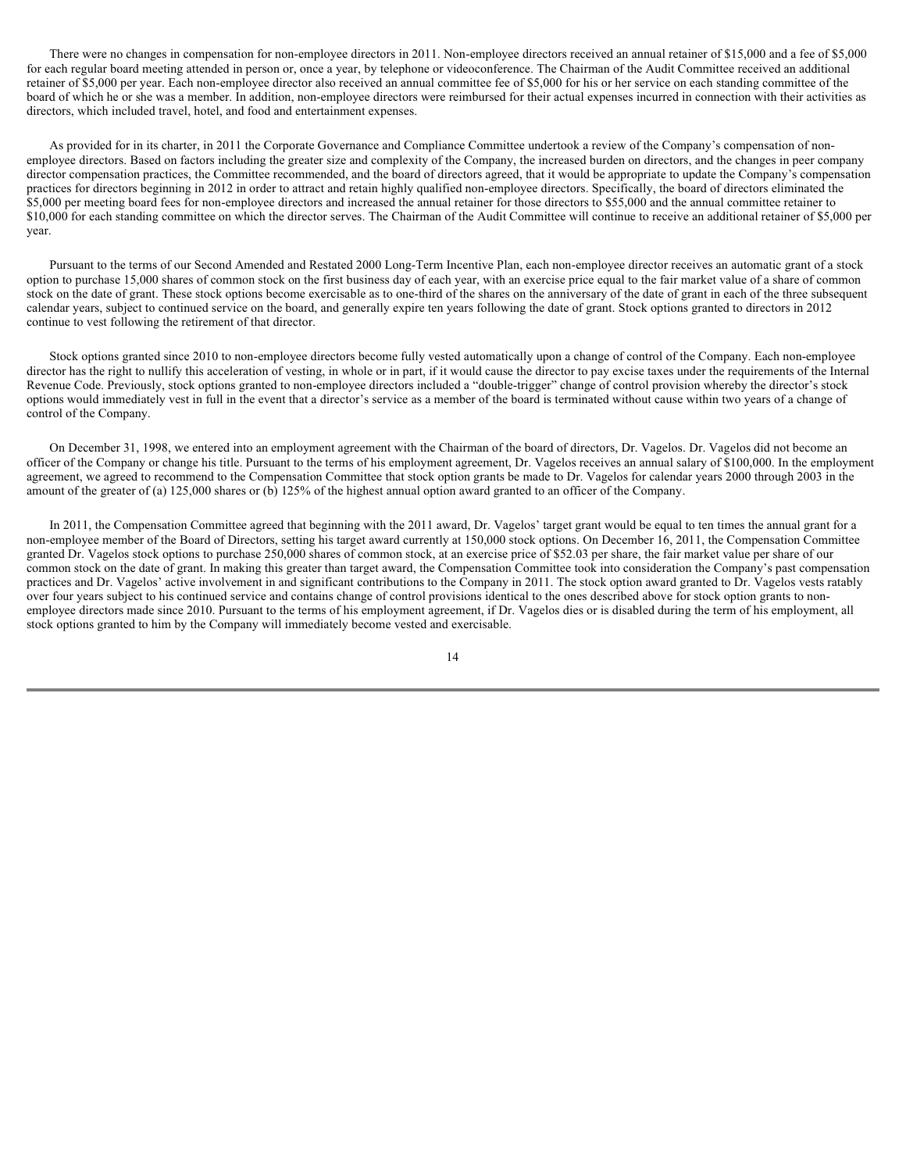There were no changes in compensation for non-employee directors in 2011. Non-employee directors received an annual retainer of \$15,000 and a fee of \$5,000 for each regular board meeting attended in person or, once a year, by telephone or videoconference. The Chairman of the Audit Committee received an additional retainer of \$5,000 per year. Each non-employee director also received an annual committee fee of \$5,000 for his or her service on each standing committee of the board of which he or she was a member. In addition, non-employee directors were reimbursed for their actual expenses incurred in connection with their activities as directors, which included travel, hotel, and food and entertainment expenses.

 As provided for in its charter, in 2011 the Corporate Governance and Compliance Committee undertook a review of the Company's compensation of nonemployee directors. Based on factors including the greater size and complexity of the Company, the increased burden on directors, and the changes in peer company director compensation practices, the Committee recommended, and the board of directors agreed, that it would be appropriate to update the Company's compensation practices for directors beginning in 2012 in order to attract and retain highly qualified non-employee directors. Specifically, the board of directors eliminated the \$5,000 per meeting board fees for non-employee directors and increased the annual retainer for those directors to \$55,000 and the annual committee retainer to \$10,000 for each standing committee on which the director serves. The Chairman of the Audit Committee will continue to receive an additional retainer of \$5,000 per year.

 Pursuant to the terms of our Second Amended and Restated 2000 Long-Term Incentive Plan, each non-employee director receives an automatic grant of a stock option to purchase 15,000 shares of common stock on the first business day of each year, with an exercise price equal to the fair market value of a share of common stock on the date of grant. These stock options become exercisable as to one-third of the shares on the anniversary of the date of grant in each of the three subsequent calendar years, subject to continued service on the board, and generally expire ten years following the date of grant. Stock options granted to directors in 2012 continue to vest following the retirement of that director.

 Stock options granted since 2010 to non-employee directors become fully vested automatically upon a change of control of the Company. Each non-employee director has the right to nullify this acceleration of vesting, in whole or in part, if it would cause the director to pay excise taxes under the requirements of the Internal Revenue Code. Previously, stock options granted to non-employee directors included a "double-trigger" change of control provision whereby the director's stock options would immediately vest in full in the event that a director's service as a member of the board is terminated without cause within two years of a change of control of the Company.

 On December 31, 1998, we entered into an employment agreement with the Chairman of the board of directors, Dr. Vagelos. Dr. Vagelos did not become an officer of the Company or change his title. Pursuant to the terms of his employment agreement, Dr. Vagelos receives an annual salary of \$100,000. In the employment agreement, we agreed to recommend to the Compensation Committee that stock option grants be made to Dr. Vagelos for calendar years 2000 through 2003 in the amount of the greater of (a) 125,000 shares or (b) 125% of the highest annual option award granted to an officer of the Company.

 In 2011, the Compensation Committee agreed that beginning with the 2011 award, Dr. Vagelos' target grant would be equal to ten times the annual grant for a non-employee member of the Board of Directors, setting his target award currently at 150,000 stock options. On December 16, 2011, the Compensation Committee granted Dr. Vagelos stock options to purchase 250,000 shares of common stock, at an exercise price of \$52.03 per share, the fair market value per share of our common stock on the date of grant. In making this greater than target award, the Compensation Committee took into consideration the Company's past compensation practices and Dr. Vagelos' active involvement in and significant contributions to the Company in 2011. The stock option award granted to Dr. Vagelos vests ratably over four years subject to his continued service and contains change of control provisions identical to the ones described above for stock option grants to nonemployee directors made since 2010. Pursuant to the terms of his employment agreement, if Dr. Vagelos dies or is disabled during the term of his employment, all stock options granted to him by the Company will immediately become vested and exercisable.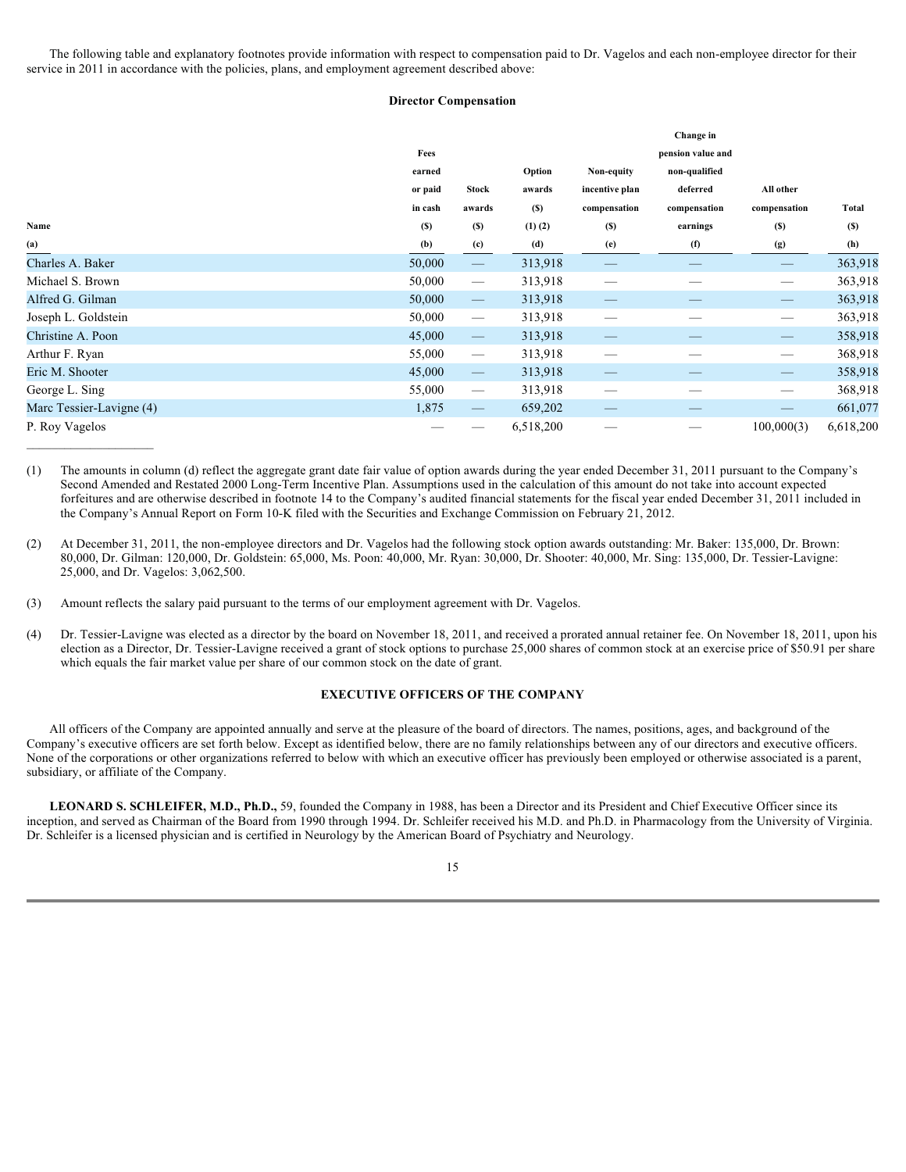The following table and explanatory footnotes provide information with respect to compensation paid to Dr. Vagelos and each non-employee director for their service in 2011 in accordance with the policies, plans, and employment agreement described above:

#### **Director Compensation**

|                          |         |                          |             |                                | Change in         |                                 |           |
|--------------------------|---------|--------------------------|-------------|--------------------------------|-------------------|---------------------------------|-----------|
|                          | Fees    |                          |             |                                | pension value and |                                 |           |
|                          | earned  |                          | Option      | Non-equity                     | non-qualified     |                                 |           |
|                          | or paid | <b>Stock</b>             | awards      | incentive plan                 | deferred          | All other                       |           |
|                          | in cash | awards                   | (S)         | compensation                   | compensation      | compensation                    | Total     |
| Name                     | (S)     | (S)                      | $(1)$ $(2)$ | (S)                            | earnings          | (S)                             | (S)       |
| (a)                      | (b)     | (c)                      | (d)         | (e)                            | (f)               | (g)                             | (h)       |
| Charles A. Baker         | 50,000  | $\qquad \qquad -$        | 313,918     | $\overline{\phantom{m}}$       |                   | $\hspace{0.05cm}$               | 363,918   |
| Michael S. Brown         | 50,000  | $\overline{\phantom{m}}$ | 313,918     | $\hspace{0.05cm}$              | —                 | $\hspace{0.1mm}-\hspace{0.1mm}$ | 363,918   |
| Alfred G. Gilman         | 50,000  | $\qquad \qquad -$        | 313,918     | $\qquad \qquad -$              | --                | $\qquad \qquad \longleftarrow$  | 363,918   |
| Joseph L. Goldstein      | 50,000  | $\overline{\phantom{m}}$ | 313,918     |                                |                   | $\hspace{0.05cm}$               | 363,918   |
| Christine A. Poon        | 45,000  | $\overline{\phantom{0}}$ | 313,918     | $\qquad \qquad \longleftarrow$ |                   |                                 | 358,918   |
| Arthur F. Ryan           | 55,000  | $\hspace{0.05cm}$        | 313,918     |                                |                   |                                 | 368,918   |
| Eric M. Shooter          | 45,000  | $\hspace{0.05cm}$        | 313,918     |                                |                   |                                 | 358,918   |
| George L. Sing           | 55,000  | $\overline{\phantom{a}}$ | 313,918     | $\overline{\phantom{0}}$       |                   |                                 | 368,918   |
| Marc Tessier-Lavigne (4) | 1,875   |                          | 659,202     |                                |                   |                                 | 661,077   |
| P. Roy Vagelos           |         |                          | 6,518,200   |                                |                   | 100,000(3)                      | 6,618,200 |

- (1) The amounts in column (d) reflect the aggregate grant date fair value of option awards during the year ended December 31, 2011 pursuant to the Company's Second Amended and Restated 2000 Long-Term Incentive Plan. Assumptions used in the calculation of this amount do not take into account expected forfeitures and are otherwise described in footnote 14 to the Company's audited financial statements for the fiscal year ended December 31, 2011 included in the Company's Annual Report on Form 10-K filed with the Securities and Exchange Commission on February 21, 2012.
- (2) At December 31, 2011, the non-employee directors and Dr. Vagelos had the following stock option awards outstanding: Mr. Baker: 135,000, Dr. Brown: 80,000, Dr. Gilman: 120,000, Dr. Goldstein: 65,000, Ms. Poon: 40,000, Mr. Ryan: 30,000, Dr. Shooter: 40,000, Mr. Sing: 135,000, Dr. Tessier-Lavigne: 25,000, and Dr. Vagelos: 3,062,500.
- (3) Amount reflects the salary paid pursuant to the terms of our employment agreement with Dr. Vagelos.
- (4) Dr. Tessier-Lavigne was elected as a director by the board on November 18, 2011, and received a prorated annual retainer fee. On November 18, 2011, upon his election as a Director, Dr. Tessier-Lavigne received a grant of stock options to purchase 25,000 shares of common stock at an exercise price of \$50.91 per share which equals the fair market value per share of our common stock on the date of grant.

#### **EXECUTIVE OFFICERS OF THE COMPANY**

All officers of the Company are appointed annually and serve at the pleasure of the board of directors. The names, positions, ages, and background of the Company's executive officers are set forth below. Except as identified below, there are no family relationships between any of our directors and executive officers. None of the corporations or other organizations referred to below with which an executive officer has previously been employed or otherwise associated is a parent, subsidiary, or affiliate of the Company.

 **LEONARD S. SCHLEIFER, M.D., Ph.D.,** 59, founded the Company in 1988, has been a Director and its President and Chief Executive Officer since its inception, and served as Chairman of the Board from 1990 through 1994. Dr. Schleifer received his M.D. and Ph.D. in Pharmacology from the University of Virginia. Dr. Schleifer is a licensed physician and is certified in Neurology by the American Board of Psychiatry and Neurology.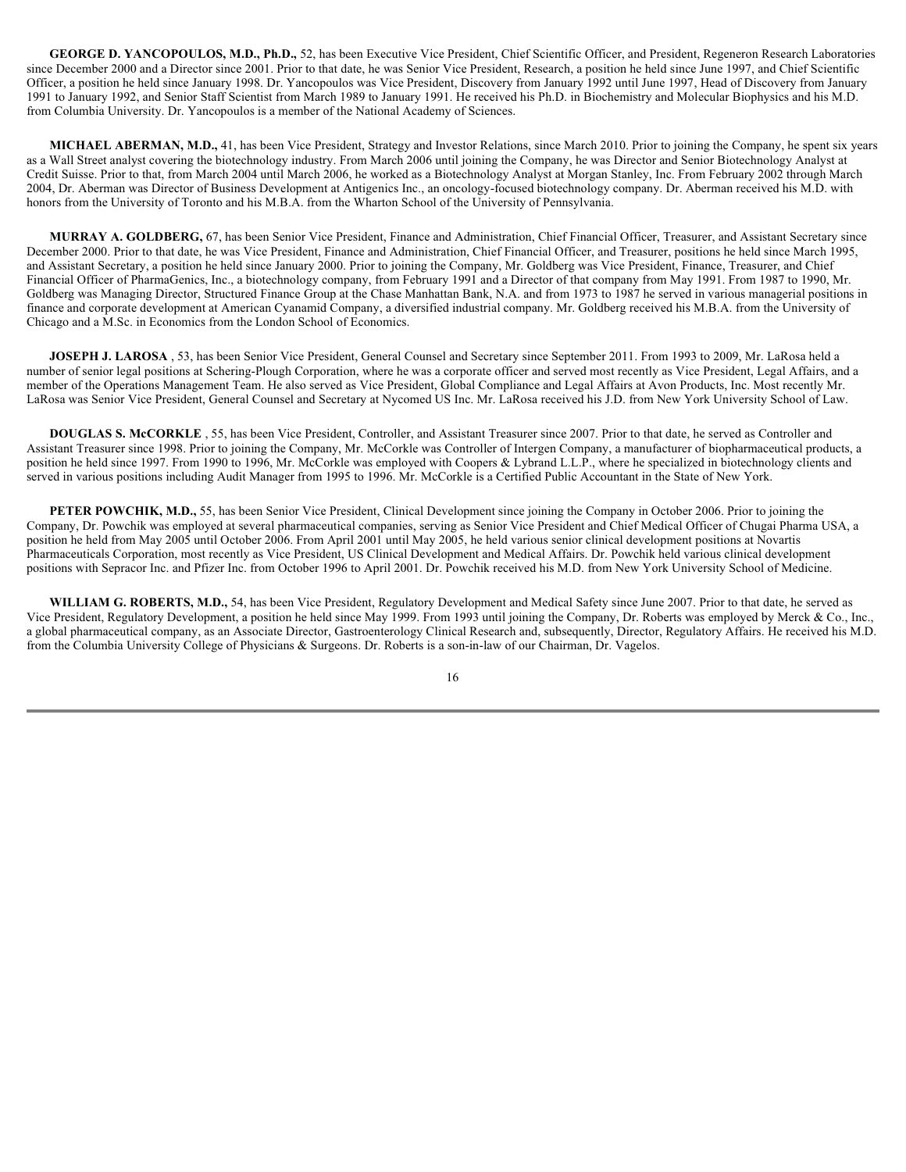**GEORGE D. YANCOPOULOS, M.D., Ph.D.,** 52, has been Executive Vice President, Chief Scientific Officer, and President, Regeneron Research Laboratories since December 2000 and a Director since 2001. Prior to that date, he was Senior Vice President, Research, a position he held since June 1997, and Chief Scientific Officer, a position he held since January 1998. Dr. Yancopoulos was Vice President, Discovery from January 1992 until June 1997, Head of Discovery from January 1991 to January 1992, and Senior Staff Scientist from March 1989 to January 1991. He received his Ph.D. in Biochemistry and Molecular Biophysics and his M.D. from Columbia University. Dr. Yancopoulos is a member of the National Academy of Sciences.

 **MICHAEL ABERMAN, M.D.,** 41, has been Vice President, Strategy and Investor Relations, since March 2010. Prior to joining the Company, he spent six years as a Wall Street analyst covering the biotechnology industry. From March 2006 until joining the Company, he was Director and Senior Biotechnology Analyst at Credit Suisse. Prior to that, from March 2004 until March 2006, he worked as a Biotechnology Analyst at Morgan Stanley, Inc. From February 2002 through March 2004, Dr. Aberman was Director of Business Development at Antigenics Inc., an oncology-focused biotechnology company. Dr. Aberman received his M.D. with honors from the University of Toronto and his M.B.A. from the Wharton School of the University of Pennsylvania.

 **MURRAY A. GOLDBERG,** 67, has been Senior Vice President, Finance and Administration, Chief Financial Officer, Treasurer, and Assistant Secretary since December 2000. Prior to that date, he was Vice President, Finance and Administration, Chief Financial Officer, and Treasurer, positions he held since March 1995, and Assistant Secretary, a position he held since January 2000. Prior to joining the Company, Mr. Goldberg was Vice President, Finance, Treasurer, and Chief Financial Officer of PharmaGenics, Inc., a biotechnology company, from February 1991 and a Director of that company from May 1991. From 1987 to 1990, Mr. Goldberg was Managing Director, Structured Finance Group at the Chase Manhattan Bank, N.A. and from 1973 to 1987 he served in various managerial positions in finance and corporate development at American Cyanamid Company, a diversified industrial company. Mr. Goldberg received his M.B.A. from the University of Chicago and a M.Sc. in Economics from the London School of Economics.

 **JOSEPH J. LAROSA** , 53, has been Senior Vice President, General Counsel and Secretary since September 2011. From 1993 to 2009, Mr. LaRosa held a number of senior legal positions at Schering-Plough Corporation, where he was a corporate officer and served most recently as Vice President, Legal Affairs, and a member of the Operations Management Team. He also served as Vice President, Global Compliance and Legal Affairs at Avon Products, Inc. Most recently Mr. LaRosa was Senior Vice President, General Counsel and Secretary at Nycomed US Inc. Mr. LaRosa received his J.D. from New York University School of Law.

 **DOUGLAS S. McCORKLE** , 55, has been Vice President, Controller, and Assistant Treasurer since 2007. Prior to that date, he served as Controller and Assistant Treasurer since 1998. Prior to joining the Company, Mr. McCorkle was Controller of Intergen Company, a manufacturer of biopharmaceutical products, a position he held since 1997. From 1990 to 1996, Mr. McCorkle was employed with Coopers & Lybrand L.L.P., where he specialized in biotechnology clients and served in various positions including Audit Manager from 1995 to 1996. Mr. McCorkle is a Certified Public Accountant in the State of New York.

**PETER POWCHIK, M.D.,** 55, has been Senior Vice President, Clinical Development since joining the Company in October 2006. Prior to joining the Company, Dr. Powchik was employed at several pharmaceutical companies, serving as Senior Vice President and Chief Medical Officer of Chugai Pharma USA, a position he held from May 2005 until October 2006. From April 2001 until May 2005, he held various senior clinical development positions at Novartis Pharmaceuticals Corporation, most recently as Vice President, US Clinical Development and Medical Affairs. Dr. Powchik held various clinical development positions with Sepracor Inc. and Pfizer Inc. from October 1996 to April 2001. Dr. Powchik received his M.D. from New York University School of Medicine.

WILLIAM G. ROBERTS, M.D., 54, has been Vice President, Regulatory Development and Medical Safety since June 2007. Prior to that date, he served as Vice President, Regulatory Development, a position he held since May 1999. From 1993 until joining the Company, Dr. Roberts was employed by Merck & Co., Inc., a global pharmaceutical company, as an Associate Director, Gastroenterology Clinical Research and, subsequently, Director, Regulatory Affairs. He received his M.D. from the Columbia University College of Physicians & Surgeons. Dr. Roberts is a son-in-law of our Chairman, Dr. Vagelos.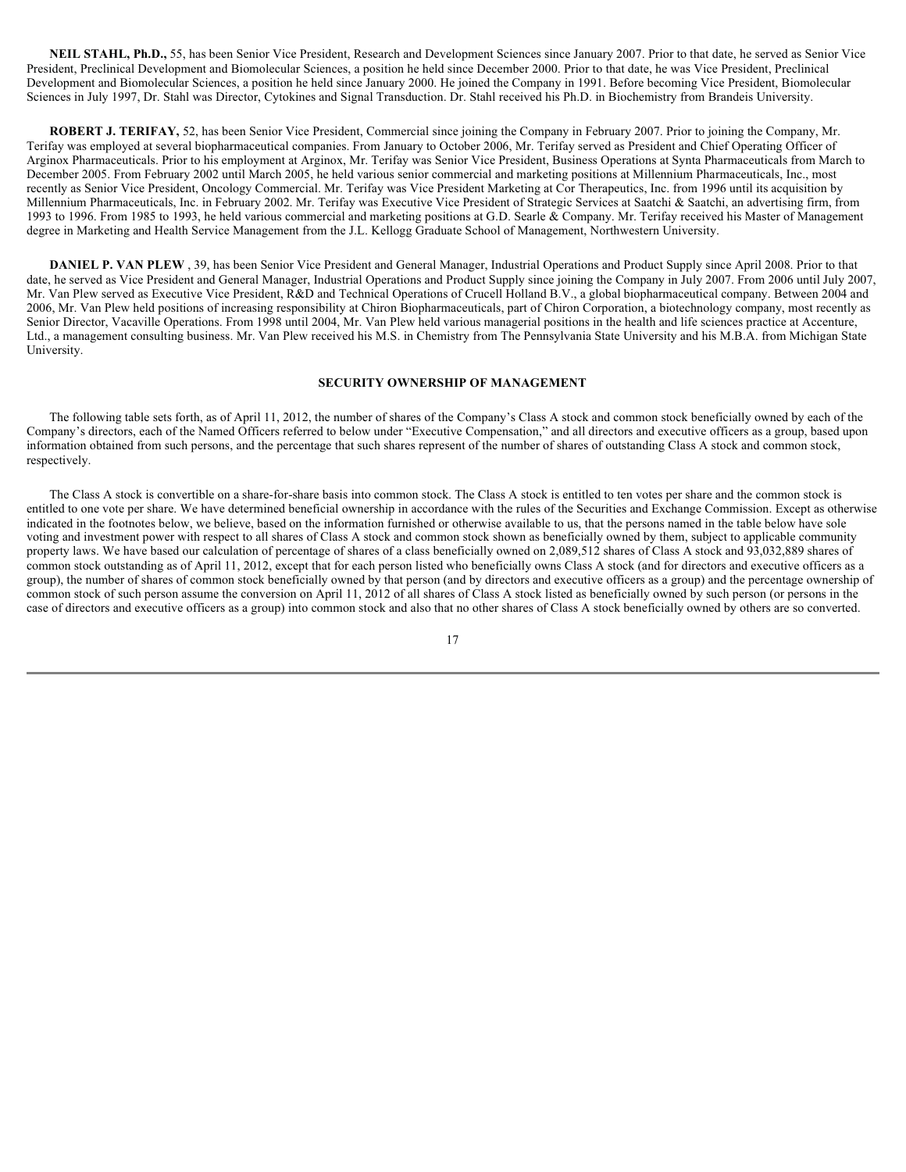**NEIL STAHL, Ph.D.,** 55, has been Senior Vice President, Research and Development Sciences since January 2007. Prior to that date, he served as Senior Vice President, Preclinical Development and Biomolecular Sciences, a position he held since December 2000. Prior to that date, he was Vice President, Preclinical Development and Biomolecular Sciences, a position he held since January 2000. He joined the Company in 1991. Before becoming Vice President, Biomolecular Sciences in July 1997, Dr. Stahl was Director, Cytokines and Signal Transduction. Dr. Stahl received his Ph.D. in Biochemistry from Brandeis University.

 **ROBERT J. TERIFAY,** 52, has been Senior Vice President, Commercial since joining the Company in February 2007. Prior to joining the Company, Mr. Terifay was employed at several biopharmaceutical companies. From January to October 2006, Mr. Terifay served as President and Chief Operating Officer of Arginox Pharmaceuticals. Prior to his employment at Arginox, Mr. Terifay was Senior Vice President, Business Operations at Synta Pharmaceuticals from March to December 2005. From February 2002 until March 2005, he held various senior commercial and marketing positions at Millennium Pharmaceuticals, Inc., most recently as Senior Vice President, Oncology Commercial. Mr. Terifay was Vice President Marketing at Cor Therapeutics, Inc. from 1996 until its acquisition by Millennium Pharmaceuticals, Inc. in February 2002. Mr. Terifay was Executive Vice President of Strategic Services at Saatchi & Saatchi, an advertising firm, from 1993 to 1996. From 1985 to 1993, he held various commercial and marketing positions at G.D. Searle & Company. Mr. Terifay received his Master of Management degree in Marketing and Health Service Management from the J.L. Kellogg Graduate School of Management, Northwestern University.

 **DANIEL P. VAN PLEW** , 39, has been Senior Vice President and General Manager, Industrial Operations and Product Supply since April 2008. Prior to that date, he served as Vice President and General Manager, Industrial Operations and Product Supply since joining the Company in July 2007. From 2006 until July 2007, Mr. Van Plew served as Executive Vice President, R&D and Technical Operations of Crucell Holland B.V., a global biopharmaceutical company. Between 2004 and 2006, Mr. Van Plew held positions of increasing responsibility at Chiron Biopharmaceuticals, part of Chiron Corporation, a biotechnology company, most recently as Senior Director, Vacaville Operations. From 1998 until 2004, Mr. Van Plew held various managerial positions in the health and life sciences practice at Accenture, Ltd., a management consulting business. Mr. Van Plew received his M.S. in Chemistry from The Pennsylvania State University and his M.B.A. from Michigan State University.

#### **SECURITY OWNERSHIP OF MANAGEMENT**

 The following table sets forth, as of April 11, 2012, the number of shares of the Company's Class A stock and common stock beneficially owned by each of the Company's directors, each of the Named Officers referred to below under "Executive Compensation," and all directors and executive officers as a group, based upon information obtained from such persons, and the percentage that such shares represent of the number of shares of outstanding Class A stock and common stock, respectively.

 The Class A stock is convertible on a share-for-share basis into common stock. The Class A stock is entitled to ten votes per share and the common stock is entitled to one vote per share. We have determined beneficial ownership in accordance with the rules of the Securities and Exchange Commission. Except as otherwise indicated in the footnotes below, we believe, based on the information furnished or otherwise available to us, that the persons named in the table below have sole voting and investment power with respect to all shares of Class A stock and common stock shown as beneficially owned by them, subject to applicable community property laws. We have based our calculation of percentage of shares of a class beneficially owned on 2,089,512 shares of Class A stock and 93,032,889 shares of common stock outstanding as of April 11, 2012, except that for each person listed who beneficially owns Class A stock (and for directors and executive officers as a group), the number of shares of common stock beneficially owned by that person (and by directors and executive officers as a group) and the percentage ownership of common stock of such person assume the conversion on April 11, 2012 of all shares of Class A stock listed as beneficially owned by such person (or persons in the case of directors and executive officers as a group) into common stock and also that no other shares of Class A stock beneficially owned by others are so converted.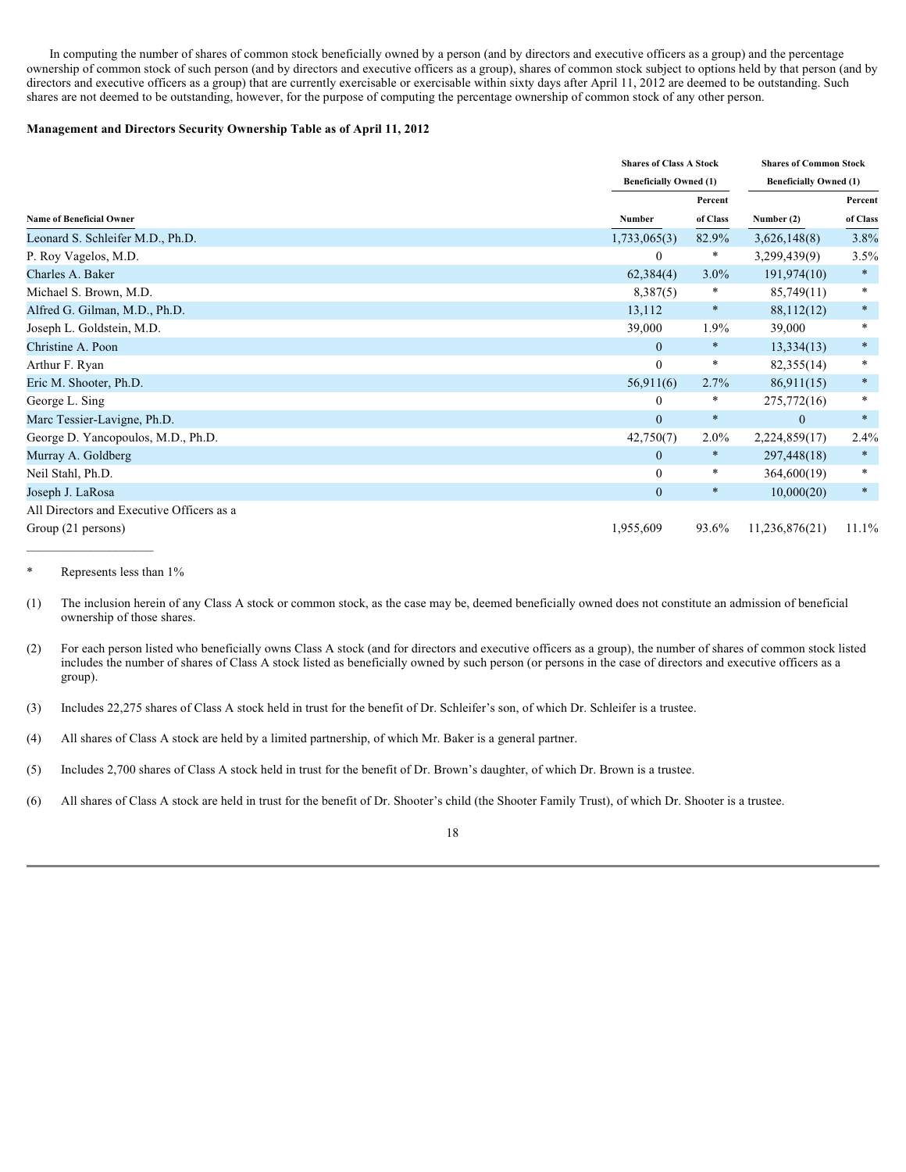In computing the number of shares of common stock beneficially owned by a person (and by directors and executive officers as a group) and the percentage ownership of common stock of such person (and by directors and executive officers as a group), shares of common stock subject to options held by that person (and by directors and executive officers as a group) that are currently exercisable or exercisable within sixty days after April 11, 2012 are deemed to be outstanding. Such shares are not deemed to be outstanding, however, for the purpose of computing the percentage ownership of common stock of any other person.

#### **Management and Directors Security Ownership Table as of April 11, 2012**

|                                           |               | <b>Shares of Class A Stock</b><br><b>Beneficially Owned (1)</b> |                |          |
|-------------------------------------------|---------------|-----------------------------------------------------------------|----------------|----------|
|                                           |               |                                                                 |                |          |
|                                           |               | Percent                                                         |                | Percent  |
| <b>Name of Beneficial Owner</b>           | <b>Number</b> | of Class                                                        | Number (2)     | of Class |
| Leonard S. Schleifer M.D., Ph.D.          | 1,733,065(3)  | 82.9%                                                           | 3,626,148(8)   | 3.8%     |
| P. Roy Vagelos, M.D.                      | $\theta$      | *                                                               | 3,299,439(9)   | 3.5%     |
| Charles A. Baker                          | 62,384(4)     | $3.0\%$                                                         | 191,974(10)    | $*$      |
| Michael S. Brown, M.D.                    | 8,387(5)      | *                                                               | 85,749(11)     | *        |
| Alfred G. Gilman, M.D., Ph.D.             | 13,112        | $\ast$                                                          | 88,112(12)     | $\ast$   |
| Joseph L. Goldstein, M.D.                 | 39,000        | $1.9\%$                                                         | 39,000         | *        |
| Christine A. Poon                         | $\mathbf{0}$  | $\ast$                                                          | 13,334(13)     | $\ast$   |
| Arthur F. Ryan                            | $\mathbf{0}$  | $\ast$                                                          | 82,355(14)     | $\ast$   |
| Eric M. Shooter, Ph.D.                    | 56,911(6)     | 2.7%                                                            | 86,911(15)     | $\ast$   |
| George L. Sing                            | $\mathbf{0}$  | *                                                               | 275,772(16)    | *        |
| Marc Tessier-Lavigne, Ph.D.               | $\mathbf{0}$  | $\ast$                                                          | $\mathbf{0}$   | $\ast$   |
| George D. Yancopoulos, M.D., Ph.D.        | 42,750(7)     | $2.0\%$                                                         | 2,224,859(17)  | 2.4%     |
| Murray A. Goldberg                        | $\theta$      | $\ast$                                                          | 297,448(18)    | $\ast$   |
| Neil Stahl, Ph.D.                         | $\mathbf{0}$  | *                                                               | 364,600(19)    | *        |
| Joseph J. LaRosa                          | $\mathbf{0}$  | $\ast$                                                          | 10,000(20)     | $*$      |
| All Directors and Executive Officers as a |               |                                                                 |                |          |
| Group (21 persons)                        | 1,955,609     | 93.6%                                                           | 11,236,876(21) | 11.1%    |

Represents less than  $1\%$ 

(1) The inclusion herein of any Class A stock or common stock, as the case may be, deemed beneficially owned does not constitute an admission of beneficial ownership of those shares.

(2) For each person listed who beneficially owns Class A stock (and for directors and executive officers as a group), the number of shares of common stock listed includes the number of shares of Class A stock listed as beneficially owned by such person (or persons in the case of directors and executive officers as a group).

(3) Includes 22,275 shares of Class A stock held in trust for the benefit of Dr. Schleifer's son, of which Dr. Schleifer is a trustee.

(4) All shares of Class A stock are held by a limited partnership, of which Mr. Baker is a general partner.

(5) Includes 2,700 shares of Class A stock held in trust for the benefit of Dr. Brown's daughter, of which Dr. Brown is a trustee.

(6) All shares of Class A stock are held in trust for the benefit of Dr. Shooter's child (the Shooter Family Trust), of which Dr. Shooter is a trustee.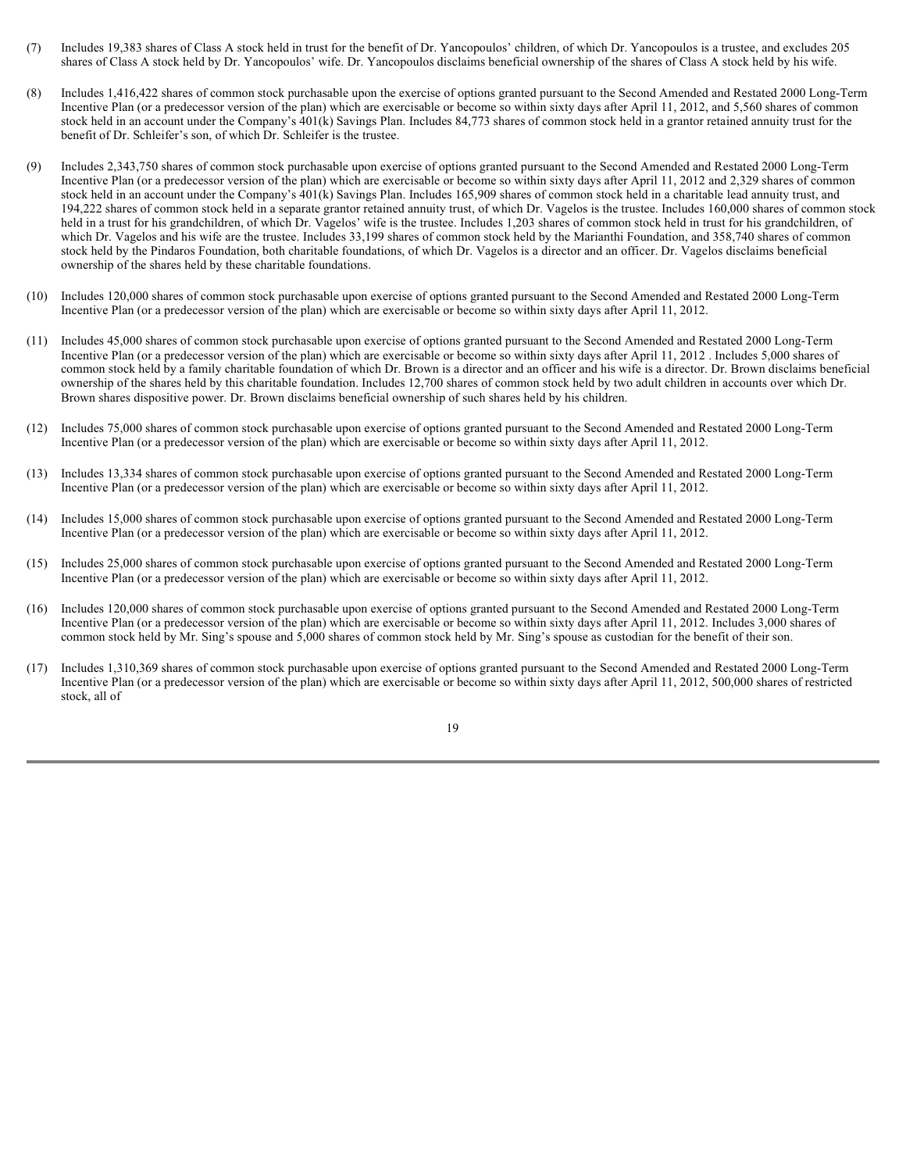- (7) Includes 19,383 shares of Class A stock held in trust for the benefit of Dr. Yancopoulos' children, of which Dr. Yancopoulos is a trustee, and excludes 205 shares of Class A stock held by Dr. Yancopoulos' wife. Dr. Yancopoulos disclaims beneficial ownership of the shares of Class A stock held by his wife.
- (8) Includes 1,416,422 shares of common stock purchasable upon the exercise of options granted pursuant to the Second Amended and Restated 2000 Long-Term Incentive Plan (or a predecessor version of the plan) which are exercisable or become so within sixty days after April 11, 2012, and 5,560 shares of common stock held in an account under the Company's 401(k) Savings Plan. Includes 84,773 shares of common stock held in a grantor retained annuity trust for the benefit of Dr. Schleifer's son, of which Dr. Schleifer is the trustee.
- (9) Includes 2,343,750 shares of common stock purchasable upon exercise of options granted pursuant to the Second Amended and Restated 2000 Long-Term Incentive Plan (or a predecessor version of the plan) which are exercisable or become so within sixty days after April 11, 2012 and 2,329 shares of common stock held in an account under the Company's 401(k) Savings Plan. Includes 165,909 shares of common stock held in a charitable lead annuity trust, and 194,222 shares of common stock held in a separate grantor retained annuity trust, of which Dr. Vagelos is the trustee. Includes 160,000 shares of common stock held in a trust for his grandchildren, of which Dr. Vagelos' wife is the trustee. Includes 1,203 shares of common stock held in trust for his grandchildren, of which Dr. Vagelos and his wife are the trustee. Includes 33,199 shares of common stock held by the Marianthi Foundation, and 358,740 shares of common stock held by the Pindaros Foundation, both charitable foundations, of which Dr. Vagelos is a director and an officer. Dr. Vagelos disclaims beneficial ownership of the shares held by these charitable foundations.
- (10) Includes 120,000 shares of common stock purchasable upon exercise of options granted pursuant to the Second Amended and Restated 2000 Long-Term Incentive Plan (or a predecessor version of the plan) which are exercisable or become so within sixty days after April 11, 2012.
- (11) Includes 45,000 shares of common stock purchasable upon exercise of options granted pursuant to the Second Amended and Restated 2000 Long-Term Incentive Plan (or a predecessor version of the plan) which are exercisable or become so within sixty days after April 11, 2012 . Includes 5,000 shares of common stock held by a family charitable foundation of which Dr. Brown is a director and an officer and his wife is a director. Dr. Brown disclaims beneficial ownership of the shares held by this charitable foundation. Includes 12,700 shares of common stock held by two adult children in accounts over which Dr. Brown shares dispositive power. Dr. Brown disclaims beneficial ownership of such shares held by his children.
- (12) Includes 75,000 shares of common stock purchasable upon exercise of options granted pursuant to the Second Amended and Restated 2000 Long-Term Incentive Plan (or a predecessor version of the plan) which are exercisable or become so within sixty days after April 11, 2012.
- (13) Includes 13,334 shares of common stock purchasable upon exercise of options granted pursuant to the Second Amended and Restated 2000 Long-Term Incentive Plan (or a predecessor version of the plan) which are exercisable or become so within sixty days after April 11, 2012.
- (14) Includes 15,000 shares of common stock purchasable upon exercise of options granted pursuant to the Second Amended and Restated 2000 Long-Term Incentive Plan (or a predecessor version of the plan) which are exercisable or become so within sixty days after April 11, 2012.
- (15) Includes 25,000 shares of common stock purchasable upon exercise of options granted pursuant to the Second Amended and Restated 2000 Long-Term Incentive Plan (or a predecessor version of the plan) which are exercisable or become so within sixty days after April 11, 2012.
- (16) Includes 120,000 shares of common stock purchasable upon exercise of options granted pursuant to the Second Amended and Restated 2000 Long-Term Incentive Plan (or a predecessor version of the plan) which are exercisable or become so within sixty days after April 11, 2012. Includes 3,000 shares of common stock held by Mr. Sing's spouse and 5,000 shares of common stock held by Mr. Sing's spouse as custodian for the benefit of their son.
- (17) Includes 1,310,369 shares of common stock purchasable upon exercise of options granted pursuant to the Second Amended and Restated 2000 Long-Term Incentive Plan (or a predecessor version of the plan) which are exercisable or become so within sixty days after April 11, 2012, 500,000 shares of restricted stock, all of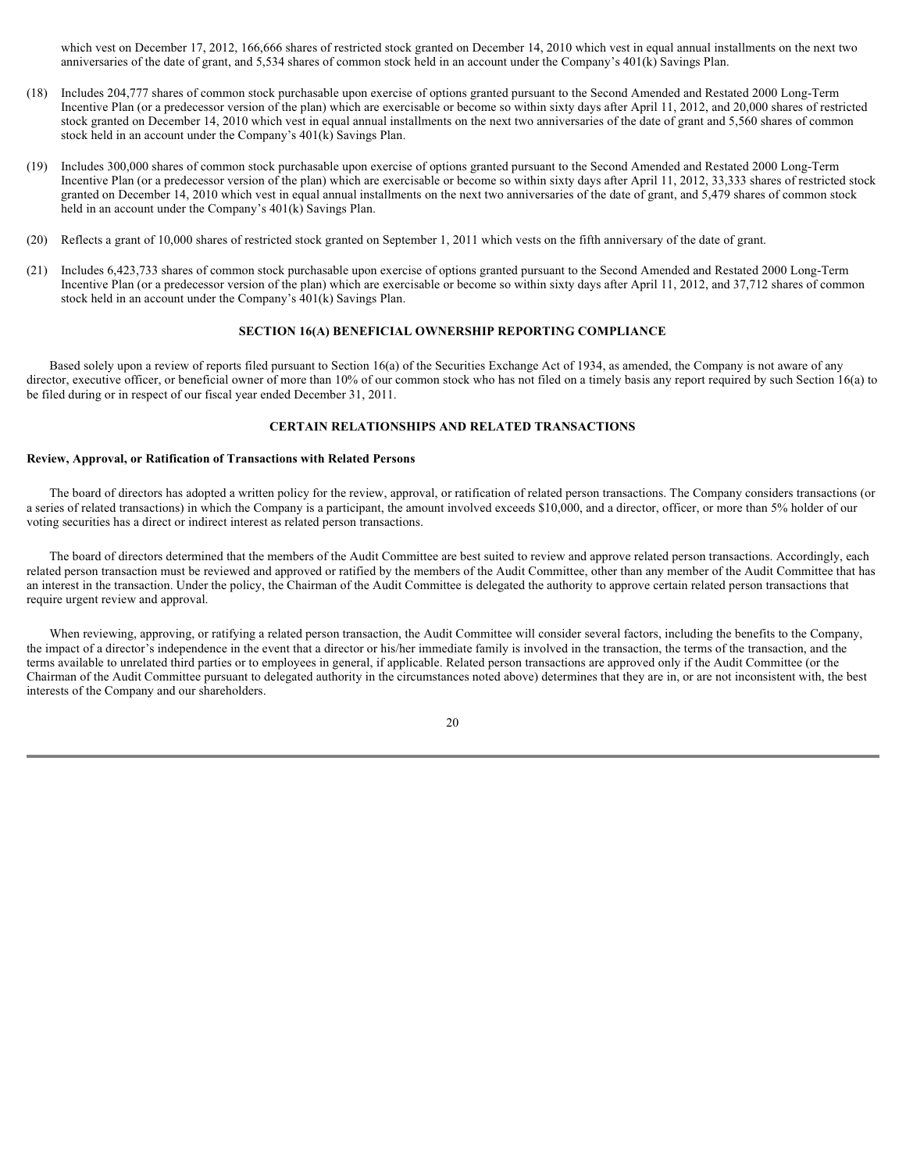which vest on December 17, 2012, 166,666 shares of restricted stock granted on December 14, 2010 which vest in equal annual installments on the next two anniversaries of the date of grant, and 5,534 shares of common stock held in an account under the Company's 401(k) Savings Plan.

- (18) Includes 204,777 shares of common stock purchasable upon exercise of options granted pursuant to the Second Amended and Restated 2000 Long-Term Incentive Plan (or a predecessor version of the plan) which are exercisable or become so within sixty days after April 11, 2012, and 20,000 shares of restricted stock granted on December 14, 2010 which vest in equal annual installments on the next two anniversaries of the date of grant and 5,560 shares of common stock held in an account under the Company's 401(k) Savings Plan.
- (19) Includes 300,000 shares of common stock purchasable upon exercise of options granted pursuant to the Second Amended and Restated 2000 Long-Term Incentive Plan (or a predecessor version of the plan) which are exercisable or become so within sixty days after April 11, 2012, 33,333 shares of restricted stock granted on December 14, 2010 which vest in equal annual installments on the next two anniversaries of the date of grant, and 5,479 shares of common stock held in an account under the Company's 401(k) Savings Plan.
- (20) Reflects a grant of 10,000 shares of restricted stock granted on September 1, 2011 which vests on the fifth anniversary of the date of grant.
- (21) Includes 6,423,733 shares of common stock purchasable upon exercise of options granted pursuant to the Second Amended and Restated 2000 Long-Term Incentive Plan (or a predecessor version of the plan) which are exercisable or become so within sixty days after April 11, 2012, and 37,712 shares of common stock held in an account under the Company's 401(k) Savings Plan.

#### **SECTION 16(A) BENEFICIAL OWNERSHIP REPORTING COMPLIANCE**

 Based solely upon a review of reports filed pursuant to Section 16(a) of the Securities Exchange Act of 1934, as amended, the Company is not aware of any director, executive officer, or beneficial owner of more than 10% of our common stock who has not filed on a timely basis any report required by such Section 16(a) to be filed during or in respect of our fiscal year ended December 31, 2011.

#### **CERTAIN RELATIONSHIPS AND RELATED TRANSACTIONS**

#### **Review, Approval, or Ratification of Transactions with Related Persons**

 The board of directors has adopted a written policy for the review, approval, or ratification of related person transactions. The Company considers transactions (or a series of related transactions) in which the Company is a participant, the amount involved exceeds \$10,000, and a director, officer, or more than 5% holder of our voting securities has a direct or indirect interest as related person transactions.

 The board of directors determined that the members of the Audit Committee are best suited to review and approve related person transactions. Accordingly, each related person transaction must be reviewed and approved or ratified by the members of the Audit Committee, other than any member of the Audit Committee that has an interest in the transaction. Under the policy, the Chairman of the Audit Committee is delegated the authority to approve certain related person transactions that require urgent review and approval.

 When reviewing, approving, or ratifying a related person transaction, the Audit Committee will consider several factors, including the benefits to the Company, the impact of a director's independence in the event that a director or his/her immediate family is involved in the transaction, the terms of the transaction, and the terms available to unrelated third parties or to employees in general, if applicable. Related person transactions are approved only if the Audit Committee (or the Chairman of the Audit Committee pursuant to delegated authority in the circumstances noted above) determines that they are in, or are not inconsistent with, the best interests of the Company and our shareholders.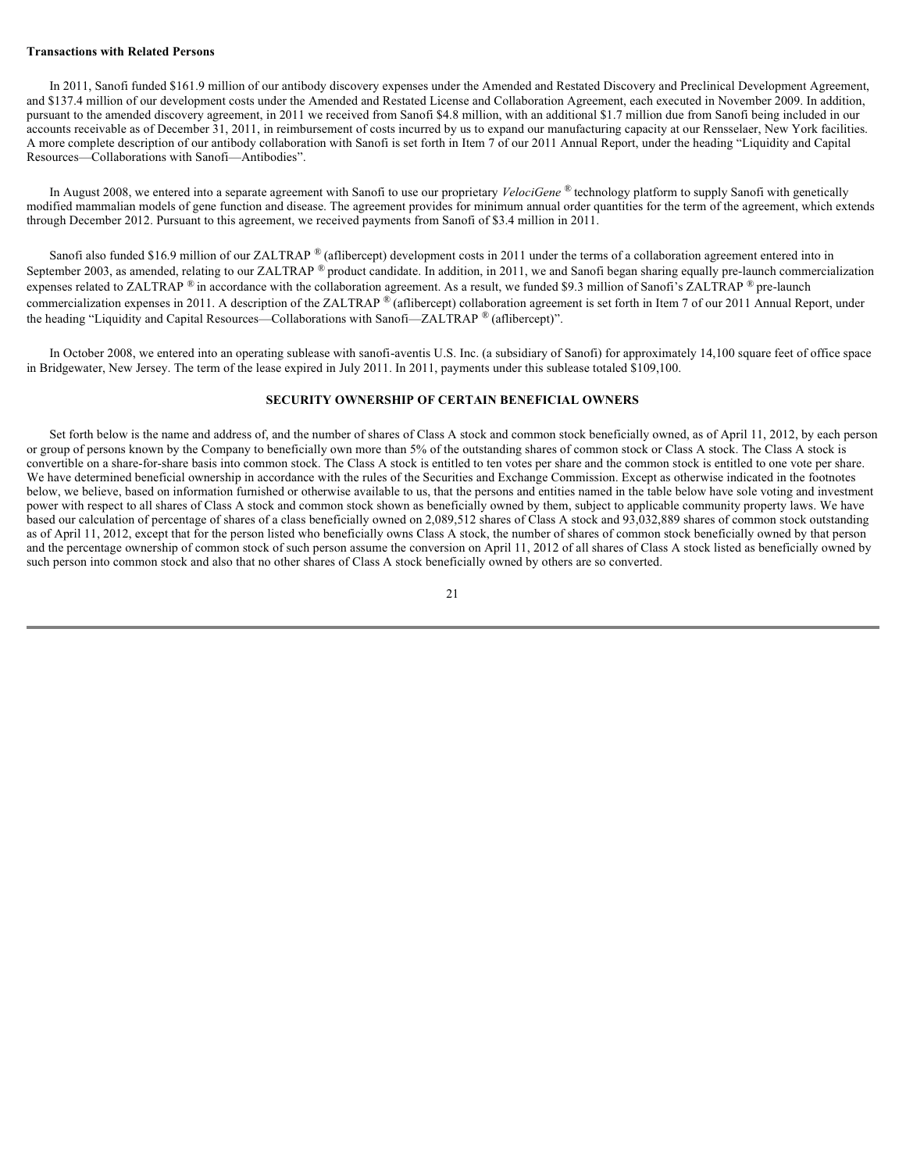#### **Transactions with Related Persons**

 In 2011, Sanofi funded \$161.9 million of our antibody discovery expenses under the Amended and Restated Discovery and Preclinical Development Agreement, and \$137.4 million of our development costs under the Amended and Restated License and Collaboration Agreement, each executed in November 2009. In addition, pursuant to the amended discovery agreement, in 2011 we received from Sanofi \$4.8 million, with an additional \$1.7 million due from Sanofi being included in our accounts receivable as of December 31, 2011, in reimbursement of costs incurred by us to expand our manufacturing capacity at our Rensselaer, New York facilities. A more complete description of our antibody collaboration with Sanofi is set forth in Item 7 of our 2011 Annual Report, under the heading "Liquidity and Capital Resources—Collaborations with Sanofi—Antibodies".

 In August 2008, we entered into a separate agreement with Sanofi to use our proprietary *VelociGene* ® technology platform to supply Sanofi with genetically modified mammalian models of gene function and disease. The agreement provides for minimum annual order quantities for the term of the agreement, which extends through December 2012. Pursuant to this agreement, we received payments from Sanofi of \$3.4 million in 2011.

Sanofi also funded \$16.9 million of our ZALTRAP ® (aflibercept) development costs in 2011 under the terms of a collaboration agreement entered into in September 2003, as amended, relating to our ZALTRAP ® product candidate. In addition, in 2011, we and Sanofi began sharing equally pre-launch commercialization expenses related to ZALTRAP  $\mathcal{R}$  in accordance with the collaboration agreement. As a result, we funded \$9.3 million of Sanofi's ZALTRAP  $\mathcal{R}$  pre-launch commercialization expenses in 2011. A description of the ZALTRAP ® (aflibercept) collaboration agreement is set forth in Item 7 of our 2011 Annual Report, under the heading "Liquidity and Capital Resources—Collaborations with Sanofi—ZALTRAP ® (aflibercept)".

 In October 2008, we entered into an operating sublease with sanofi-aventis U.S. Inc. (a subsidiary of Sanofi) for approximately 14,100 square feet of office space in Bridgewater, New Jersey. The term of the lease expired in July 2011. In 2011, payments under this sublease totaled \$109,100.

#### **SECURITY OWNERSHIP OF CERTAIN BENEFICIAL OWNERS**

 Set forth below is the name and address of, and the number of shares of Class A stock and common stock beneficially owned, as of April 11, 2012, by each person or group of persons known by the Company to beneficially own more than 5% of the outstanding shares of common stock or Class A stock. The Class A stock is convertible on a share-for-share basis into common stock. The Class A stock is entitled to ten votes per share and the common stock is entitled to one vote per share. We have determined beneficial ownership in accordance with the rules of the Securities and Exchange Commission. Except as otherwise indicated in the footnotes below, we believe, based on information furnished or otherwise available to us, that the persons and entities named in the table below have sole voting and investment power with respect to all shares of Class A stock and common stock shown as beneficially owned by them, subject to applicable community property laws. We have based our calculation of percentage of shares of a class beneficially owned on 2,089,512 shares of Class A stock and 93,032,889 shares of common stock outstanding as of April 11, 2012, except that for the person listed who beneficially owns Class A stock, the number of shares of common stock beneficially owned by that person and the percentage ownership of common stock of such person assume the conversion on April 11, 2012 of all shares of Class A stock listed as beneficially owned by such person into common stock and also that no other shares of Class A stock beneficially owned by others are so converted.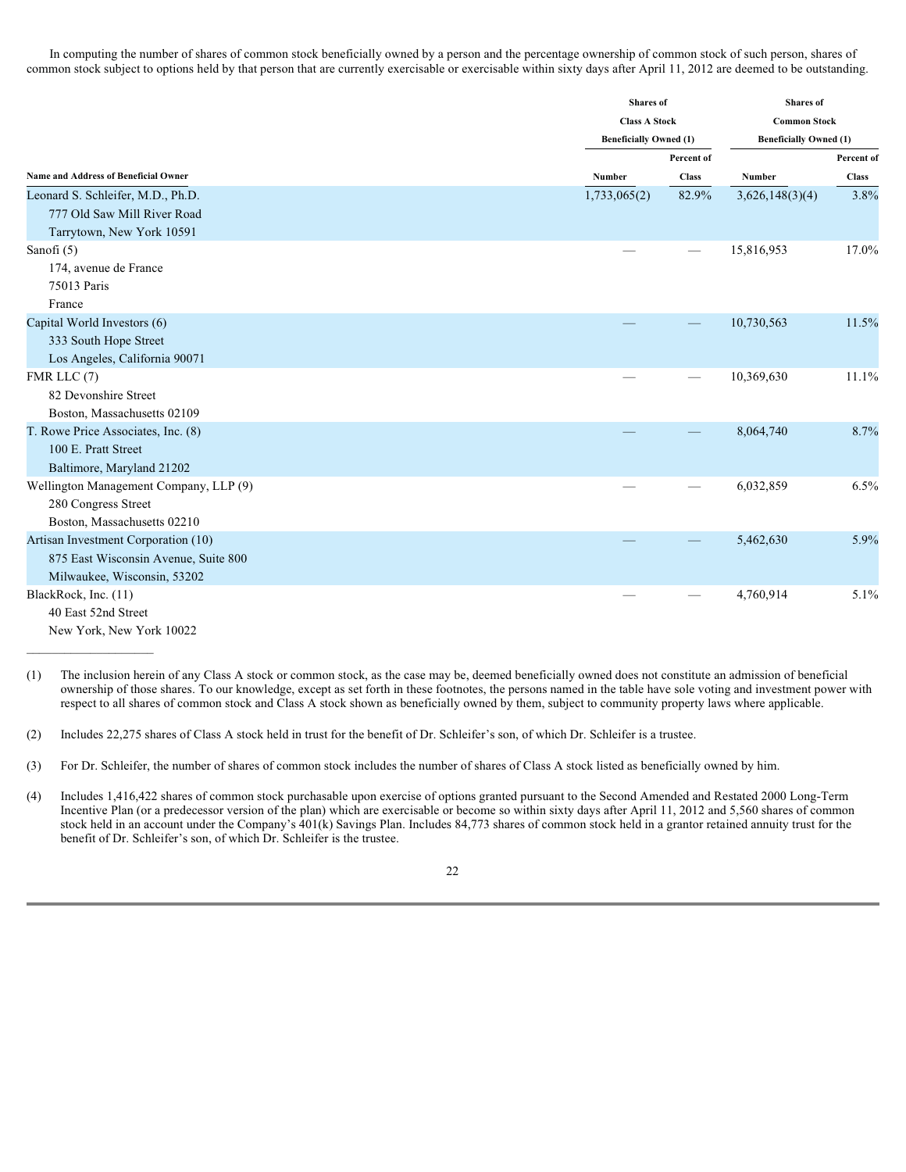In computing the number of shares of common stock beneficially owned by a person and the percentage ownership of common stock of such person, shares of common stock subject to options held by that person that are currently exercisable or exercisable within sixty days after April 11, 2012 are deemed to be outstanding.

|                                        |                               | Shares of    |                               |              |
|----------------------------------------|-------------------------------|--------------|-------------------------------|--------------|
|                                        | <b>Class A Stock</b>          |              | <b>Common Stock</b>           |              |
|                                        | <b>Beneficially Owned (1)</b> |              | <b>Beneficially Owned (1)</b> |              |
|                                        |                               | Percent of   |                               | Percent of   |
| Name and Address of Beneficial Owner   | Number                        | <b>Class</b> | Number                        | <b>Class</b> |
| Leonard S. Schleifer, M.D., Ph.D.      | 1,733,065(2)                  | 82.9%        | 3,626,148(3)(4)               | 3.8%         |
| 777 Old Saw Mill River Road            |                               |              |                               |              |
| Tarrytown, New York 10591              |                               |              |                               |              |
| Sanofi (5)                             |                               |              | 15,816,953                    | 17.0%        |
| 174, avenue de France                  |                               |              |                               |              |
| 75013 Paris                            |                               |              |                               |              |
| France                                 |                               |              |                               |              |
| Capital World Investors (6)            |                               |              | 10,730,563                    | 11.5%        |
| 333 South Hope Street                  |                               |              |                               |              |
| Los Angeles, California 90071          |                               |              |                               |              |
| FMR LLC $(7)$                          |                               |              | 10,369,630                    | 11.1%        |
| 82 Devonshire Street                   |                               |              |                               |              |
| Boston, Massachusetts 02109            |                               |              |                               |              |
| T. Rowe Price Associates, Inc. (8)     |                               |              | 8,064,740                     | 8.7%         |
| 100 E. Pratt Street                    |                               |              |                               |              |
| Baltimore, Maryland 21202              |                               |              |                               |              |
| Wellington Management Company, LLP (9) |                               |              | 6,032,859                     | 6.5%         |
| 280 Congress Street                    |                               |              |                               |              |
| Boston, Massachusetts 02210            |                               |              |                               |              |
| Artisan Investment Corporation (10)    |                               |              | 5,462,630                     | 5.9%         |
| 875 East Wisconsin Avenue, Suite 800   |                               |              |                               |              |
| Milwaukee, Wisconsin, 53202            |                               |              |                               |              |
| BlackRock, Inc. (11)                   |                               |              | 4,760,914                     | $5.1\%$      |
| 40 East 52nd Street                    |                               |              |                               |              |
| New York, New York 10022               |                               |              |                               |              |

<sup>(1)</sup> The inclusion herein of any Class A stock or common stock, as the case may be, deemed beneficially owned does not constitute an admission of beneficial ownership of those shares. To our knowledge, except as set forth in these footnotes, the persons named in the table have sole voting and investment power with respect to all shares of common stock and Class A stock shown as beneficially owned by them, subject to community property laws where applicable.

\_\_\_\_\_\_\_\_\_\_\_\_\_\_\_\_\_\_\_\_

 <sup>(2)</sup> Includes 22,275 shares of Class A stock held in trust for the benefit of Dr. Schleifer's son, of which Dr. Schleifer is a trustee.

<sup>(3)</sup> For Dr. Schleifer, the number of shares of common stock includes the number of shares of Class A stock listed as beneficially owned by him.

<sup>(4)</sup> Includes 1,416,422 shares of common stock purchasable upon exercise of options granted pursuant to the Second Amended and Restated 2000 Long-Term Incentive Plan (or a predecessor version of the plan) which are exercisable or become so within sixty days after April 11, 2012 and 5,560 shares of common stock held in an account under the Company's 401(k) Savings Plan. Includes 84,773 shares of common stock held in a grantor retained annuity trust for the benefit of Dr. Schleifer's son, of which Dr. Schleifer is the trustee.

<sup>22</sup>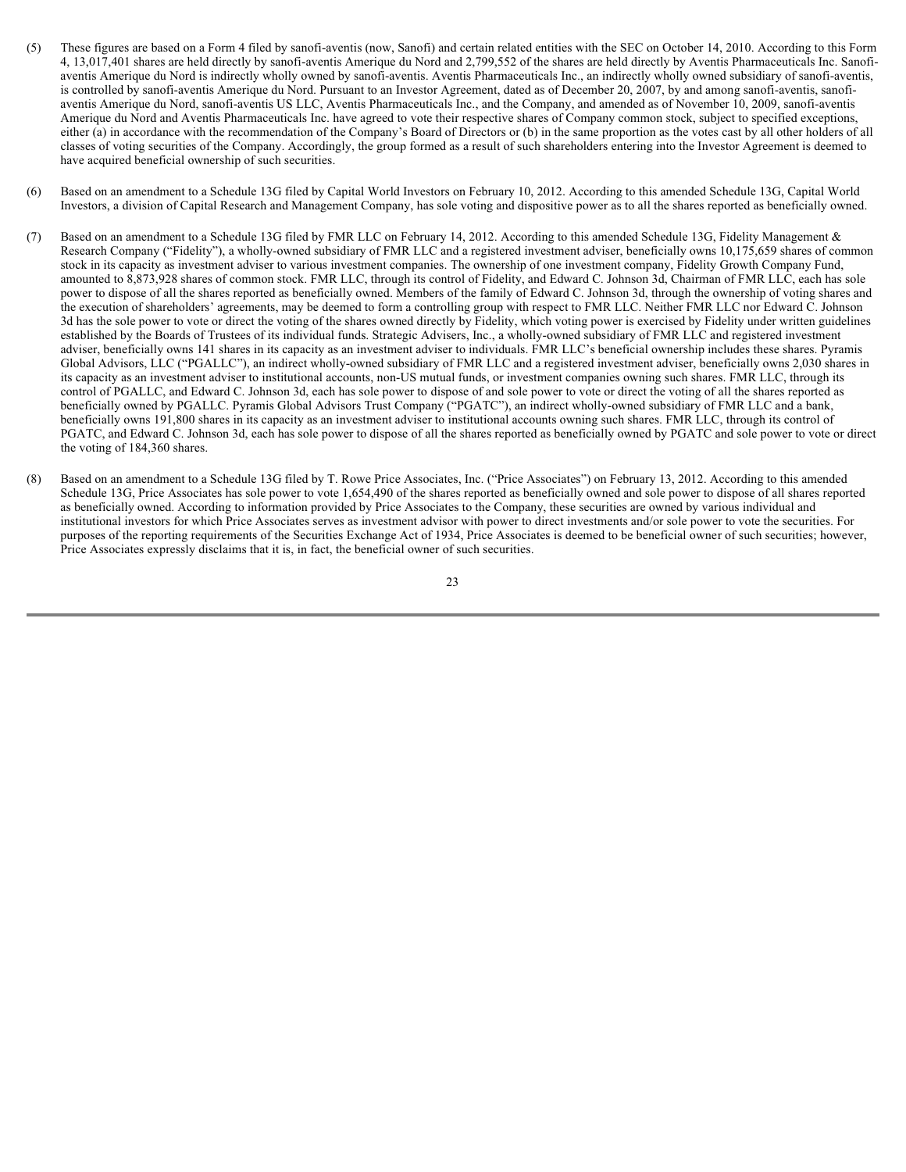- (5) These figures are based on a Form 4 filed by sanofi-aventis (now, Sanofi) and certain related entities with the SEC on October 14, 2010. According to this Form 4, 13,017,401 shares are held directly by sanofi-aventis Amerique du Nord and 2,799,552 of the shares are held directly by Aventis Pharmaceuticals Inc. Sanofiaventis Amerique du Nord is indirectly wholly owned by sanofi-aventis. Aventis Pharmaceuticals Inc., an indirectly wholly owned subsidiary of sanofi-aventis, is controlled by sanofi-aventis Amerique du Nord. Pursuant to an Investor Agreement, dated as of December 20, 2007, by and among sanofi-aventis, sanofiaventis Amerique du Nord, sanofi-aventis US LLC, Aventis Pharmaceuticals Inc., and the Company, and amended as of November 10, 2009, sanofi-aventis Amerique du Nord and Aventis Pharmaceuticals Inc. have agreed to vote their respective shares of Company common stock, subject to specified exceptions, either (a) in accordance with the recommendation of the Company's Board of Directors or (b) in the same proportion as the votes cast by all other holders of all classes of voting securities of the Company. Accordingly, the group formed as a result of such shareholders entering into the Investor Agreement is deemed to have acquired beneficial ownership of such securities.
- (6) Based on an amendment to a Schedule 13G filed by Capital World Investors on February 10, 2012. According to this amended Schedule 13G, Capital World Investors, a division of Capital Research and Management Company, has sole voting and dispositive power as to all the shares reported as beneficially owned.
- (7) Based on an amendment to a Schedule 13G filed by FMR LLC on February 14, 2012. According to this amended Schedule 13G, Fidelity Management & Research Company ("Fidelity"), a wholly-owned subsidiary of FMR LLC and a registered investment adviser, beneficially owns 10,175,659 shares of common stock in its capacity as investment adviser to various investment companies. The ownership of one investment company, Fidelity Growth Company Fund, amounted to 8,873,928 shares of common stock. FMR LLC, through its control of Fidelity, and Edward C. Johnson 3d, Chairman of FMR LLC, each has sole power to dispose of all the shares reported as beneficially owned. Members of the family of Edward C. Johnson 3d, through the ownership of voting shares and the execution of shareholders' agreements, may be deemed to form a controlling group with respect to FMR LLC. Neither FMR LLC nor Edward C. Johnson 3d has the sole power to vote or direct the voting of the shares owned directly by Fidelity, which voting power is exercised by Fidelity under written guidelines established by the Boards of Trustees of its individual funds. Strategic Advisers, Inc., a wholly-owned subsidiary of FMR LLC and registered investment adviser, beneficially owns 141 shares in its capacity as an investment adviser to individuals. FMR LLC's beneficial ownership includes these shares. Pyramis Global Advisors, LLC ("PGALLC"), an indirect wholly-owned subsidiary of FMR LLC and a registered investment adviser, beneficially owns 2,030 shares in its capacity as an investment adviser to institutional accounts, non-US mutual funds, or investment companies owning such shares. FMR LLC, through its control of PGALLC, and Edward C. Johnson 3d, each has sole power to dispose of and sole power to vote or direct the voting of all the shares reported as beneficially owned by PGALLC. Pyramis Global Advisors Trust Company ("PGATC"), an indirect wholly-owned subsidiary of FMR LLC and a bank, beneficially owns 191,800 shares in its capacity as an investment adviser to institutional accounts owning such shares. FMR LLC, through its control of PGATC, and Edward C. Johnson 3d, each has sole power to dispose of all the shares reported as beneficially owned by PGATC and sole power to vote or direct the voting of 184,360 shares.
- Based on an amendment to a Schedule 13G filed by T. Rowe Price Associates, Inc. ("Price Associates") on February 13, 2012. According to this amended Schedule 13G, Price Associates has sole power to vote 1,654,490 of the shares reported as beneficially owned and sole power to dispose of all shares reported as beneficially owned. According to information provided by Price Associates to the Company, these securities are owned by various individual and institutional investors for which Price Associates serves as investment advisor with power to direct investments and/or sole power to vote the securities. For purposes of the reporting requirements of the Securities Exchange Act of 1934, Price Associates is deemed to be beneficial owner of such securities; however, Price Associates expressly disclaims that it is, in fact, the beneficial owner of such securities.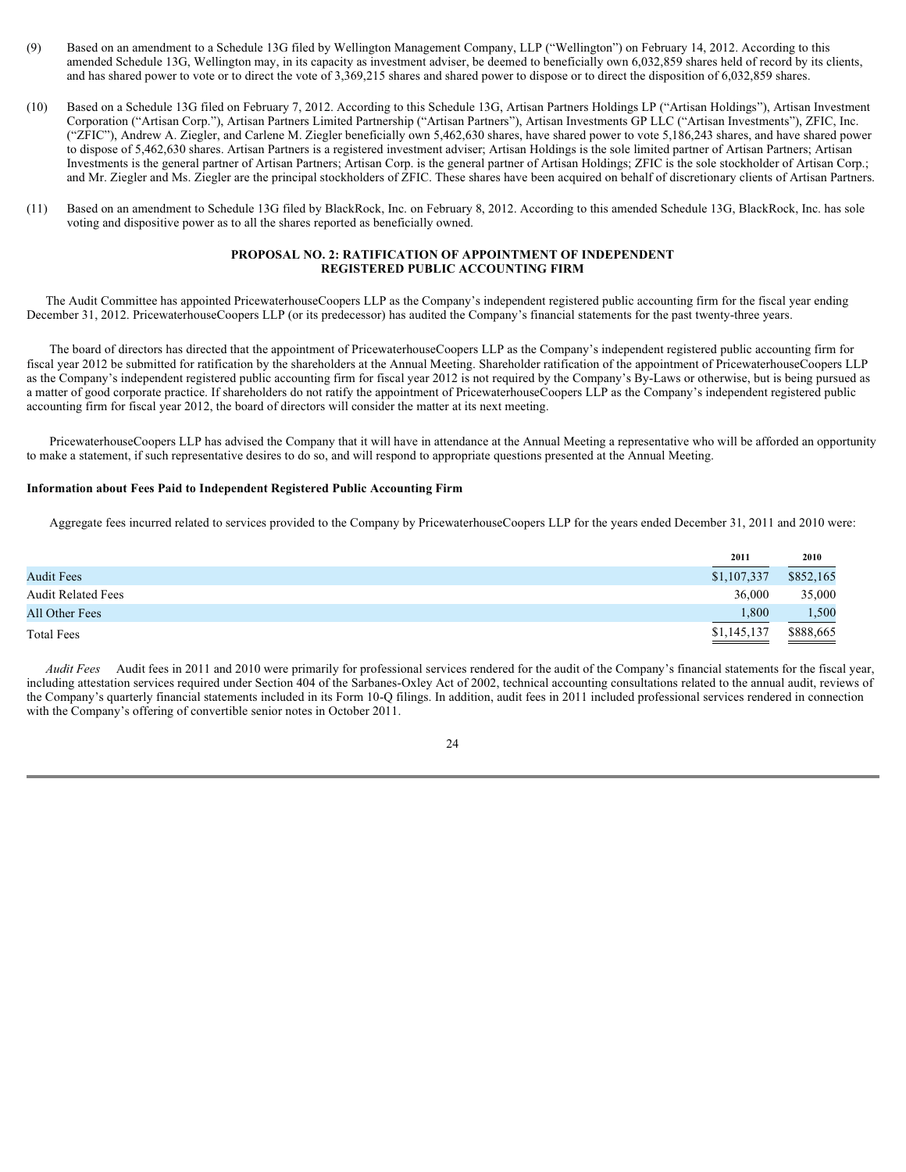- (9) Based on an amendment to a Schedule 13G filed by Wellington Management Company, LLP ("Wellington") on February 14, 2012. According to this amended Schedule 13G, Wellington may, in its capacity as investment adviser, be deemed to beneficially own 6,032,859 shares held of record by its clients, and has shared power to vote or to direct the vote of 3,369,215 shares and shared power to dispose or to direct the disposition of 6,032,859 shares.
- (10) Based on a Schedule 13G filed on February 7, 2012. According to this Schedule 13G, Artisan Partners Holdings LP ("Artisan Holdings"), Artisan Investment Corporation ("Artisan Corp."), Artisan Partners Limited Partnership ("Artisan Partners"), Artisan Investments GP LLC ("Artisan Investments"), ZFIC, Inc. ("ZFIC"), Andrew A. Ziegler, and Carlene M. Ziegler beneficially own 5,462,630 shares, have shared power to vote 5,186,243 shares, and have shared power to dispose of 5,462,630 shares. Artisan Partners is a registered investment adviser; Artisan Holdings is the sole limited partner of Artisan Partners; Artisan Investments is the general partner of Artisan Partners; Artisan Corp. is the general partner of Artisan Holdings; ZFIC is the sole stockholder of Artisan Corp.; and Mr. Ziegler and Ms. Ziegler are the principal stockholders of ZFIC. These shares have been acquired on behalf of discretionary clients of Artisan Partners.
- (11) Based on an amendment to Schedule 13G filed by BlackRock, Inc. on February 8, 2012. According to this amended Schedule 13G, BlackRock, Inc. has sole voting and dispositive power as to all the shares reported as beneficially owned.

#### **PROPOSAL NO. 2: RATIFICATION OF APPOINTMENT OF INDEPENDENT REGISTERED PUBLIC ACCOUNTING FIRM**

 The Audit Committee has appointed PricewaterhouseCoopers LLP as the Company's independent registered public accounting firm for the fiscal year ending December 31, 2012. PricewaterhouseCoopers LLP (or its predecessor) has audited the Company's financial statements for the past twenty-three years.

 The board of directors has directed that the appointment of PricewaterhouseCoopers LLP as the Company's independent registered public accounting firm for fiscal year 2012 be submitted for ratification by the shareholders at the Annual Meeting. Shareholder ratification of the appointment of PricewaterhouseCoopers LLP as the Company's independent registered public accounting firm for fiscal year 2012 is not required by the Company's By-Laws or otherwise, but is being pursued as a matter of good corporate practice. If shareholders do not ratify the appointment of PricewaterhouseCoopers LLP as the Company's independent registered public accounting firm for fiscal year 2012, the board of directors will consider the matter at its next meeting.

 PricewaterhouseCoopers LLP has advised the Company that it will have in attendance at the Annual Meeting a representative who will be afforded an opportunity to make a statement, if such representative desires to do so, and will respond to appropriate questions presented at the Annual Meeting.

#### **Information about Fees Paid to Independent Registered Public Accounting Firm**

Aggregate fees incurred related to services provided to the Company by PricewaterhouseCoopers LLP for the years ended December 31, 2011 and 2010 were:

|                           | 2011        | 2010      |
|---------------------------|-------------|-----------|
| <b>Audit Fees</b>         | \$1,107,337 | \$852,165 |
| <b>Audit Related Fees</b> | 36,000      | 35,000    |
| All Other Fees            | 1,800       | 1,500     |
| <b>Total Fees</b>         | \$1,145,137 | \$888,665 |

 *Audit Fees* Audit fees in 2011 and 2010 were primarily for professional services rendered for the audit of the Company's financial statements for the fiscal year, including attestation services required under Section 404 of the Sarbanes-Oxley Act of 2002, technical accounting consultations related to the annual audit, reviews of the Company's quarterly financial statements included in its Form 10-Q filings. In addition, audit fees in 2011 included professional services rendered in connection with the Company's offering of convertible senior notes in October 2011.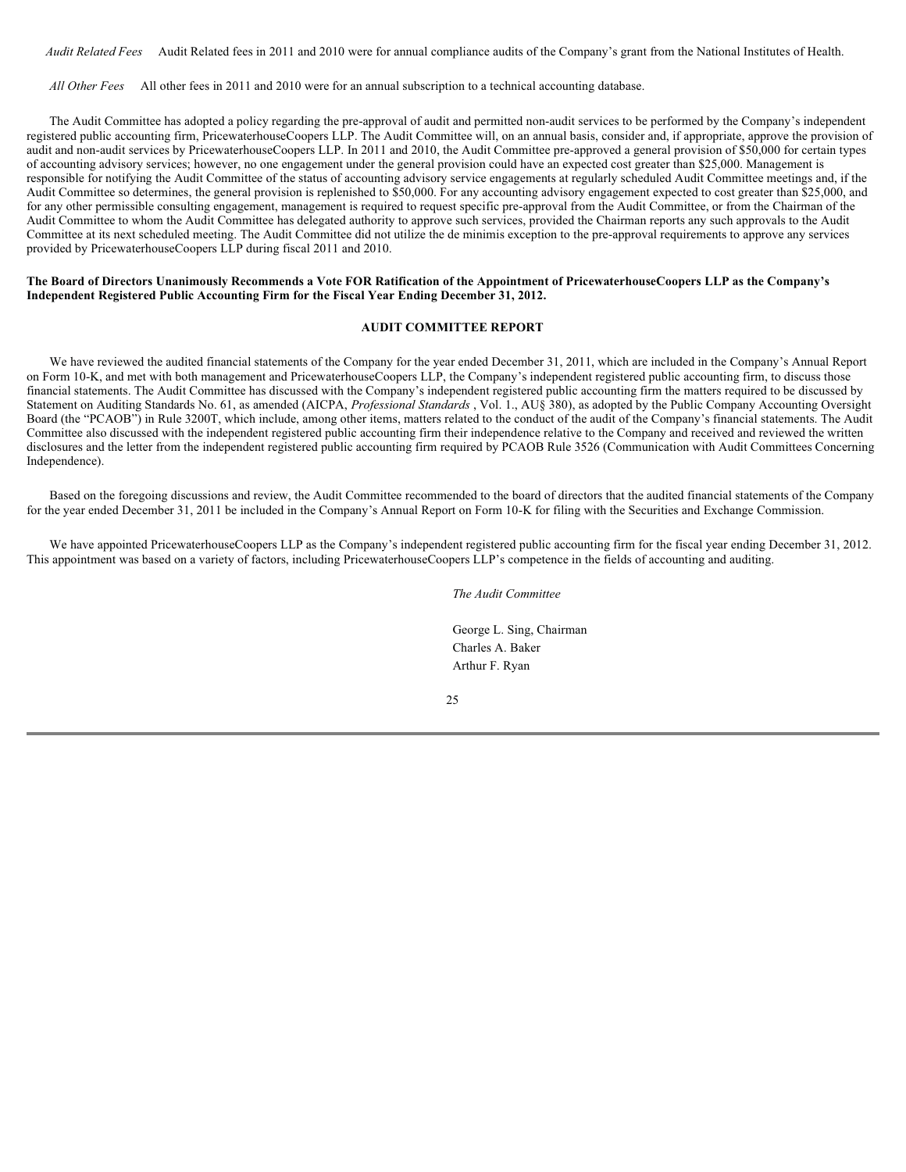*Audit Related Fees* Audit Related fees in 2011 and 2010 were for annual compliance audits of the Company's grant from the National Institutes of Health.

*All Other Fees* All other fees in 2011 and 2010 were for an annual subscription to a technical accounting database.

 The Audit Committee has adopted a policy regarding the pre-approval of audit and permitted non-audit services to be performed by the Company's independent registered public accounting firm, PricewaterhouseCoopers LLP. The Audit Committee will, on an annual basis, consider and, if appropriate, approve the provision of audit and non-audit services by PricewaterhouseCoopers LLP. In 2011 and 2010, the Audit Committee pre-approved a general provision of \$50,000 for certain types of accounting advisory services; however, no one engagement under the general provision could have an expected cost greater than \$25,000. Management is responsible for notifying the Audit Committee of the status of accounting advisory service engagements at regularly scheduled Audit Committee meetings and, if the Audit Committee so determines, the general provision is replenished to \$50,000. For any accounting advisory engagement expected to cost greater than \$25,000, and for any other permissible consulting engagement, management is required to request specific pre-approval from the Audit Committee, or from the Chairman of the Audit Committee to whom the Audit Committee has delegated authority to approve such services, provided the Chairman reports any such approvals to the Audit Committee at its next scheduled meeting. The Audit Committee did not utilize the de minimis exception to the pre-approval requirements to approve any services provided by PricewaterhouseCoopers LLP during fiscal 2011 and 2010.

#### **The Board of Directors Unanimously Recommends a Vote FOR Ratification of the Appointment of PricewaterhouseCoopers LLP as the Company's Independent Registered Public Accounting Firm for the Fiscal Year Ending December 31, 2012.**

#### **AUDIT COMMITTEE REPORT**

 We have reviewed the audited financial statements of the Company for the year ended December 31, 2011, which are included in the Company's Annual Report on Form 10-K, and met with both management and PricewaterhouseCoopers LLP, the Company's independent registered public accounting firm, to discuss those financial statements. The Audit Committee has discussed with the Company's independent registered public accounting firm the matters required to be discussed by Statement on Auditing Standards No. 61, as amended (AICPA, *Professional Standards* , Vol. 1., AU§ 380), as adopted by the Public Company Accounting Oversight Board (the "PCAOB") in Rule 3200T, which include, among other items, matters related to the conduct of the audit of the Company's financial statements. The Audit Committee also discussed with the independent registered public accounting firm their independence relative to the Company and received and reviewed the written disclosures and the letter from the independent registered public accounting firm required by PCAOB Rule 3526 (Communication with Audit Committees Concerning Independence).

 Based on the foregoing discussions and review, the Audit Committee recommended to the board of directors that the audited financial statements of the Company for the year ended December 31, 2011 be included in the Company's Annual Report on Form 10-K for filing with the Securities and Exchange Commission.

 We have appointed PricewaterhouseCoopers LLP as the Company's independent registered public accounting firm for the fiscal year ending December 31, 2012. This appointment was based on a variety of factors, including PricewaterhouseCoopers LLP's competence in the fields of accounting and auditing.

*The Audit Committee* 

George L. Sing, Chairman Charles A. Baker Arthur F. Ryan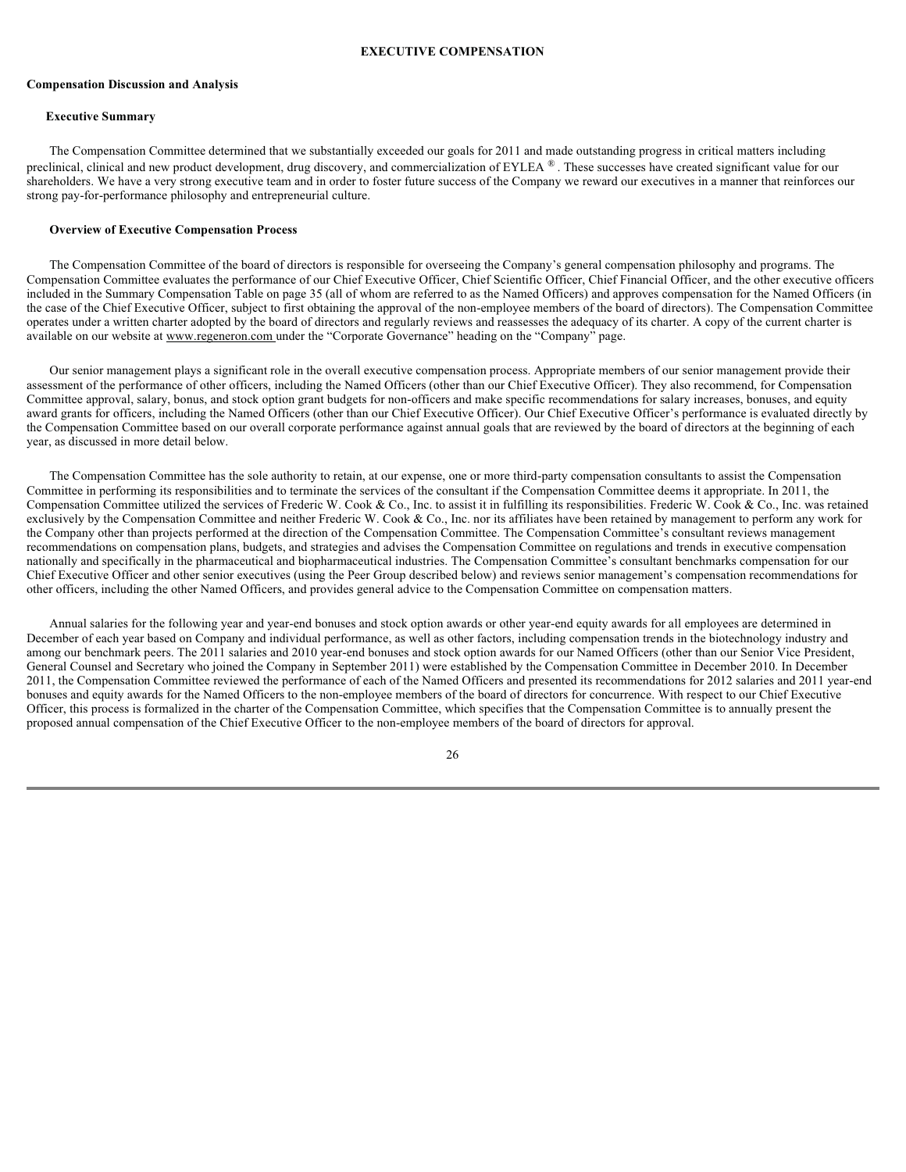#### **EXECUTIVE COMPENSATION**

#### **Compensation Discussion and Analysis**

#### **Executive Summary**

 The Compensation Committee determined that we substantially exceeded our goals for 2011 and made outstanding progress in critical matters including preclinical, clinical and new product development, drug discovery, and commercialization of EYLEA ®. These successes have created significant value for our shareholders. We have a very strong executive team and in order to foster future success of the Company we reward our executives in a manner that reinforces our strong pay-for-performance philosophy and entrepreneurial culture.

#### **Overview of Executive Compensation Process**

 The Compensation Committee of the board of directors is responsible for overseeing the Company's general compensation philosophy and programs. The Compensation Committee evaluates the performance of our Chief Executive Officer, Chief Scientific Officer, Chief Financial Officer, and the other executive officers included in the Summary Compensation Table on page 35 (all of whom are referred to as the Named Officers) and approves compensation for the Named Officers (in the case of the Chief Executive Officer, subject to first obtaining the approval of the non-employee members of the board of directors). The Compensation Committee operates under a written charter adopted by the board of directors and regularly reviews and reassesses the adequacy of its charter. A copy of the current charter is available on our website at www.regeneron.com under the "Corporate Governance" heading on the "Company" page.

 Our senior management plays a significant role in the overall executive compensation process. Appropriate members of our senior management provide their assessment of the performance of other officers, including the Named Officers (other than our Chief Executive Officer). They also recommend, for Compensation Committee approval, salary, bonus, and stock option grant budgets for non-officers and make specific recommendations for salary increases, bonuses, and equity award grants for officers, including the Named Officers (other than our Chief Executive Officer). Our Chief Executive Officer's performance is evaluated directly by the Compensation Committee based on our overall corporate performance against annual goals that are reviewed by the board of directors at the beginning of each year, as discussed in more detail below.

 The Compensation Committee has the sole authority to retain, at our expense, one or more third-party compensation consultants to assist the Compensation Committee in performing its responsibilities and to terminate the services of the consultant if the Compensation Committee deems it appropriate. In 2011, the Compensation Committee utilized the services of Frederic W. Cook & Co., Inc. to assist it in fulfilling its responsibilities. Frederic W. Cook & Co., Inc. was retained exclusively by the Compensation Committee and neither Frederic W. Cook & Co., Inc. nor its affiliates have been retained by management to perform any work for the Company other than projects performed at the direction of the Compensation Committee. The Compensation Committee's consultant reviews management recommendations on compensation plans, budgets, and strategies and advises the Compensation Committee on regulations and trends in executive compensation nationally and specifically in the pharmaceutical and biopharmaceutical industries. The Compensation Committee's consultant benchmarks compensation for our Chief Executive Officer and other senior executives (using the Peer Group described below) and reviews senior management's compensation recommendations for other officers, including the other Named Officers, and provides general advice to the Compensation Committee on compensation matters.

 Annual salaries for the following year and year-end bonuses and stock option awards or other year-end equity awards for all employees are determined in December of each year based on Company and individual performance, as well as other factors, including compensation trends in the biotechnology industry and among our benchmark peers. The 2011 salaries and 2010 year-end bonuses and stock option awards for our Named Officers (other than our Senior Vice President, General Counsel and Secretary who joined the Company in September 2011) were established by the Compensation Committee in December 2010. In December 2011, the Compensation Committee reviewed the performance of each of the Named Officers and presented its recommendations for 2012 salaries and 2011 year-end bonuses and equity awards for the Named Officers to the non-employee members of the board of directors for concurrence. With respect to our Chief Executive Officer, this process is formalized in the charter of the Compensation Committee, which specifies that the Compensation Committee is to annually present the proposed annual compensation of the Chief Executive Officer to the non-employee members of the board of directors for approval.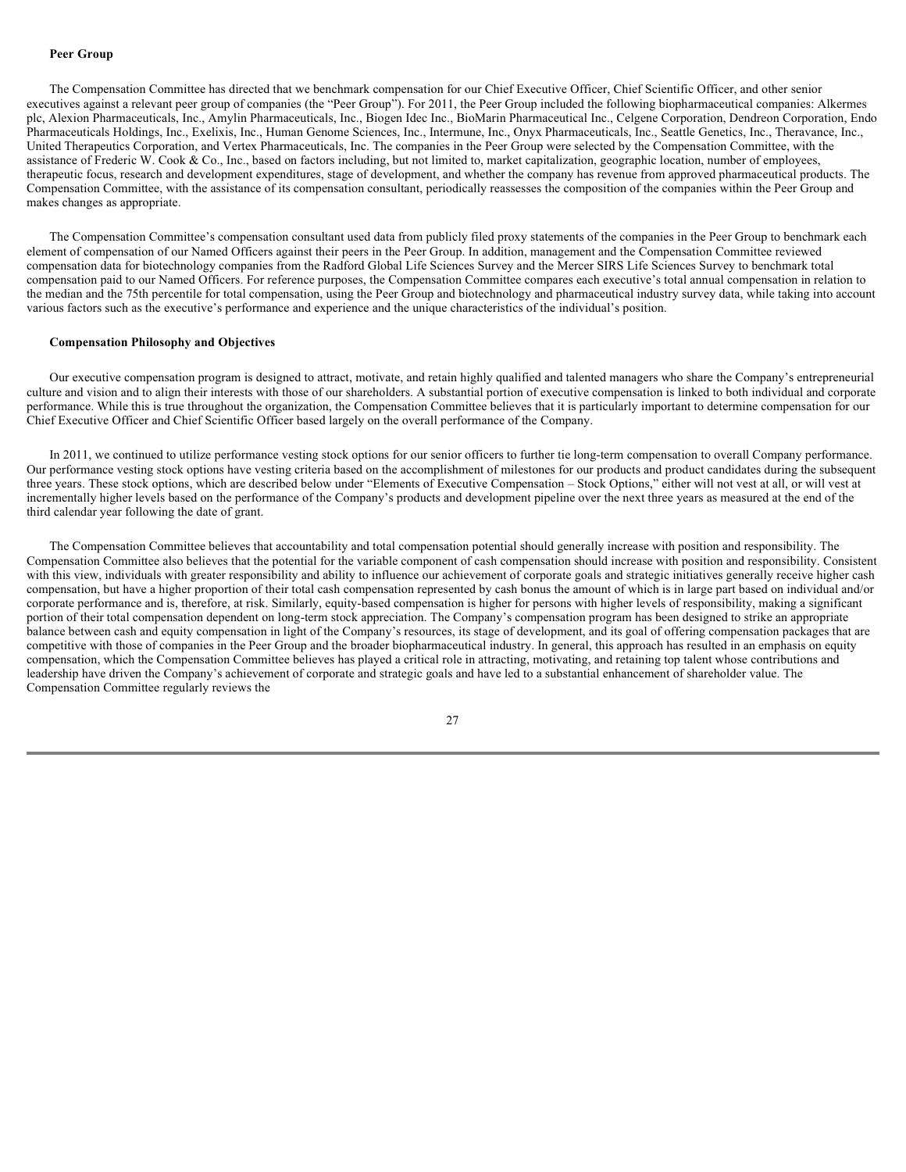The Compensation Committee has directed that we benchmark compensation for our Chief Executive Officer, Chief Scientific Officer, and other senior executives against a relevant peer group of companies (the "Peer Group"). For 2011, the Peer Group included the following biopharmaceutical companies: Alkermes plc, Alexion Pharmaceuticals, Inc., Amylin Pharmaceuticals, Inc., Biogen Idec Inc., BioMarin Pharmaceutical Inc., Celgene Corporation, Dendreon Corporation, Endo Pharmaceuticals Holdings, Inc., Exelixis, Inc., Human Genome Sciences, Inc., Intermune, Inc., Onyx Pharmaceuticals, Inc., Seattle Genetics, Inc., Theravance, Inc., United Therapeutics Corporation, and Vertex Pharmaceuticals, Inc. The companies in the Peer Group were selected by the Compensation Committee, with the assistance of Frederic W. Cook & Co., Inc., based on factors including, but not limited to, market capitalization, geographic location, number of employees, therapeutic focus, research and development expenditures, stage of development, and whether the company has revenue from approved pharmaceutical products. The Compensation Committee, with the assistance of its compensation consultant, periodically reassesses the composition of the companies within the Peer Group and makes changes as appropriate.

 The Compensation Committee's compensation consultant used data from publicly filed proxy statements of the companies in the Peer Group to benchmark each element of compensation of our Named Officers against their peers in the Peer Group. In addition, management and the Compensation Committee reviewed compensation data for biotechnology companies from the Radford Global Life Sciences Survey and the Mercer SIRS Life Sciences Survey to benchmark total compensation paid to our Named Officers. For reference purposes, the Compensation Committee compares each executive's total annual compensation in relation to the median and the 75th percentile for total compensation, using the Peer Group and biotechnology and pharmaceutical industry survey data, while taking into account various factors such as the executive's performance and experience and the unique characteristics of the individual's position.

#### **Compensation Philosophy and Objectives**

 Our executive compensation program is designed to attract, motivate, and retain highly qualified and talented managers who share the Company's entrepreneurial culture and vision and to align their interests with those of our shareholders. A substantial portion of executive compensation is linked to both individual and corporate performance. While this is true throughout the organization, the Compensation Committee believes that it is particularly important to determine compensation for our Chief Executive Officer and Chief Scientific Officer based largely on the overall performance of the Company.

 In 2011, we continued to utilize performance vesting stock options for our senior officers to further tie long-term compensation to overall Company performance. Our performance vesting stock options have vesting criteria based on the accomplishment of milestones for our products and product candidates during the subsequent three years. These stock options, which are described below under "Elements of Executive Compensation – Stock Options," either will not vest at all, or will vest at incrementally higher levels based on the performance of the Company's products and development pipeline over the next three years as measured at the end of the third calendar year following the date of grant.

 The Compensation Committee believes that accountability and total compensation potential should generally increase with position and responsibility. The Compensation Committee also believes that the potential for the variable component of cash compensation should increase with position and responsibility. Consistent with this view, individuals with greater responsibility and ability to influence our achievement of corporate goals and strategic initiatives generally receive higher cash compensation, but have a higher proportion of their total cash compensation represented by cash bonus the amount of which is in large part based on individual and/or corporate performance and is, therefore, at risk. Similarly, equity-based compensation is higher for persons with higher levels of responsibility, making a significant portion of their total compensation dependent on long-term stock appreciation. The Company's compensation program has been designed to strike an appropriate balance between cash and equity compensation in light of the Company's resources, its stage of development, and its goal of offering compensation packages that are competitive with those of companies in the Peer Group and the broader biopharmaceutical industry. In general, this approach has resulted in an emphasis on equity compensation, which the Compensation Committee believes has played a critical role in attracting, motivating, and retaining top talent whose contributions and leadership have driven the Company's achievement of corporate and strategic goals and have led to a substantial enhancement of shareholder value. The Compensation Committee regularly reviews the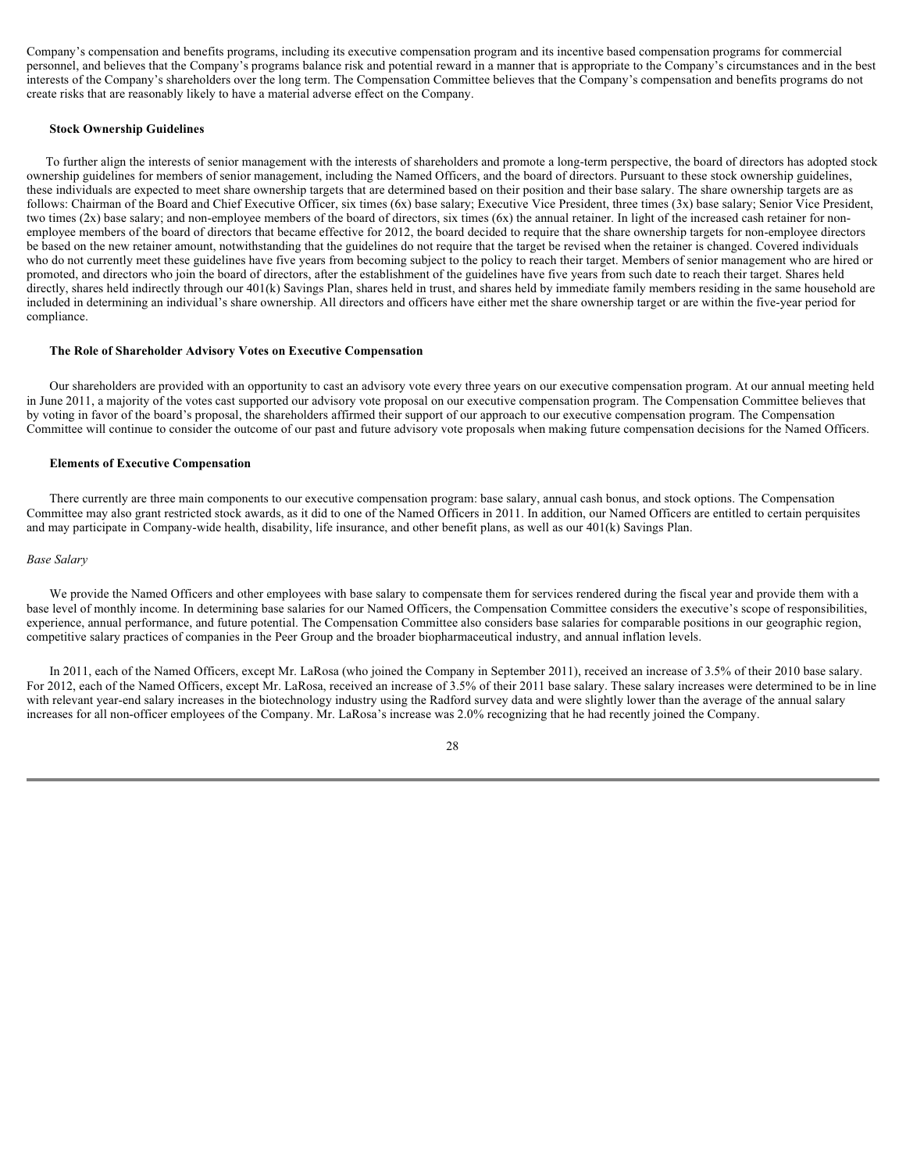Company's compensation and benefits programs, including its executive compensation program and its incentive based compensation programs for commercial personnel, and believes that the Company's programs balance risk and potential reward in a manner that is appropriate to the Company's circumstances and in the best interests of the Company's shareholders over the long term. The Compensation Committee believes that the Company's compensation and benefits programs do not create risks that are reasonably likely to have a material adverse effect on the Company.

#### **Stock Ownership Guidelines**

 To further align the interests of senior management with the interests of shareholders and promote a long-term perspective, the board of directors has adopted stock ownership guidelines for members of senior management, including the Named Officers, and the board of directors. Pursuant to these stock ownership guidelines, these individuals are expected to meet share ownership targets that are determined based on their position and their base salary. The share ownership targets are as follows: Chairman of the Board and Chief Executive Officer, six times (6x) base salary; Executive Vice President, three times (3x) base salary; Senior Vice President, two times (2x) base salary; and non-employee members of the board of directors, six times (6x) the annual retainer. In light of the increased cash retainer for nonemployee members of the board of directors that became effective for 2012, the board decided to require that the share ownership targets for non-employee directors be based on the new retainer amount, notwithstanding that the guidelines do not require that the target be revised when the retainer is changed. Covered individuals who do not currently meet these guidelines have five years from becoming subject to the policy to reach their target. Members of senior management who are hired or promoted, and directors who join the board of directors, after the establishment of the guidelines have five years from such date to reach their target. Shares held directly, shares held indirectly through our 401(k) Savings Plan, shares held in trust, and shares held by immediate family members residing in the same household are included in determining an individual's share ownership. All directors and officers have either met the share ownership target or are within the five-year period for compliance.

#### **The Role of Shareholder Advisory Votes on Executive Compensation**

 Our shareholders are provided with an opportunity to cast an advisory vote every three years on our executive compensation program. At our annual meeting held in June 2011, a majority of the votes cast supported our advisory vote proposal on our executive compensation program. The Compensation Committee believes that by voting in favor of the board's proposal, the shareholders affirmed their support of our approach to our executive compensation program. The Compensation Committee will continue to consider the outcome of our past and future advisory vote proposals when making future compensation decisions for the Named Officers.

#### **Elements of Executive Compensation**

 There currently are three main components to our executive compensation program: base salary, annual cash bonus, and stock options. The Compensation Committee may also grant restricted stock awards, as it did to one of the Named Officers in 2011. In addition, our Named Officers are entitled to certain perquisites and may participate in Company-wide health, disability, life insurance, and other benefit plans, as well as our 401(k) Savings Plan.

#### *Base Salary*

We provide the Named Officers and other employees with base salary to compensate them for services rendered during the fiscal year and provide them with a base level of monthly income. In determining base salaries for our Named Officers, the Compensation Committee considers the executive's scope of responsibilities, experience, annual performance, and future potential. The Compensation Committee also considers base salaries for comparable positions in our geographic region, competitive salary practices of companies in the Peer Group and the broader biopharmaceutical industry, and annual inflation levels.

 In 2011, each of the Named Officers, except Mr. LaRosa (who joined the Company in September 2011), received an increase of 3.5% of their 2010 base salary. For 2012, each of the Named Officers, except Mr. LaRosa, received an increase of 3.5% of their 2011 base salary. These salary increases were determined to be in line with relevant year-end salary increases in the biotechnology industry using the Radford survey data and were slightly lower than the average of the annual salary increases for all non-officer employees of the Company. Mr. LaRosa's increase was 2.0% recognizing that he had recently joined the Company.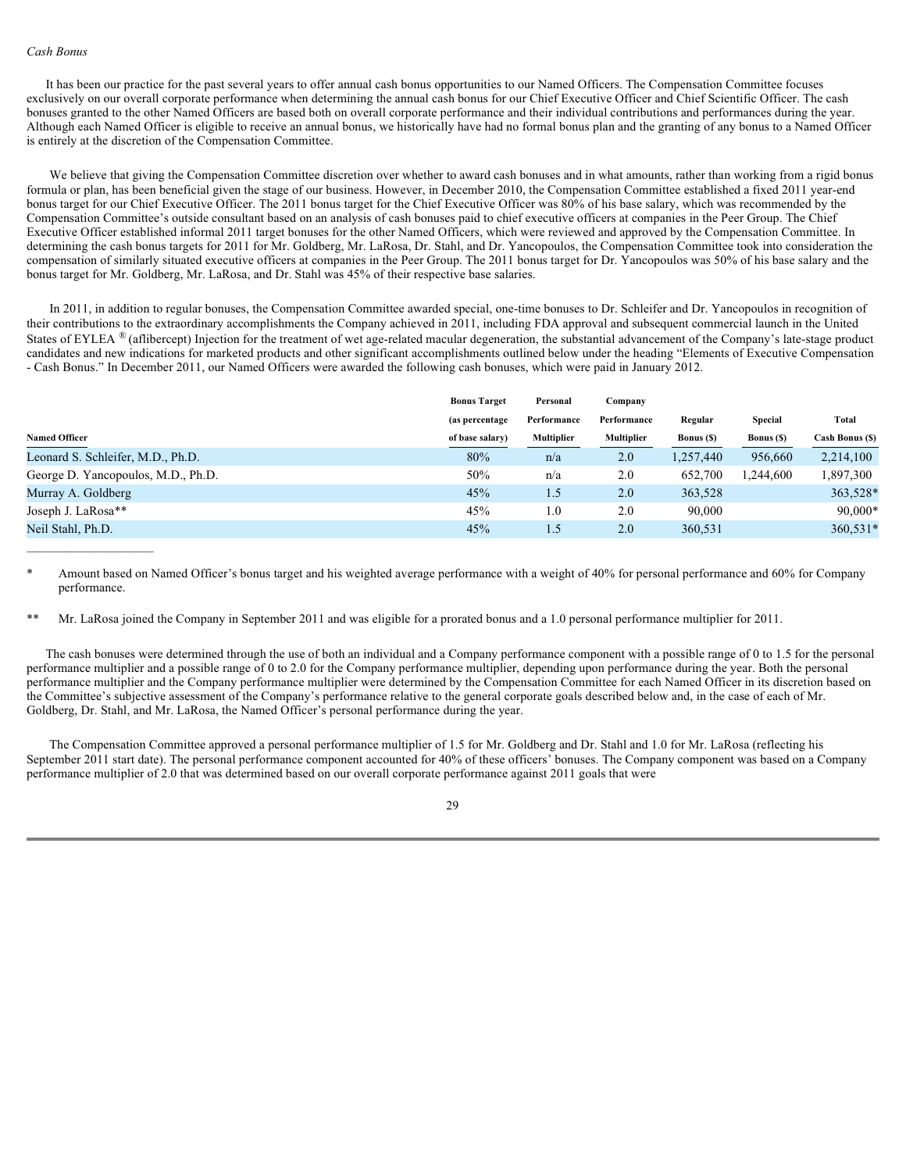It has been our practice for the past several years to offer annual cash bonus opportunities to our Named Officers. The Compensation Committee focuses exclusively on our overall corporate performance when determining the annual cash bonus for our Chief Executive Officer and Chief Scientific Officer. The cash bonuses granted to the other Named Officers are based both on overall corporate performance and their individual contributions and performances during the year. Although each Named Officer is eligible to receive an annual bonus, we historically have had no formal bonus plan and the granting of any bonus to a Named Officer is entirely at the discretion of the Compensation Committee.

We believe that giving the Compensation Committee discretion over whether to award cash bonuses and in what amounts, rather than working from a rigid bonus formula or plan, has been beneficial given the stage of our business. However, in December 2010, the Compensation Committee established a fixed 2011 year-end bonus target for our Chief Executive Officer. The 2011 bonus target for the Chief Executive Officer was 80% of his base salary, which was recommended by the Compensation Committee's outside consultant based on an analysis of cash bonuses paid to chief executive officers at companies in the Peer Group. The Chief Executive Officer established informal 2011 target bonuses for the other Named Officers, which were reviewed and approved by the Compensation Committee. In determining the cash bonus targets for 2011 for Mr. Goldberg, Mr. LaRosa, Dr. Stahl, and Dr. Yancopoulos, the Compensation Committee took into consideration the compensation of similarly situated executive officers at companies in the Peer Group. The 2011 bonus target for Dr. Yancopoulos was 50% of his base salary and the bonus target for Mr. Goldberg, Mr. LaRosa, and Dr. Stahl was 45% of their respective base salaries.

 In 2011, in addition to regular bonuses, the Compensation Committee awarded special, one-time bonuses to Dr. Schleifer and Dr. Yancopoulos in recognition of their contributions to the extraordinary accomplishments the Company achieved in 2011, including FDA approval and subsequent commercial launch in the United States of EYLEA ® (aflibercept) Injection for the treatment of wet age-related macular degeneration, the substantial advancement of the Company's late-stage product candidates and new indications for marketed products and other significant accomplishments outlined below under the heading "Elements of Executive Compensation - Cash Bonus." In December 2011, our Named Officers were awarded the following cash bonuses, which were paid in January 2012.

|                                    | <b>Bonus Target</b> | Personal          | Company           |                   |                   |                 |
|------------------------------------|---------------------|-------------------|-------------------|-------------------|-------------------|-----------------|
|                                    | (as percentage)     | Performance       | Performance       | Regular           | <b>Special</b>    | Total           |
| <b>Named Officer</b>               | of base salary)     | <b>Multiplier</b> | <b>Multiplier</b> | <b>Bonus</b> (\$) | <b>Bonus</b> (\$) | Cash Bonus (\$) |
| Leonard S. Schleifer, M.D., Ph.D.  | 80%                 | n/a               | 2.0               | 1,257,440         | 956,660           | 2,214,100       |
| George D. Yancopoulos, M.D., Ph.D. | 50%                 | n/a               | 2.0               | 652,700           | 1,244,600         | 1,897,300       |
| Murray A. Goldberg                 | 45%                 | 1.5               | 2.0               | 363,528           |                   | 363,528*        |
| Joseph J. LaRosa**                 | 45%                 | 1.0               | 2.0               | 90,000            |                   | $90,000*$       |
| Neil Stahl, Ph.D.                  | 45%                 | 1.5               | 2.0               | 360,531           |                   | 360,531*        |
|                                    |                     |                   |                   |                   |                   |                 |

Amount based on Named Officer's bonus target and his weighted average performance with a weight of 40% for personal performance and 60% for Company performance.

Mr. LaRosa joined the Company in September 2011 and was eligible for a prorated bonus and a 1.0 personal performance multiplier for 2011.

 The cash bonuses were determined through the use of both an individual and a Company performance component with a possible range of 0 to 1.5 for the personal performance multiplier and a possible range of 0 to 2.0 for the Company performance multiplier, depending upon performance during the year. Both the personal performance multiplier and the Company performance multiplier were determined by the Compensation Committee for each Named Officer in its discretion based on the Committee's subjective assessment of the Company's performance relative to the general corporate goals described below and, in the case of each of Mr. Goldberg, Dr. Stahl, and Mr. LaRosa, the Named Officer's personal performance during the year.

 The Compensation Committee approved a personal performance multiplier of 1.5 for Mr. Goldberg and Dr. Stahl and 1.0 for Mr. LaRosa (reflecting his September 2011 start date). The personal performance component accounted for 40% of these officers' bonuses. The Company component was based on a Company performance multiplier of 2.0 that was determined based on our overall corporate performance against 2011 goals that were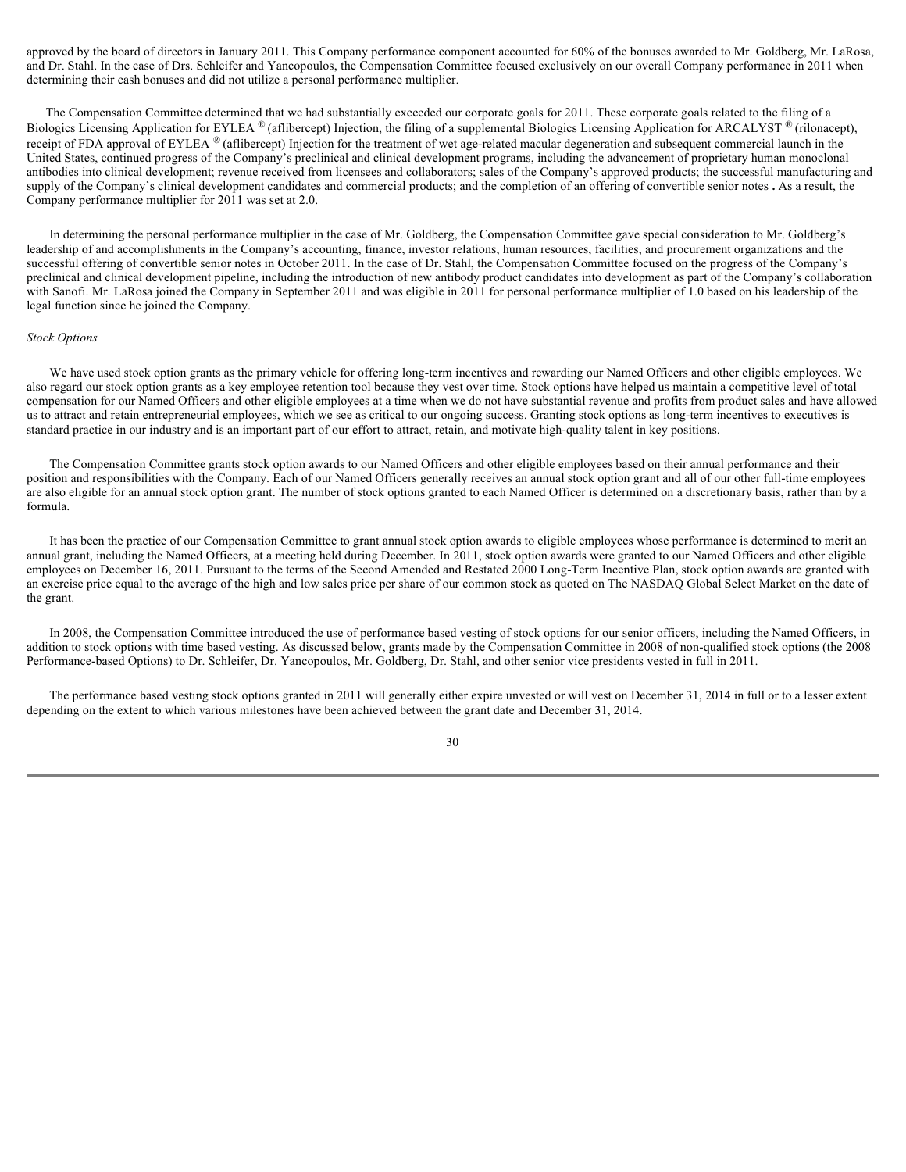approved by the board of directors in January 2011. This Company performance component accounted for 60% of the bonuses awarded to Mr. Goldberg, Mr. LaRosa, and Dr. Stahl. In the case of Drs. Schleifer and Yancopoulos, the Compensation Committee focused exclusively on our overall Company performance in 2011 when determining their cash bonuses and did not utilize a personal performance multiplier.

 The Compensation Committee determined that we had substantially exceeded our corporate goals for 2011. These corporate goals related to the filing of a Biologics Licensing Application for EYLEA ® (aflibercept) Injection, the filing of a supplemental Biologics Licensing Application for ARCALYST ® (rilonacept), receipt of FDA approval of EYLEA ® (aflibercept) Injection for the treatment of wet age-related macular degeneration and subsequent commercial launch in the United States, continued progress of the Company's preclinical and clinical development programs, including the advancement of proprietary human monoclonal antibodies into clinical development; revenue received from licensees and collaborators; sales of the Company's approved products; the successful manufacturing and supply of the Company's clinical development candidates and commercial products; and the completion of an offering of convertible senior notes **.** As a result, the Company performance multiplier for 2011 was set at 2.0.

 In determining the personal performance multiplier in the case of Mr. Goldberg, the Compensation Committee gave special consideration to Mr. Goldberg's leadership of and accomplishments in the Company's accounting, finance, investor relations, human resources, facilities, and procurement organizations and the successful offering of convertible senior notes in October 2011. In the case of Dr. Stahl, the Compensation Committee focused on the progress of the Company's preclinical and clinical development pipeline, including the introduction of new antibody product candidates into development as part of the Company's collaboration with Sanofi. Mr. LaRosa joined the Company in September 2011 and was eligible in 2011 for personal performance multiplier of 1.0 based on his leadership of the legal function since he joined the Company.

#### *Stock Options*

We have used stock option grants as the primary vehicle for offering long-term incentives and rewarding our Named Officers and other eligible employees. We also regard our stock option grants as a key employee retention tool because they vest over time. Stock options have helped us maintain a competitive level of total compensation for our Named Officers and other eligible employees at a time when we do not have substantial revenue and profits from product sales and have allowed us to attract and retain entrepreneurial employees, which we see as critical to our ongoing success. Granting stock options as long-term incentives to executives is standard practice in our industry and is an important part of our effort to attract, retain, and motivate high-quality talent in key positions.

 The Compensation Committee grants stock option awards to our Named Officers and other eligible employees based on their annual performance and their position and responsibilities with the Company. Each of our Named Officers generally receives an annual stock option grant and all of our other full-time employees are also eligible for an annual stock option grant. The number of stock options granted to each Named Officer is determined on a discretionary basis, rather than by a formula.

 It has been the practice of our Compensation Committee to grant annual stock option awards to eligible employees whose performance is determined to merit an annual grant, including the Named Officers, at a meeting held during December. In 2011, stock option awards were granted to our Named Officers and other eligible employees on December 16, 2011. Pursuant to the terms of the Second Amended and Restated 2000 Long-Term Incentive Plan, stock option awards are granted with an exercise price equal to the average of the high and low sales price per share of our common stock as quoted on The NASDAQ Global Select Market on the date of the grant.

In 2008, the Compensation Committee introduced the use of performance based vesting of stock options for our senior officers, including the Named Officers, in addition to stock options with time based vesting. As discussed below, grants made by the Compensation Committee in 2008 of non-qualified stock options (the 2008 Performance-based Options) to Dr. Schleifer, Dr. Yancopoulos, Mr. Goldberg, Dr. Stahl, and other senior vice presidents vested in full in 2011.

 The performance based vesting stock options granted in 2011 will generally either expire unvested or will vest on December 31, 2014 in full or to a lesser extent depending on the extent to which various milestones have been achieved between the grant date and December 31, 2014.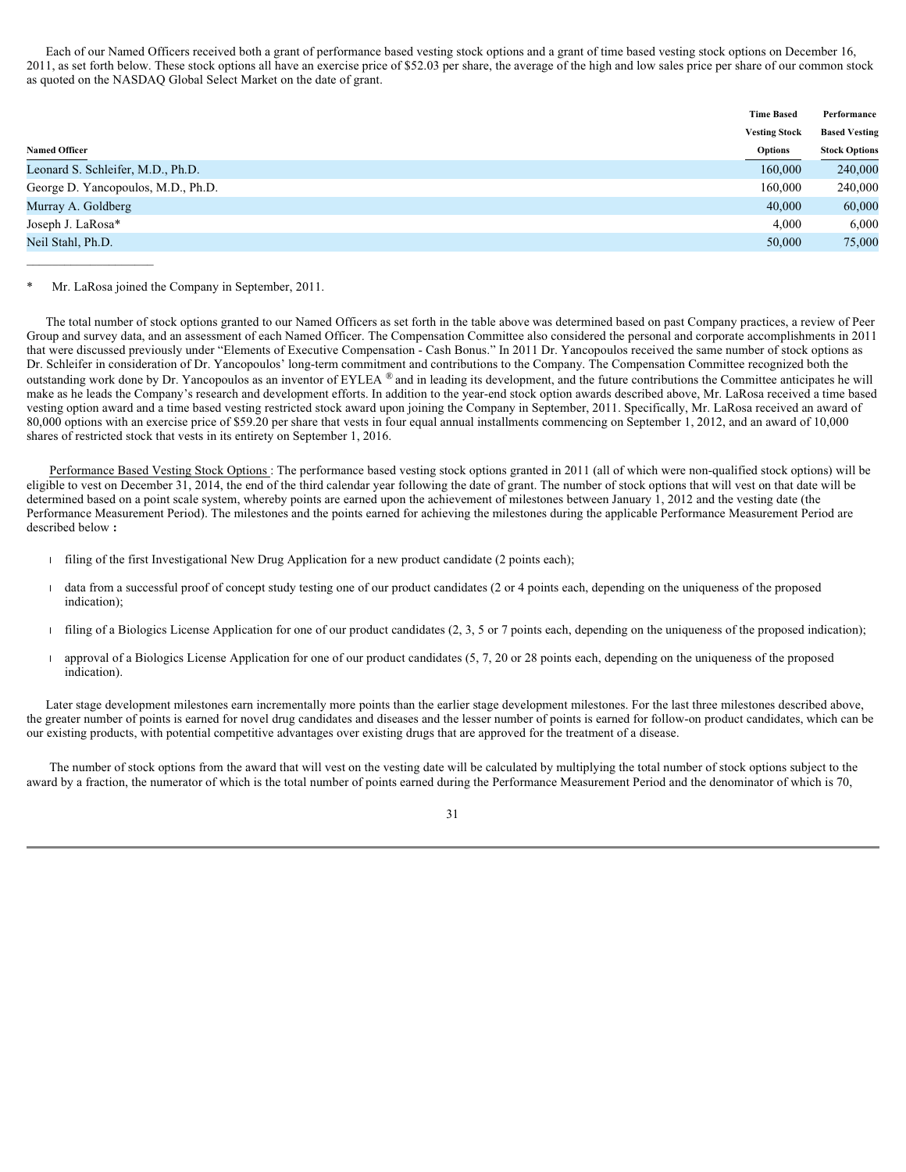Each of our Named Officers received both a grant of performance based vesting stock options and a grant of time based vesting stock options on December 16, 2011, as set forth below. These stock options all have an exercise price of \$52.03 per share, the average of the high and low sales price per share of our common stock as quoted on the NASDAQ Global Select Market on the date of grant.

|                                    | <b>Time Based</b>    | Performance          |
|------------------------------------|----------------------|----------------------|
|                                    | <b>Vesting Stock</b> | <b>Based Vesting</b> |
| <b>Named Officer</b>               | <b>Options</b>       | <b>Stock Options</b> |
| Leonard S. Schleifer, M.D., Ph.D.  | 160,000              | 240,000              |
| George D. Yancopoulos, M.D., Ph.D. | 160,000              | 240,000              |
| Murray A. Goldberg                 | 40,000               | 60,000               |
| Joseph J. LaRosa*                  | 4.000                | 6,000                |
| Neil Stahl, Ph.D.                  | 50,000               | 75,000               |
|                                    |                      |                      |

#### Mr. LaRosa joined the Company in September, 2011.

 The total number of stock options granted to our Named Officers as set forth in the table above was determined based on past Company practices, a review of Peer Group and survey data, and an assessment of each Named Officer. The Compensation Committee also considered the personal and corporate accomplishments in 2011 that were discussed previously under "Elements of Executive Compensation - Cash Bonus." In 2011 Dr. Yancopoulos received the same number of stock options as Dr. Schleifer in consideration of Dr. Yancopoulos' long-term commitment and contributions to the Company. The Compensation Committee recognized both the outstanding work done by Dr. Yancopoulos as an inventor of EYLEA  $\mathcal{R}$  and in leading its development, and the future contributions the Committee anticipates he will make as he leads the Company's research and development efforts. In addition to the year-end stock option awards described above, Mr. LaRosa received a time based vesting option award and a time based vesting restricted stock award upon joining the Company in September, 2011. Specifically, Mr. LaRosa received an award of 80,000 options with an exercise price of \$59.20 per share that vests in four equal annual installments commencing on September 1, 2012, and an award of 10,000 shares of restricted stock that vests in its entirety on September 1, 2016.

 Performance Based Vesting Stock Options : The performance based vesting stock options granted in 2011 (all of which were non-qualified stock options) will be eligible to vest on December 31, 2014, the end of the third calendar year following the date of grant. The number of stock options that will vest on that date will be determined based on a point scale system, whereby points are earned upon the achievement of milestones between January 1, 2012 and the vesting date (the Performance Measurement Period). The milestones and the points earned for achieving the milestones during the applicable Performance Measurement Period are described below **:** 

- l filing of the first Investigational New Drug Application for a new product candidate (2 points each);
- l data from a successful proof of concept study testing one of our product candidates (2 or 4 points each, depending on the uniqueness of the proposed indication);
- l filing of a Biologics License Application for one of our product candidates (2, 3, 5 or 7 points each, depending on the uniqueness of the proposed indication);
- l approval of a Biologics License Application for one of our product candidates (5, 7, 20 or 28 points each, depending on the uniqueness of the proposed indication).

 Later stage development milestones earn incrementally more points than the earlier stage development milestones. For the last three milestones described above, the greater number of points is earned for novel drug candidates and diseases and the lesser number of points is earned for follow-on product candidates, which can be our existing products, with potential competitive advantages over existing drugs that are approved for the treatment of a disease.

 The number of stock options from the award that will vest on the vesting date will be calculated by multiplying the total number of stock options subject to the award by a fraction, the numerator of which is the total number of points earned during the Performance Measurement Period and the denominator of which is 70,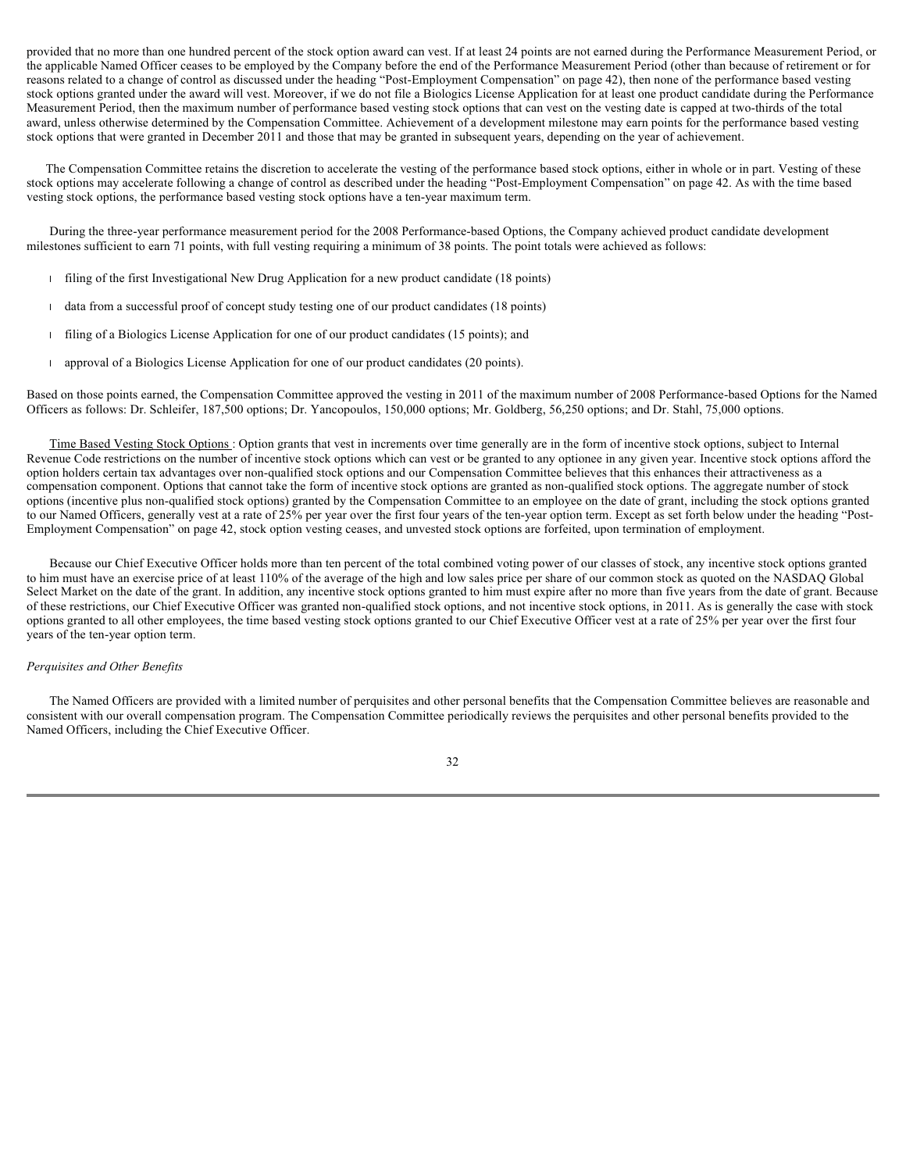provided that no more than one hundred percent of the stock option award can vest. If at least 24 points are not earned during the Performance Measurement Period, or the applicable Named Officer ceases to be employed by the Company before the end of the Performance Measurement Period (other than because of retirement or for reasons related to a change of control as discussed under the heading "Post-Employment Compensation" on page 42), then none of the performance based vesting stock options granted under the award will vest. Moreover, if we do not file a Biologics License Application for at least one product candidate during the Performance Measurement Period, then the maximum number of performance based vesting stock options that can vest on the vesting date is capped at two-thirds of the total award, unless otherwise determined by the Compensation Committee. Achievement of a development milestone may earn points for the performance based vesting stock options that were granted in December 2011 and those that may be granted in subsequent years, depending on the year of achievement.

 The Compensation Committee retains the discretion to accelerate the vesting of the performance based stock options, either in whole or in part. Vesting of these stock options may accelerate following a change of control as described under the heading "Post-Employment Compensation" on page 42. As with the time based vesting stock options, the performance based vesting stock options have a ten-year maximum term.

 During the three-year performance measurement period for the 2008 Performance-based Options, the Company achieved product candidate development milestones sufficient to earn 71 points, with full vesting requiring a minimum of 38 points. The point totals were achieved as follows:

- l filing of the first Investigational New Drug Application for a new product candidate (18 points)
- l data from a successful proof of concept study testing one of our product candidates (18 points)
- l filing of a Biologics License Application for one of our product candidates (15 points); and
- l approval of a Biologics License Application for one of our product candidates (20 points).

Based on those points earned, the Compensation Committee approved the vesting in 2011 of the maximum number of 2008 Performance-based Options for the Named Officers as follows: Dr. Schleifer, 187,500 options; Dr. Yancopoulos, 150,000 options; Mr. Goldberg, 56,250 options; and Dr. Stahl, 75,000 options.

 Time Based Vesting Stock Options : Option grants that vest in increments over time generally are in the form of incentive stock options, subject to Internal Revenue Code restrictions on the number of incentive stock options which can vest or be granted to any optionee in any given year. Incentive stock options afford the option holders certain tax advantages over non-qualified stock options and our Compensation Committee believes that this enhances their attractiveness as a compensation component. Options that cannot take the form of incentive stock options are granted as non-qualified stock options. The aggregate number of stock options (incentive plus non-qualified stock options) granted by the Compensation Committee to an employee on the date of grant, including the stock options granted to our Named Officers, generally vest at a rate of 25% per year over the first four years of the ten-year option term. Except as set forth below under the heading "Post-Employment Compensation" on page 42, stock option vesting ceases, and unvested stock options are forfeited, upon termination of employment.

 Because our Chief Executive Officer holds more than ten percent of the total combined voting power of our classes of stock, any incentive stock options granted to him must have an exercise price of at least 110% of the average of the high and low sales price per share of our common stock as quoted on the NASDAQ Global Select Market on the date of the grant. In addition, any incentive stock options granted to him must expire after no more than five years from the date of grant. Because of these restrictions, our Chief Executive Officer was granted non-qualified stock options, and not incentive stock options, in 2011. As is generally the case with stock options granted to all other employees, the time based vesting stock options granted to our Chief Executive Officer vest at a rate of 25% per year over the first four years of the ten-year option term.

#### *Perquisites and Other Benefits*

 The Named Officers are provided with a limited number of perquisites and other personal benefits that the Compensation Committee believes are reasonable and consistent with our overall compensation program. The Compensation Committee periodically reviews the perquisites and other personal benefits provided to the Named Officers, including the Chief Executive Officer.

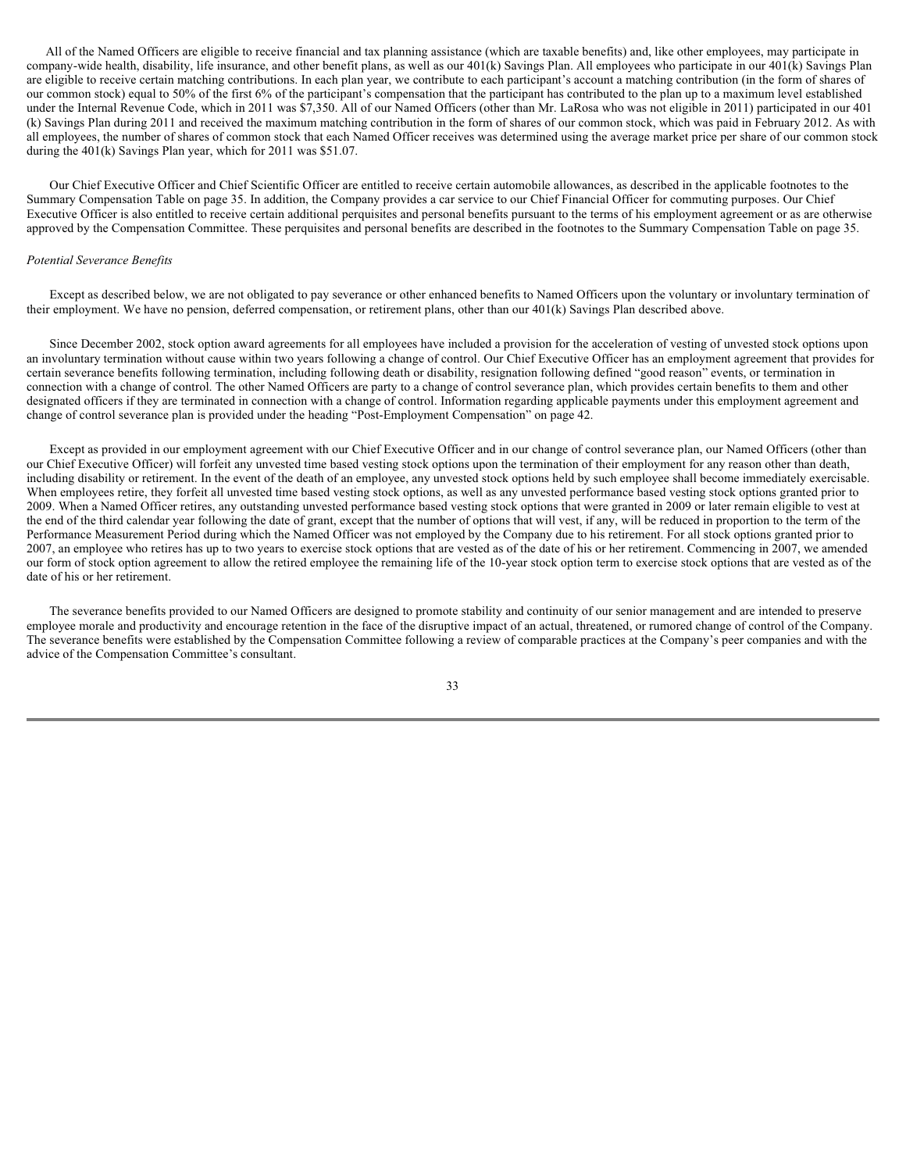All of the Named Officers are eligible to receive financial and tax planning assistance (which are taxable benefits) and, like other employees, may participate in company-wide health, disability, life insurance, and other benefit plans, as well as our 401(k) Savings Plan. All employees who participate in our 401(k) Savings Plan are eligible to receive certain matching contributions. In each plan year, we contribute to each participant's account a matching contribution (in the form of shares of our common stock) equal to 50% of the first 6% of the participant's compensation that the participant has contributed to the plan up to a maximum level established under the Internal Revenue Code, which in 2011 was \$7,350. All of our Named Officers (other than Mr. LaRosa who was not eligible in 2011) participated in our 401 (k) Savings Plan during 2011 and received the maximum matching contribution in the form of shares of our common stock, which was paid in February 2012. As with all employees, the number of shares of common stock that each Named Officer receives was determined using the average market price per share of our common stock during the 401(k) Savings Plan year, which for 2011 was \$51.07.

 Our Chief Executive Officer and Chief Scientific Officer are entitled to receive certain automobile allowances, as described in the applicable footnotes to the Summary Compensation Table on page 35. In addition, the Company provides a car service to our Chief Financial Officer for commuting purposes. Our Chief Executive Officer is also entitled to receive certain additional perquisites and personal benefits pursuant to the terms of his employment agreement or as are otherwise approved by the Compensation Committee. These perquisites and personal benefits are described in the footnotes to the Summary Compensation Table on page 35.

#### *Potential Severance Benefits*

 Except as described below, we are not obligated to pay severance or other enhanced benefits to Named Officers upon the voluntary or involuntary termination of their employment. We have no pension, deferred compensation, or retirement plans, other than our 401(k) Savings Plan described above.

 Since December 2002, stock option award agreements for all employees have included a provision for the acceleration of vesting of unvested stock options upon an involuntary termination without cause within two years following a change of control. Our Chief Executive Officer has an employment agreement that provides for certain severance benefits following termination, including following death or disability, resignation following defined "good reason" events, or termination in connection with a change of control. The other Named Officers are party to a change of control severance plan, which provides certain benefits to them and other designated officers if they are terminated in connection with a change of control. Information regarding applicable payments under this employment agreement and change of control severance plan is provided under the heading "Post-Employment Compensation" on page 42.

 Except as provided in our employment agreement with our Chief Executive Officer and in our change of control severance plan, our Named Officers (other than our Chief Executive Officer) will forfeit any unvested time based vesting stock options upon the termination of their employment for any reason other than death, including disability or retirement. In the event of the death of an employee, any unvested stock options held by such employee shall become immediately exercisable. When employees retire, they forfeit all unvested time based vesting stock options, as well as any unvested performance based vesting stock options granted prior to 2009. When a Named Officer retires, any outstanding unvested performance based vesting stock options that were granted in 2009 or later remain eligible to vest at the end of the third calendar year following the date of grant, except that the number of options that will vest, if any, will be reduced in proportion to the term of the Performance Measurement Period during which the Named Officer was not employed by the Company due to his retirement. For all stock options granted prior to 2007, an employee who retires has up to two years to exercise stock options that are vested as of the date of his or her retirement. Commencing in 2007, we amended our form of stock option agreement to allow the retired employee the remaining life of the 10-year stock option term to exercise stock options that are vested as of the date of his or her retirement.

 The severance benefits provided to our Named Officers are designed to promote stability and continuity of our senior management and are intended to preserve employee morale and productivity and encourage retention in the face of the disruptive impact of an actual, threatened, or rumored change of control of the Company. The severance benefits were established by the Compensation Committee following a review of comparable practices at the Company's peer companies and with the advice of the Compensation Committee's consultant.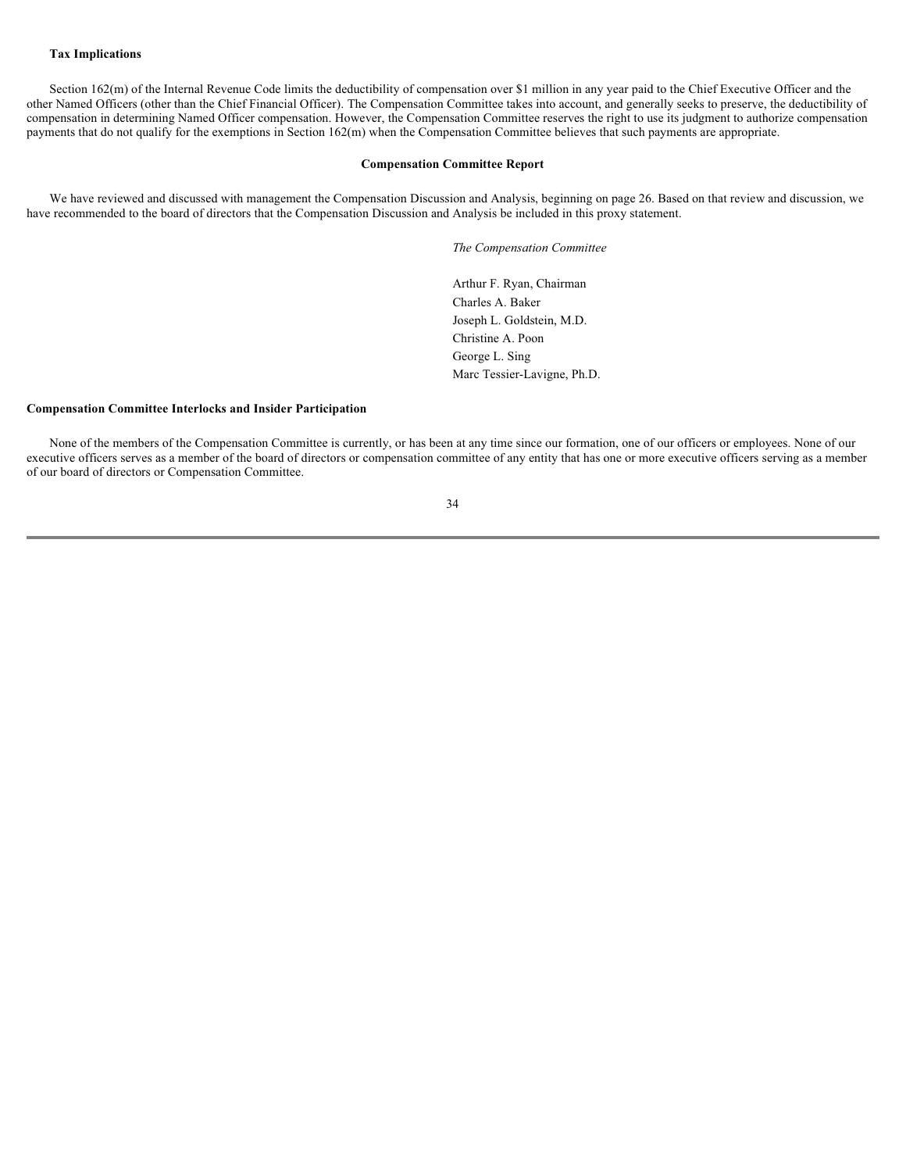#### **Tax Implications**

 Section 162(m) of the Internal Revenue Code limits the deductibility of compensation over \$1 million in any year paid to the Chief Executive Officer and the other Named Officers (other than the Chief Financial Officer). The Compensation Committee takes into account, and generally seeks to preserve, the deductibility of compensation in determining Named Officer compensation. However, the Compensation Committee reserves the right to use its judgment to authorize compensation payments that do not qualify for the exemptions in Section 162(m) when the Compensation Committee believes that such payments are appropriate.

#### **Compensation Committee Report**

 We have reviewed and discussed with management the Compensation Discussion and Analysis, beginning on page 26. Based on that review and discussion, we have recommended to the board of directors that the Compensation Discussion and Analysis be included in this proxy statement.

*The Compensation Committee* 

Arthur F. Ryan, Chairman Charles A. Baker Joseph L. Goldstein, M.D. Christine A. Poon George L. Sing Marc Tessier-Lavigne, Ph.D.

#### **Compensation Committee Interlocks and Insider Participation**

 None of the members of the Compensation Committee is currently, or has been at any time since our formation, one of our officers or employees. None of our executive officers serves as a member of the board of directors or compensation committee of any entity that has one or more executive officers serving as a member of our board of directors or Compensation Committee.

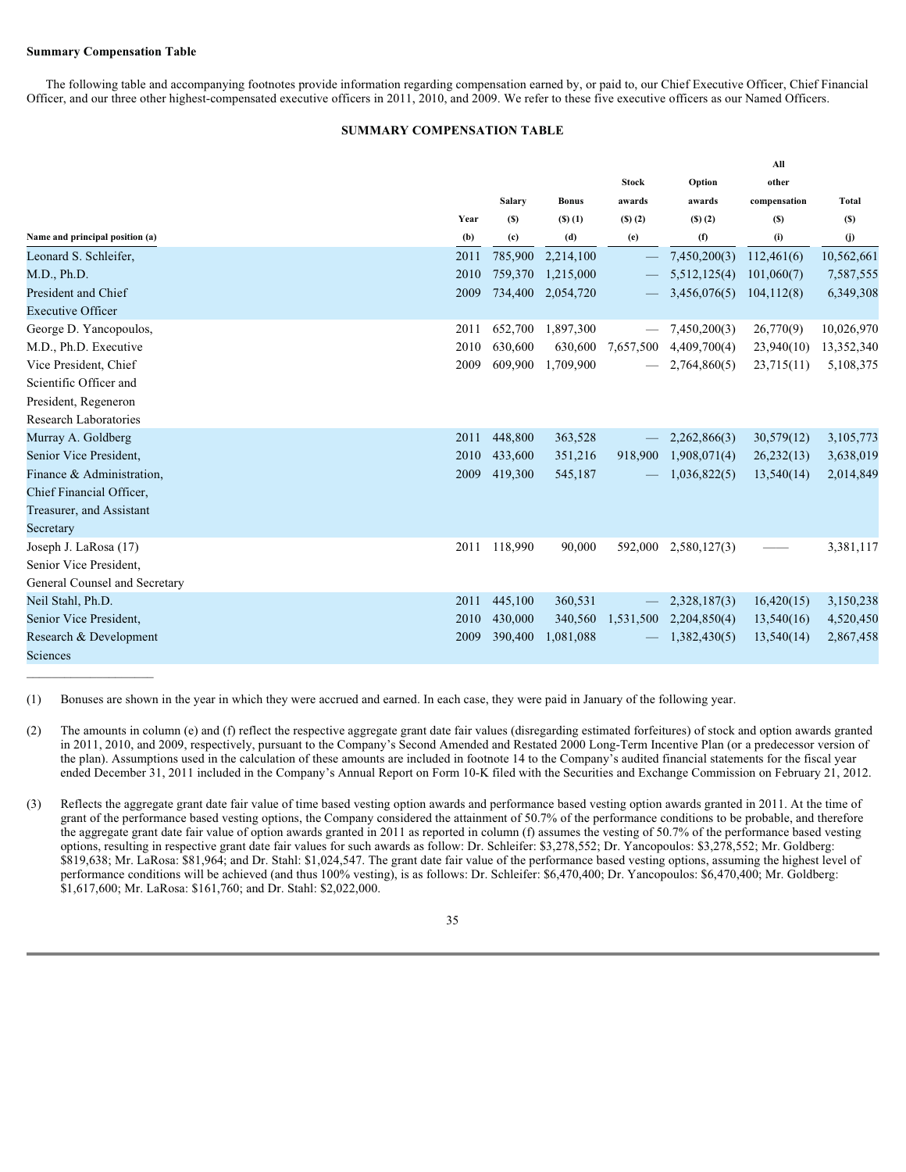#### **Summary Compensation Table**

 The following table and accompanying footnotes provide information regarding compensation earned by, or paid to, our Chief Executive Officer, Chief Financial Officer, and our three other highest-compensated executive officers in 2011, 2010, and 2009. We refer to these five executive officers as our Named Officers.

#### **SUMMARY COMPENSATION TABLE**

|                                 |      |               |                 |                          |              | All          |            |
|---------------------------------|------|---------------|-----------------|--------------------------|--------------|--------------|------------|
|                                 |      |               |                 | <b>Stock</b>             | Option       | other        |            |
|                                 |      | <b>Salary</b> | <b>Bonus</b>    | awards                   | awards       | compensation | Total      |
|                                 | Year | (S)           | $($ S $)$ $(1)$ | (3)(2)                   | $(S)$ $(2)$  | (S)          | (S)        |
| Name and principal position (a) | (b)  | (c)           | (d)             | (e)                      | (f)          | (i)          | (i)        |
| Leonard S. Schleifer,           | 2011 | 785,900       | 2,214,100       | $\overline{\phantom{m}}$ | 7,450,200(3) | 112,461(6)   | 10,562,661 |
| M.D., Ph.D.                     | 2010 | 759,370       | 1,215,000       |                          | 5,512,125(4) | 101,060(7)   | 7,587,555  |
| President and Chief             | 2009 | 734,400       | 2,054,720       |                          | 3,456,076(5) | 104, 112(8)  | 6,349,308  |
| <b>Executive Officer</b>        |      |               |                 |                          |              |              |            |
| George D. Yancopoulos,          | 2011 | 652,700       | 1,897,300       | $\qquad \qquad$          | 7,450,200(3) | 26,770(9)    | 10,026,970 |
| M.D., Ph.D. Executive           | 2010 | 630,600       | 630,600         | 7,657,500                | 4,409,700(4) | 23,940(10)   | 13,352,340 |
| Vice President, Chief           | 2009 | 609,900       | 1,709,900       |                          | 2,764,860(5) | 23,715(11)   | 5,108,375  |
| Scientific Officer and          |      |               |                 |                          |              |              |            |
| President, Regeneron            |      |               |                 |                          |              |              |            |
| Research Laboratories           |      |               |                 |                          |              |              |            |
| Murray A. Goldberg              | 2011 | 448,800       | 363,528         |                          | 2,262,866(3) | 30,579(12)   | 3,105,773  |
| Senior Vice President,          | 2010 | 433,600       | 351,216         | 918,900                  | 1,908,071(4) | 26,232(13)   | 3,638,019  |
| Finance & Administration,       | 2009 | 419,300       | 545,187         |                          | 1,036,822(5) | 13,540(14)   | 2,014,849  |
| Chief Financial Officer,        |      |               |                 |                          |              |              |            |
| Treasurer, and Assistant        |      |               |                 |                          |              |              |            |
| Secretary                       |      |               |                 |                          |              |              |            |
| Joseph J. LaRosa (17)           | 2011 | 118,990       | 90,000          | 592,000                  | 2,580,127(3) |              | 3,381,117  |
| Senior Vice President,          |      |               |                 |                          |              |              |            |
| General Counsel and Secretary   |      |               |                 |                          |              |              |            |
| Neil Stahl, Ph.D.               | 2011 | 445,100       | 360,531         | $\overline{\phantom{0}}$ | 2,328,187(3) | 16,420(15)   | 3,150,238  |
| Senior Vice President,          | 2010 | 430,000       | 340,560         | 1,531,500                | 2,204,850(4) | 13,540(16)   | 4,520,450  |
| Research & Development          | 2009 | 390,400       | 1,081,088       |                          | 1,382,430(5) | 13,540(14)   | 2,867,458  |
| Sciences                        |      |               |                 |                          |              |              |            |

(1) Bonuses are shown in the year in which they were accrued and earned. In each case, they were paid in January of the following year.

- (2) The amounts in column (e) and (f) reflect the respective aggregate grant date fair values (disregarding estimated forfeitures) of stock and option awards granted in 2011, 2010, and 2009, respectively, pursuant to the Company's Second Amended and Restated 2000 Long-Term Incentive Plan (or a predecessor version of the plan). Assumptions used in the calculation of these amounts are included in footnote 14 to the Company's audited financial statements for the fiscal year ended December 31, 2011 included in the Company's Annual Report on Form 10-K filed with the Securities and Exchange Commission on February 21, 2012.
- (3) Reflects the aggregate grant date fair value of time based vesting option awards and performance based vesting option awards granted in 2011. At the time of grant of the performance based vesting options, the Company considered the attainment of 50.7% of the performance conditions to be probable, and therefore the aggregate grant date fair value of option awards granted in 2011 as reported in column (f) assumes the vesting of 50.7% of the performance based vesting options, resulting in respective grant date fair values for such awards as follow: Dr. Schleifer: \$3,278,552; Dr. Yancopoulos: \$3,278,552; Mr. Goldberg: \$819,638; Mr. LaRosa: \$81,964; and Dr. Stahl: \$1,024,547. The grant date fair value of the performance based vesting options, assuming the highest level of performance conditions will be achieved (and thus 100% vesting), is as follows: Dr. Schleifer: \$6,470,400; Dr. Yancopoulos: \$6,470,400; Mr. Goldberg: \$1,617,600; Mr. LaRosa: \$161,760; and Dr. Stahl: \$2,022,000.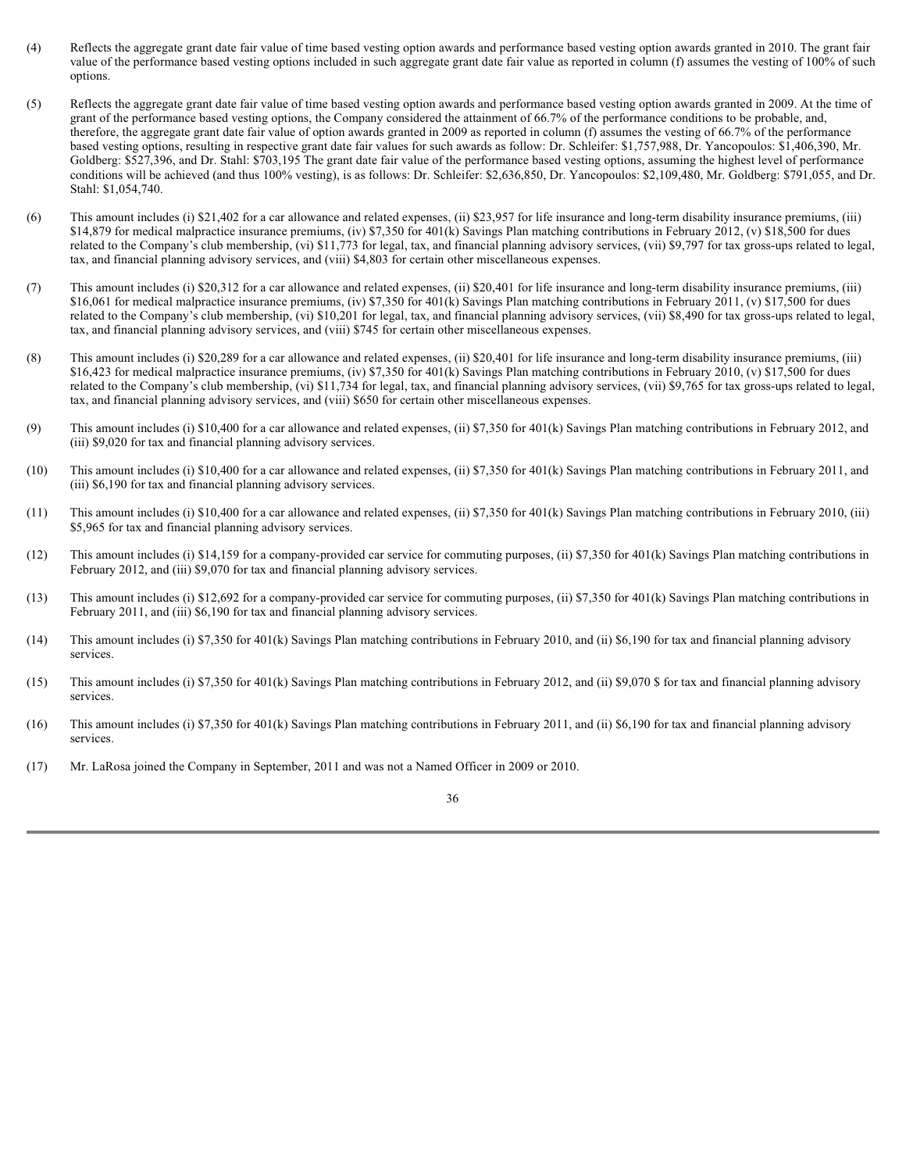- (4) Reflects the aggregate grant date fair value of time based vesting option awards and performance based vesting option awards granted in 2010. The grant fair value of the performance based vesting options included in such aggregate grant date fair value as reported in column (f) assumes the vesting of 100% of such options.
- (5) Reflects the aggregate grant date fair value of time based vesting option awards and performance based vesting option awards granted in 2009. At the time of grant of the performance based vesting options, the Company considered the attainment of 66.7% of the performance conditions to be probable, and, therefore, the aggregate grant date fair value of option awards granted in 2009 as reported in column (f) assumes the vesting of 66.7% of the performance based vesting options, resulting in respective grant date fair values for such awards as follow: Dr. Schleifer: \$1,757,988, Dr. Yancopoulos: \$1,406,390, Mr. Goldberg: \$527,396, and Dr. Stahl: \$703,195 The grant date fair value of the performance based vesting options, assuming the highest level of performance conditions will be achieved (and thus 100% vesting), is as follows: Dr. Schleifer: \$2,636,850, Dr. Yancopoulos: \$2,109,480, Mr. Goldberg: \$791,055, and Dr. Stahl: \$1,054,740.
- (6) This amount includes (i) \$21,402 for a car allowance and related expenses, (ii) \$23,957 for life insurance and long-term disability insurance premiums, (iii) \$14,879 for medical malpractice insurance premiums, (iv) \$7,350 for 401(k) Savings Plan matching contributions in February 2012, (v) \$18,500 for dues related to the Company's club membership, (vi) \$11,773 for legal, tax, and financial planning advisory services, (vii) \$9,797 for tax gross-ups related to legal, tax, and financial planning advisory services, and (viii) \$4,803 for certain other miscellaneous expenses.
- (7) This amount includes (i) \$20,312 for a car allowance and related expenses, (ii) \$20,401 for life insurance and long-term disability insurance premiums, (iii) \$16,061 for medical malpractice insurance premiums, (iv) \$7,350 for 401(k) Savings Plan matching contributions in February 2011, (v) \$17,500 for dues related to the Company's club membership, (vi) \$10,201 for legal, tax, and financial planning advisory services, (vii) \$8,490 for tax gross-ups related to legal, tax, and financial planning advisory services, and (viii) \$745 for certain other miscellaneous expenses.
- (8) This amount includes (i) \$20,289 for a car allowance and related expenses, (ii) \$20,401 for life insurance and long-term disability insurance premiums, (iii) \$16,423 for medical malpractice insurance premiums, (iv) \$7,350 for 401(k) Savings Plan matching contributions in February 2010, (v) \$17,500 for dues related to the Company's club membership, (vi) \$11,734 for legal, tax, and financial planning advisory services, (vii) \$9,765 for tax gross-ups related to legal, tax, and financial planning advisory services, and (viii) \$650 for certain other miscellaneous expenses.
- (9) This amount includes (i) \$10,400 for a car allowance and related expenses, (ii) \$7,350 for 401(k) Savings Plan matching contributions in February 2012, and (iii) \$9,020 for tax and financial planning advisory services.
- (10) This amount includes (i) \$10,400 for a car allowance and related expenses, (ii) \$7,350 for 401(k) Savings Plan matching contributions in February 2011, and (iii) \$6,190 for tax and financial planning advisory services.
- (11) This amount includes (i) \$10,400 for a car allowance and related expenses, (ii) \$7,350 for 401(k) Savings Plan matching contributions in February 2010, (iii) \$5,965 for tax and financial planning advisory services.
- (12) This amount includes (i) \$14,159 for a company-provided car service for commuting purposes, (ii) \$7,350 for 401(k) Savings Plan matching contributions in February 2012, and (iii) \$9,070 for tax and financial planning advisory services.
- (13) This amount includes (i) \$12,692 for a company-provided car service for commuting purposes, (ii) \$7,350 for 401(k) Savings Plan matching contributions in February 2011, and (iii) \$6,190 for tax and financial planning advisory services.
- (14) This amount includes (i) \$7,350 for 401(k) Savings Plan matching contributions in February 2010, and (ii) \$6,190 for tax and financial planning advisory services.
- $(15)$ (15) This amount includes (i) \$7,350 for 401(k) Savings Plan matching contributions in February 2012, and (ii) \$9,070 \$ for tax and financial planning advisory services.
- $(16)$ (16) This amount includes (i) \$7,350 for 401(k) Savings Plan matching contributions in February 2011, and (ii) \$6,190 for tax and financial planning advisory services.
- (17) Mr. LaRosa joined the Company in September, 2011 and was not a Named Officer in 2009 or 2010.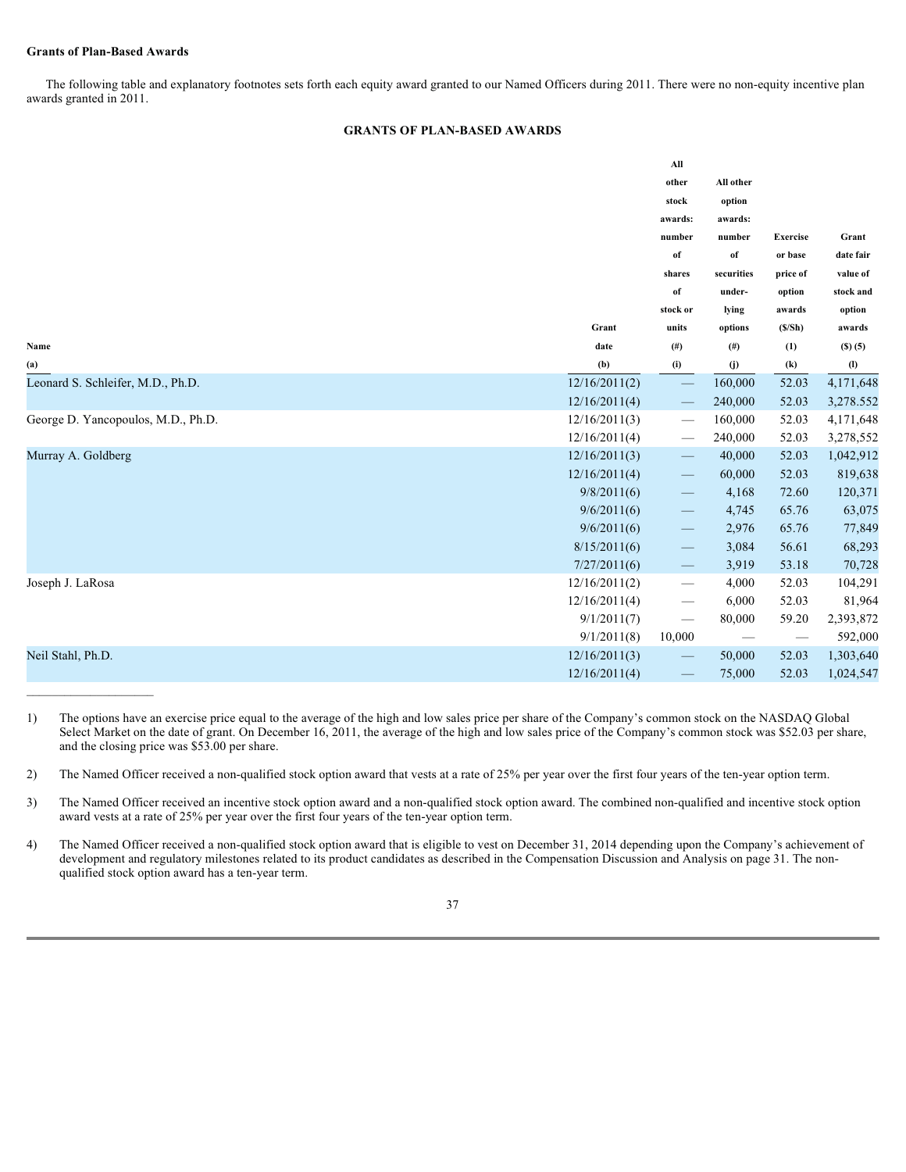#### **Grants of Plan-Based Awards**

 The following table and explanatory footnotes sets forth each equity award granted to our Named Officers during 2011. There were no non-equity incentive plan awards granted in 2011.

#### **GRANTS OF PLAN-BASED AWARDS**

|                                    |               | All                               |            |                          |                    |
|------------------------------------|---------------|-----------------------------------|------------|--------------------------|--------------------|
|                                    |               | other                             | All other  |                          |                    |
|                                    |               | stock                             | option     |                          |                    |
|                                    |               | awards:                           | awards:    |                          |                    |
|                                    |               | number                            | number     | <b>Exercise</b>          | Grant              |
|                                    |               | of                                | of         | or base                  | date fair          |
|                                    |               | shares                            | securities | price of                 | value of           |
|                                    |               | of                                | under-     | option                   | stock and          |
|                                    |               | stock or                          | lying      | awards                   | option             |
|                                    | Grant         | units                             | options    | (S/Sh)                   | awards             |
| Name                               | date          | $($ # $)$                         | $^{(#)}$   | (1)                      | $($ \$) $(5)$      |
| (a)                                | (b)           | (i)                               | (j)        | (k)                      | $\left( 0 \right)$ |
| Leonard S. Schleifer, M.D., Ph.D.  | 12/16/2011(2) | $=$                               | 160,000    | 52.03                    | 4,171,648          |
|                                    | 12/16/2011(4) | =                                 | 240,000    | 52.03                    | 3,278.552          |
| George D. Yancopoulos, M.D., Ph.D. | 12/16/2011(3) |                                   | 160,000    | 52.03                    | 4,171,648          |
|                                    | 12/16/2011(4) |                                   | 240,000    | 52.03                    | 3,278,552          |
| Murray A. Goldberg                 | 12/16/2011(3) | $\overline{\phantom{0}}$          | 40,000     | 52.03                    | 1,042,912          |
|                                    | 12/16/2011(4) | $\hspace{0.1cm}$                  | 60,000     | 52.03                    | 819,638            |
|                                    | 9/8/2011(6)   | $\qquad \qquad \longleftarrow$    | 4,168      | 72.60                    | 120,371            |
|                                    | 9/6/2011(6)   | $\hspace{0.1cm}$                  | 4,745      | 65.76                    | 63,075             |
|                                    | 9/6/2011(6)   | $\overline{\phantom{0}}$          | 2,976      | 65.76                    | 77,849             |
|                                    | 8/15/2011(6)  | $\overline{\phantom{0}}$          | 3,084      | 56.61                    | 68,293             |
|                                    | 7/27/2011(6)  | $\overbrace{\phantom{aaaaa}}^{x}$ | 3,919      | 53.18                    | 70,728             |
| Joseph J. LaRosa                   | 12/16/2011(2) |                                   | 4,000      | 52.03                    | 104,291            |
|                                    | 12/16/2011(4) | $\qquad \qquad \longleftarrow$    | 6,000      | 52.03                    | 81,964             |
|                                    | 9/1/2011(7)   | $\overline{\phantom{0}}$          | 80,000     | 59.20                    | 2,393,872          |
|                                    | 9/1/2011(8)   | 10,000                            |            | $\overline{\phantom{m}}$ | 592,000            |
| Neil Stahl, Ph.D.                  | 12/16/2011(3) | $\qquad \qquad \longleftarrow$    | 50,000     | 52.03                    | 1,303,640          |
|                                    | 12/16/2011(4) | $\qquad \qquad \longleftarrow$    | 75,000     | 52.03                    | 1,024,547          |
|                                    |               |                                   |            |                          |                    |

1) The options have an exercise price equal to the average of the high and low sales price per share of the Company's common stock on the NASDAQ Global Select Market on the date of grant. On December 16, 2011, the average of the high and low sales price of the Company's common stock was \$52.03 per share, and the closing price was \$53.00 per share.

 $2)$ The Named Officer received a non-qualified stock option award that vests at a rate of 25% per year over the first four years of the ten-year option term.

3) The Named Officer received an incentive stock option award and a non-qualified stock option award. The combined non-qualified and incentive stock option award vests at a rate of 25% per year over the first four years of the ten-year option term.

4) The Named Officer received a non-qualified stock option award that is eligible to vest on December 31, 2014 depending upon the Company's achievement of development and regulatory milestones related to its product candidates as described in the Compensation Discussion and Analysis on page 31. The nonqualified stock option award has a ten-year term.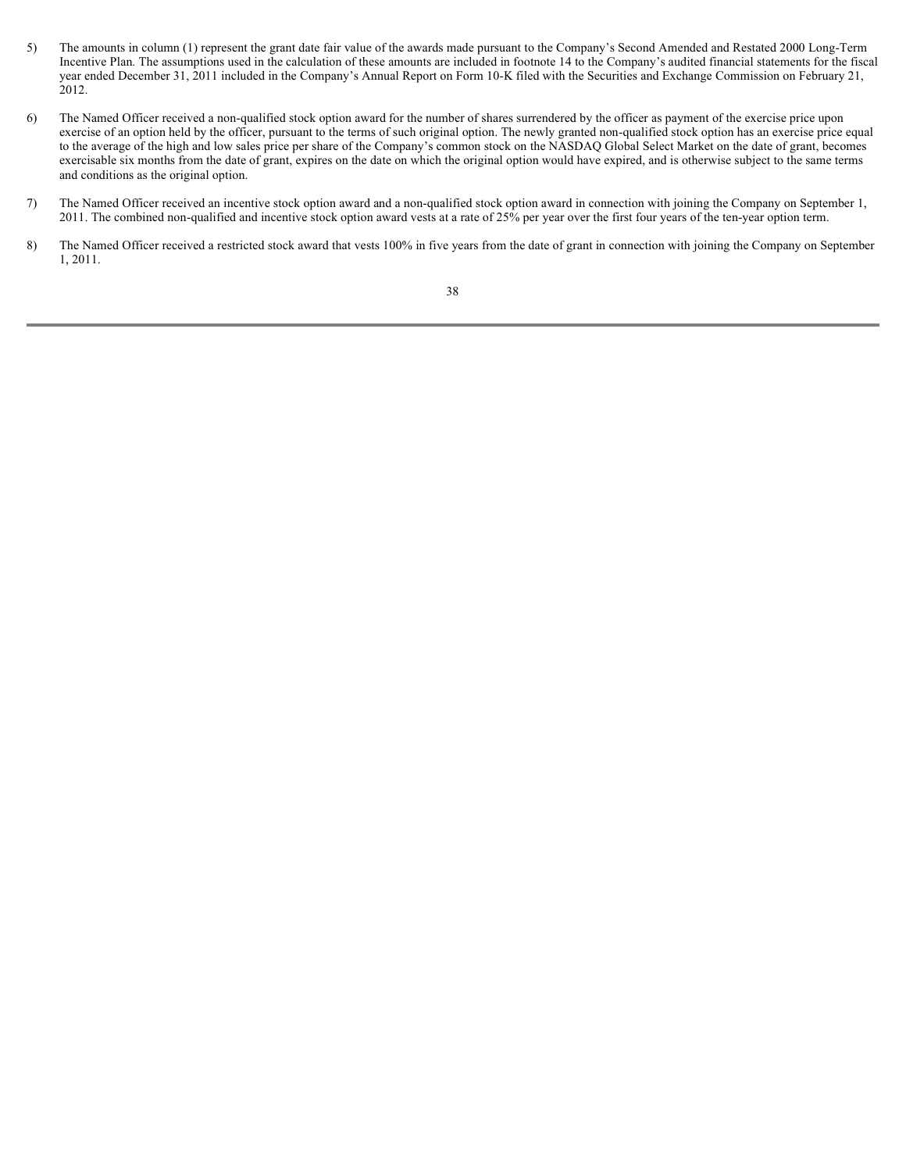- 5) The amounts in column (1) represent the grant date fair value of the awards made pursuant to the Company's Second Amended and Restated 2000 Long-Term Incentive Plan. The assumptions used in the calculation of these amounts are included in footnote 14 to the Company's audited financial statements for the fiscal year ended December 31, 2011 included in the Company's Annual Report on Form 10-K filed with the Securities and Exchange Commission on February 21, 2012.
- 6) The Named Officer received a non-qualified stock option award for the number of shares surrendered by the officer as payment of the exercise price upon exercise of an option held by the officer, pursuant to the terms of such original option. The newly granted non-qualified stock option has an exercise price equal to the average of the high and low sales price per share of the Company's common stock on the NASDAQ Global Select Market on the date of grant, becomes exercisable six months from the date of grant, expires on the date on which the original option would have expired, and is otherwise subject to the same terms and conditions as the original option.
- 7) The Named Officer received an incentive stock option award and a non-qualified stock option award in connection with joining the Company on September 1, 2011. The combined non-qualified and incentive stock option award vests at a rate of 25% per year over the first four years of the ten-year option term.
- 8) The Named Officer received a restricted stock award that vests 100% in five years from the date of grant in connection with joining the Company on September 1, 2011.

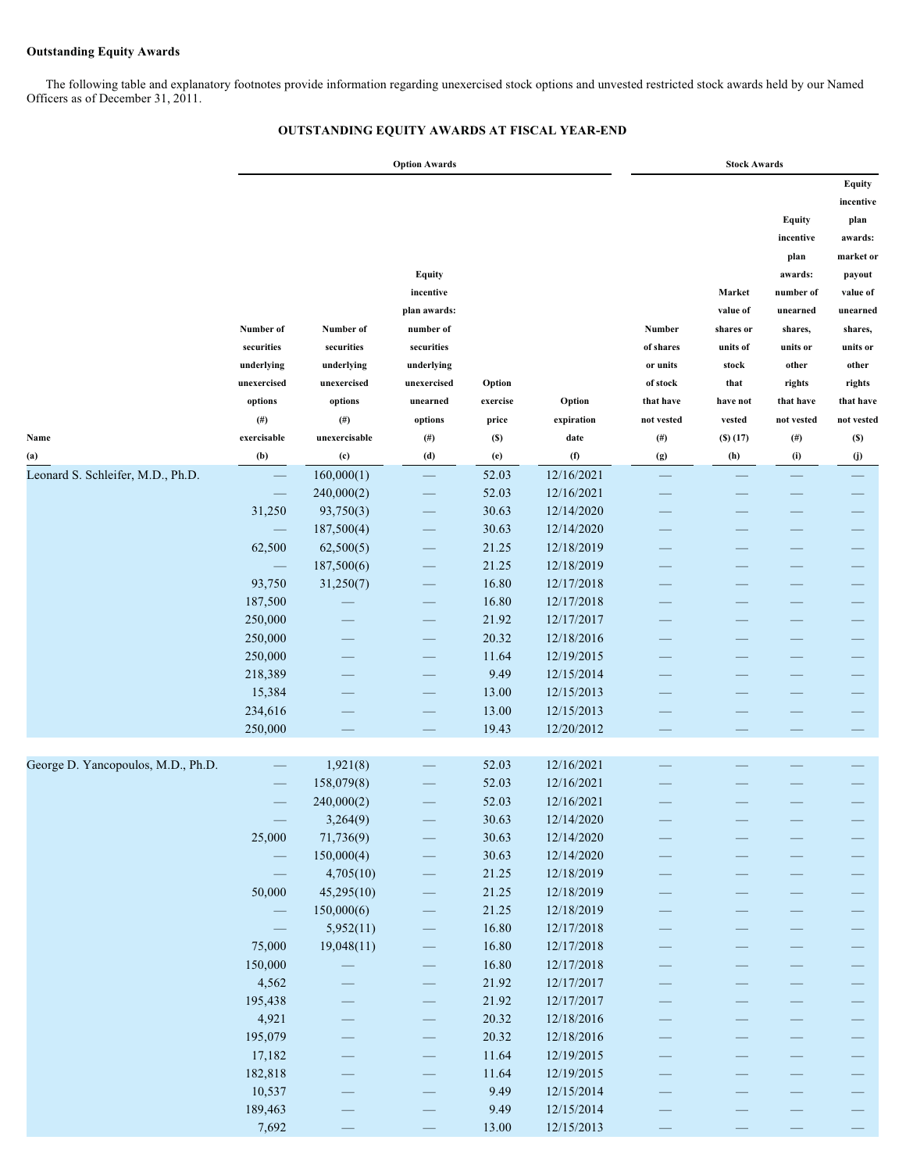### **Outstanding Equity Awards**

 The following table and explanatory footnotes provide information regarding unexercised stock options and unvested restricted stock awards held by our Named Officers as of December 31, 2011.

### **OUTSTANDING EQUITY AWARDS AT FISCAL YEAR-END**

|                                          | <b>Option Awards</b>     |                         |                          |                |                          | <b>Stock Awards</b> |                      |                                                      |                                    |  |
|------------------------------------------|--------------------------|-------------------------|--------------------------|----------------|--------------------------|---------------------|----------------------|------------------------------------------------------|------------------------------------|--|
|                                          |                          |                         |                          |                |                          |                     |                      | <b>Equity</b>                                        | <b>Equity</b><br>incentive<br>plan |  |
|                                          |                          |                         |                          |                |                          |                     |                      | incentive                                            | awards:                            |  |
|                                          |                          |                         |                          |                |                          |                     |                      | plan                                                 | market or                          |  |
|                                          |                          |                         | Equity                   |                |                          |                     |                      | awards:                                              | payout                             |  |
|                                          |                          |                         | incentive                |                |                          |                     | Market               | number of                                            | value of                           |  |
|                                          |                          |                         | plan awards:             |                |                          |                     | value of             | unearned                                             | unearned                           |  |
|                                          | Number of                | Number of               | number of                |                |                          | Number              | shares or            | shares,                                              | shares,                            |  |
|                                          | securities               | securities              | securities               |                |                          | of shares           | units of             | units or                                             | units or                           |  |
|                                          | underlying               | underlying              | underlying               |                |                          | or units            | stock                | other                                                | other                              |  |
|                                          | unexercised              | unexercised             | unexercised              | Option         |                          | of stock            | that                 | rights                                               | rights                             |  |
|                                          | options                  | options                 | unearned                 | exercise       | Option                   | that have           | have not             | that have                                            | that have                          |  |
|                                          | $^{(#)}$                 | (# )                    | options                  |                | expiration               | not vested          | vested               | not vested                                           | not vested                         |  |
| Name                                     | exercisable              | unexercisable           |                          | price          | date                     |                     |                      |                                                      |                                    |  |
|                                          | (b)                      |                         | $^{(#)}$<br>(d)          | (S)            | (f)                      | $(\#)$              | $($ f) $(17)$<br>(h) | $(\#)$                                               | (S)                                |  |
| (a)<br>Leonard S. Schleifer, M.D., Ph.D. |                          | (c)<br>160,000(1)       |                          | (e)<br>52.03   | 12/16/2021               | (g)                 |                      | (i)                                                  | (j)                                |  |
|                                          |                          | 240,000(2)              |                          |                | 12/16/2021               |                     |                      |                                                      |                                    |  |
|                                          |                          |                         | $\overline{\phantom{0}}$ | 52.03          | 12/14/2020               |                     |                      |                                                      |                                    |  |
|                                          | 31,250                   | 93,750(3)               |                          | 30.63          | 12/14/2020               |                     |                      |                                                      |                                    |  |
|                                          | 62,500                   | 187,500(4)              | $\rightarrow$            | 30.63          |                          |                     |                      |                                                      |                                    |  |
|                                          |                          | 62,500(5)               | $\rightarrow$            | 21.25<br>21.25 | 12/18/2019               |                     |                      | --                                                   |                                    |  |
|                                          | 93,750                   | 187,500(6)<br>31,250(7) | $\overline{\phantom{a}}$ | 16.80          | 12/18/2019               |                     |                      |                                                      |                                    |  |
|                                          | 187,500                  |                         | $\rightarrow$            | 16.80          | 12/17/2018<br>12/17/2018 |                     |                      | $\overline{\phantom{0}}$<br>$\overline{\phantom{0}}$ |                                    |  |
|                                          | 250,000                  |                         | $\rightarrow$            | 21.92          | 12/17/2017               |                     |                      |                                                      |                                    |  |
|                                          | 250,000                  |                         | $\overline{\phantom{0}}$ | 20.32          | 12/18/2016               |                     |                      | $\overline{\phantom{0}}$                             |                                    |  |
|                                          | 250,000                  |                         | $\overline{\phantom{0}}$ | 11.64          | 12/19/2015               |                     |                      | $\overline{\phantom{0}}$                             |                                    |  |
|                                          | 218,389                  |                         |                          | 9.49           | 12/15/2014               |                     |                      |                                                      |                                    |  |
|                                          | 15,384                   |                         | $\overline{\phantom{0}}$ | 13.00          | 12/15/2013               |                     |                      |                                                      |                                    |  |
|                                          | 234,616                  |                         | -                        | 13.00          | 12/15/2013               |                     |                      |                                                      |                                    |  |
|                                          | 250,000                  |                         |                          | 19.43          | 12/20/2012               |                     |                      |                                                      |                                    |  |
|                                          |                          |                         |                          |                |                          |                     |                      |                                                      |                                    |  |
| George D. Yancopoulos, M.D., Ph.D.       |                          | 1,921(8)                |                          | 52.03          | 12/16/2021               |                     |                      |                                                      |                                    |  |
|                                          |                          | 158,079(8)              |                          | 52.03          | 12/16/2021               |                     |                      |                                                      |                                    |  |
|                                          |                          | 240,000(2)              | $\overline{\phantom{0}}$ | 52.03          | 12/16/2021               |                     |                      |                                                      |                                    |  |
|                                          |                          | 3,264(9)                |                          | 30.63          | 12/14/2020               |                     |                      |                                                      |                                    |  |
|                                          | 25,000                   | 71,736(9)               | $\rightarrow$            | 30.63          | 12/14/2020               |                     |                      |                                                      |                                    |  |
|                                          | $\rightarrow$            | 150,000(4)              | $\equiv$                 | 30.63          | 12/14/2020               |                     |                      | $\overline{\phantom{0}}$                             | $\overline{\phantom{0}}$           |  |
|                                          | $\overline{\phantom{0}}$ | 4,705(10)               | $\overline{\phantom{0}}$ | 21.25          | 12/18/2019               | -                   |                      | $\overline{\phantom{0}}$                             | $\overline{\phantom{0}}$           |  |
|                                          | 50,000                   | 45,295(10)              | $\overline{\phantom{0}}$ | 21.25          | 12/18/2019               |                     |                      |                                                      |                                    |  |
|                                          | $\overline{\phantom{m}}$ | 150,000(6)              | $\equiv$                 | 21.25          | 12/18/2019               |                     |                      |                                                      |                                    |  |
|                                          | $\overline{\phantom{0}}$ | 5,952(11)               | $\rightarrow$            | 16.80          | 12/17/2018               |                     |                      |                                                      |                                    |  |
|                                          | 75,000                   | 19,048(11)              | $\overline{\phantom{0}}$ | 16.80          | 12/17/2018               |                     |                      |                                                      |                                    |  |
|                                          | 150,000                  |                         | $\overline{\phantom{0}}$ | 16.80          | 12/17/2018               | $\rightarrow$       |                      | -                                                    |                                    |  |
|                                          | 4,562                    |                         | $\overline{\phantom{0}}$ | 21.92          | 12/17/2017               |                     |                      |                                                      |                                    |  |
|                                          | 195,438                  |                         | $\overline{\phantom{0}}$ | 21.92          | 12/17/2017               |                     |                      | -                                                    |                                    |  |
|                                          | 4,921                    | -                       | $\overline{\phantom{0}}$ | 20.32          | 12/18/2016               | -                   |                      | $\overline{\phantom{0}}$                             |                                    |  |
|                                          | 195,079                  |                         | $\overline{\phantom{0}}$ | 20.32          | 12/18/2016               |                     |                      | —                                                    |                                    |  |
|                                          | 17,182                   |                         | $\equiv$                 | 11.64          | 12/19/2015               |                     |                      | —                                                    |                                    |  |
|                                          | 182,818                  | $\rightarrow$           | $\overline{\phantom{0}}$ | 11.64          | 12/19/2015               | —                   |                      | $\overline{\phantom{0}}$                             | —                                  |  |
|                                          | 10,537                   |                         | $\equiv$                 | 9.49           | 12/15/2014               | -                   |                      | —                                                    |                                    |  |
|                                          | 189,463                  |                         |                          | 9.49           | 12/15/2014               |                     |                      |                                                      | $\overline{\phantom{0}}$           |  |
|                                          | 7,692                    |                         |                          | 13.00          | 12/15/2013               |                     |                      |                                                      |                                    |  |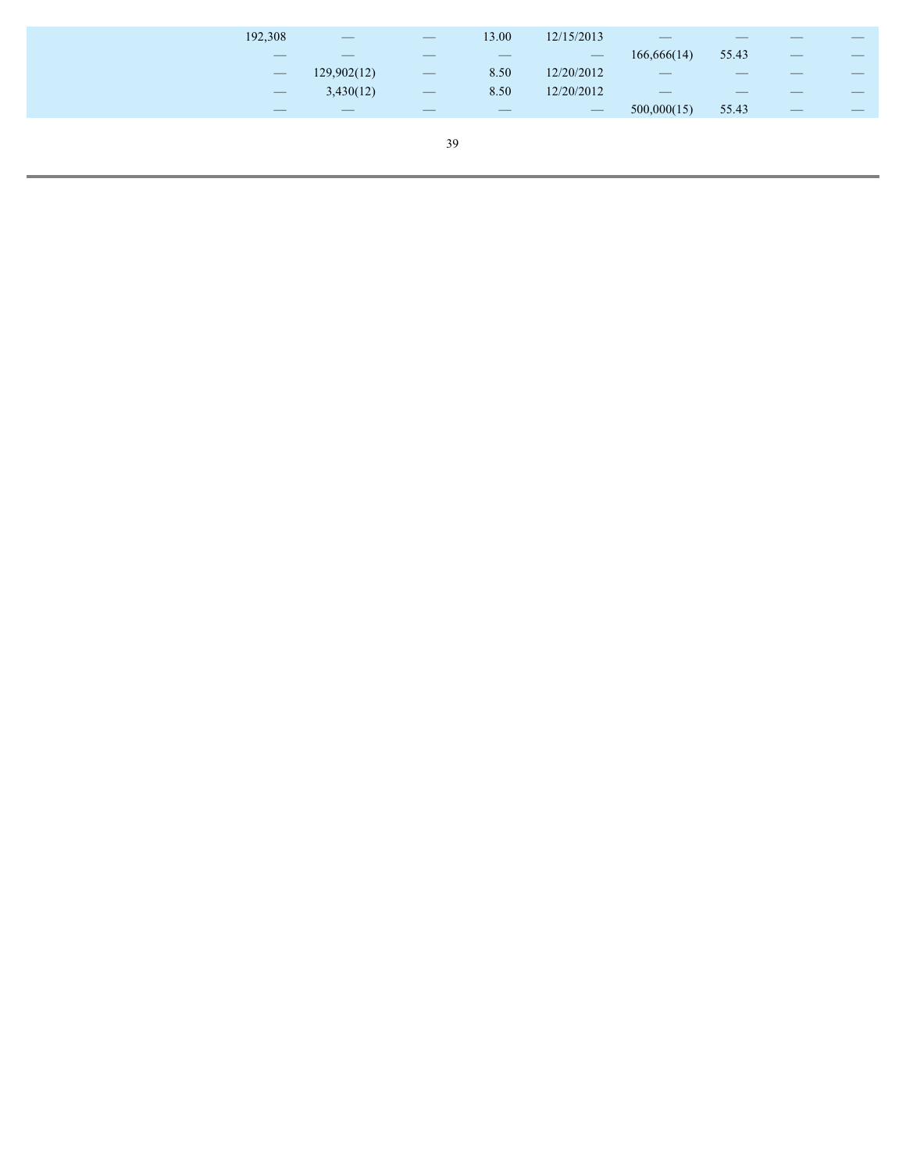| 192,308           | $\hspace{0.1mm}-\hspace{0.1mm}$ | $\hspace{0.1mm}-\hspace{0.1mm}$ | 13.00             | 12/15/2013                      | $\hspace{0.05cm}$              | $\overline{\phantom{a}}$                                                                                                                                                                                                                                                                                                                                                                                                                                                   | __                              | $\overline{\phantom{a}}$ |
|-------------------|---------------------------------|---------------------------------|-------------------|---------------------------------|--------------------------------|----------------------------------------------------------------------------------------------------------------------------------------------------------------------------------------------------------------------------------------------------------------------------------------------------------------------------------------------------------------------------------------------------------------------------------------------------------------------------|---------------------------------|--------------------------|
| __                |                                 |                                 |                   | $\qquad \qquad - \qquad$        | 166,666(14)                    | 55.43                                                                                                                                                                                                                                                                                                                                                                                                                                                                      |                                 |                          |
| $\qquad \qquad -$ | 129,902(12)                     | $\longrightarrow$               | 8.50              | 12/20/2012                      | $\qquad \qquad \longleftarrow$ | $\frac{1}{2} \left( \frac{1}{2} \right) \left( \frac{1}{2} \right) \left( \frac{1}{2} \right) \left( \frac{1}{2} \right) \left( \frac{1}{2} \right) \left( \frac{1}{2} \right) \left( \frac{1}{2} \right) \left( \frac{1}{2} \right) \left( \frac{1}{2} \right) \left( \frac{1}{2} \right) \left( \frac{1}{2} \right) \left( \frac{1}{2} \right) \left( \frac{1}{2} \right) \left( \frac{1}{2} \right) \left( \frac{1}{2} \right) \left( \frac{1}{2} \right) \left( \frac$ | __                              | $\sim$                   |
| $\hspace{0.1cm}$  | 3,430(12)                       | $\hspace{0.05cm}$               | 8.50              | 12/20/2012                      |                                |                                                                                                                                                                                                                                                                                                                                                                                                                                                                            |                                 |                          |
| $\sim$            | $\qquad \qquad -$               | $\overbrace{\hspace{15em}}$     | $\qquad \qquad -$ | $\hspace{0.1mm}-\hspace{0.1mm}$ | 500,000(15)                    | 55.43                                                                                                                                                                                                                                                                                                                                                                                                                                                                      | $\hspace{0.1mm}-\hspace{0.1mm}$ | $\overline{\phantom{a}}$ |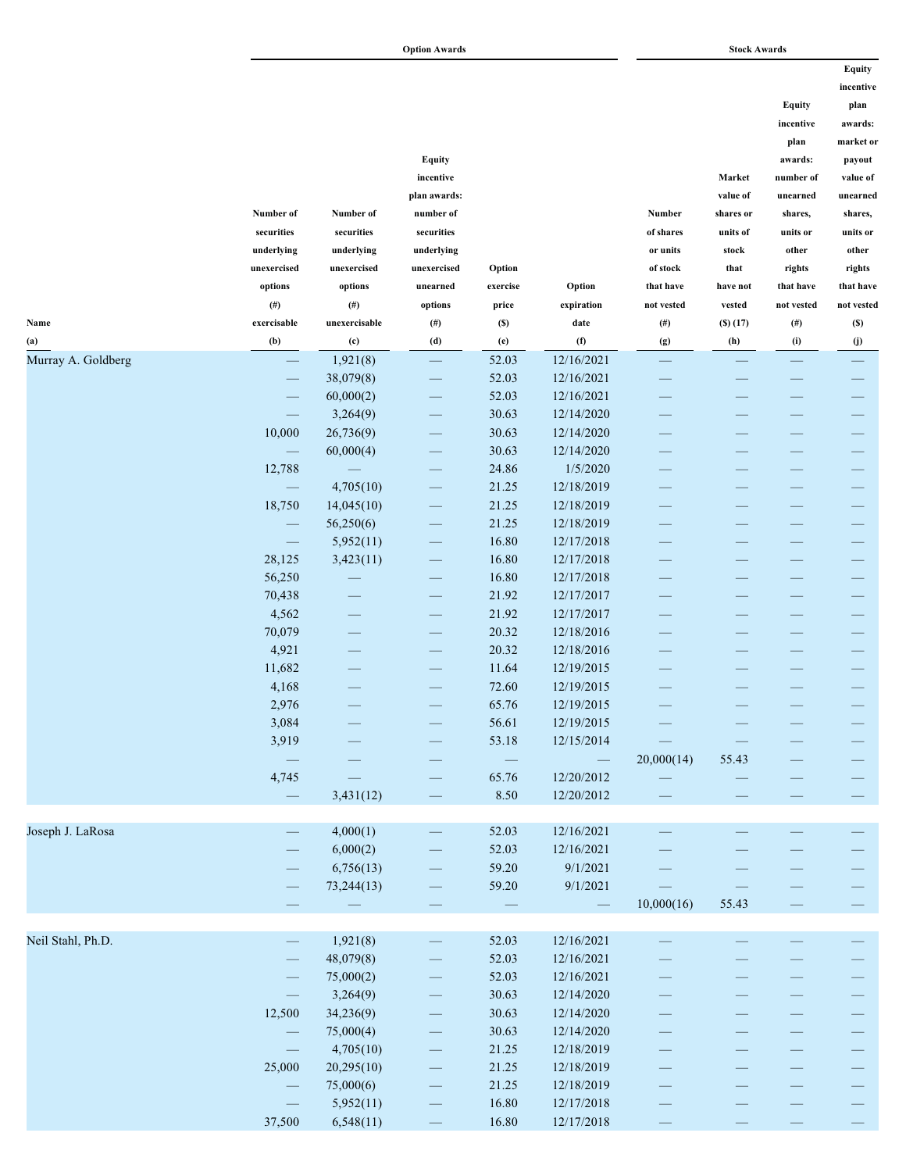**Option Awards** Stock Awards **Stock Awards** 

|                    | Number of<br>securities<br>underlying<br>unexercised<br>options<br>$(\#)$ | Number of<br>securities<br>underlying<br>unexercised<br>options<br>$($ # $)$ | <b>Equity</b><br>incentive<br>plan awards:<br>number of<br>securities<br>underlying<br>unexercised<br>unearned<br>options | Option<br>exercise<br>price | Option<br>expiration            | Number<br>of shares<br>or units<br>of stock<br>that have<br>not vested | Market<br>value of<br>shares or<br>units of<br>stock<br>that<br>have not<br>vested | <b>Equity</b><br>incentive<br>plan<br>awards:<br>number of<br>unearned<br>shares,<br>units or<br>other<br>rights<br>that have<br>not vested | Equity<br>incentive<br>plan<br>awards:<br>market or<br>payout<br>value of<br>unearned<br>shares,<br>units or<br>other<br>rights<br>that have<br>not vested |
|--------------------|---------------------------------------------------------------------------|------------------------------------------------------------------------------|---------------------------------------------------------------------------------------------------------------------------|-----------------------------|---------------------------------|------------------------------------------------------------------------|------------------------------------------------------------------------------------|---------------------------------------------------------------------------------------------------------------------------------------------|------------------------------------------------------------------------------------------------------------------------------------------------------------|
| Name               | exercisable                                                               | unexercisable                                                                | $^{(#)}$                                                                                                                  | (S)                         | date                            | $(\#)$                                                                 | $($ f $)$ $(17)$                                                                   | $(\#)$                                                                                                                                      | (S)                                                                                                                                                        |
| (a)                | (b)                                                                       | (c)                                                                          | (d)                                                                                                                       | (e)                         | (f)                             | (g)                                                                    | (h)                                                                                | (i)                                                                                                                                         | $\left( j\right)$                                                                                                                                          |
| Murray A. Goldberg |                                                                           | 1,921(8)                                                                     |                                                                                                                           | 52.03                       | 12/16/2021                      |                                                                        |                                                                                    |                                                                                                                                             |                                                                                                                                                            |
|                    |                                                                           | 38,079(8)                                                                    |                                                                                                                           | 52.03                       | 12/16/2021                      |                                                                        |                                                                                    |                                                                                                                                             |                                                                                                                                                            |
|                    |                                                                           | 60,000(2)                                                                    |                                                                                                                           | 52.03                       | 12/16/2021                      |                                                                        |                                                                                    |                                                                                                                                             |                                                                                                                                                            |
|                    | $\overline{\phantom{0}}$                                                  | 3,264(9)                                                                     |                                                                                                                           | 30.63                       | 12/14/2020                      |                                                                        |                                                                                    |                                                                                                                                             |                                                                                                                                                            |
|                    | 10,000                                                                    | 26,736(9)                                                                    |                                                                                                                           | 30.63                       | 12/14/2020                      |                                                                        |                                                                                    |                                                                                                                                             |                                                                                                                                                            |
|                    |                                                                           | 60,000(4)                                                                    |                                                                                                                           | 30.63                       | 12/14/2020                      |                                                                        |                                                                                    |                                                                                                                                             |                                                                                                                                                            |
|                    | 12,788                                                                    |                                                                              |                                                                                                                           | 24.86                       | 1/5/2020                        |                                                                        |                                                                                    |                                                                                                                                             |                                                                                                                                                            |
|                    |                                                                           | 4,705(10)                                                                    |                                                                                                                           | 21.25                       | 12/18/2019                      |                                                                        |                                                                                    |                                                                                                                                             |                                                                                                                                                            |
|                    | 18,750                                                                    | 14,045(10)                                                                   |                                                                                                                           | 21.25                       | 12/18/2019                      |                                                                        |                                                                                    |                                                                                                                                             |                                                                                                                                                            |
|                    | —                                                                         | 56,250(6)                                                                    |                                                                                                                           | 21.25                       | 12/18/2019                      |                                                                        |                                                                                    | $\overline{\phantom{0}}$                                                                                                                    |                                                                                                                                                            |
|                    | $\overbrace{\phantom{aaaaa}}$                                             | 5,952(11)                                                                    |                                                                                                                           | 16.80                       | 12/17/2018                      |                                                                        |                                                                                    | $\overline{\phantom{0}}$                                                                                                                    |                                                                                                                                                            |
|                    | 28,125                                                                    | 3,423(11)                                                                    |                                                                                                                           | 16.80                       | 12/17/2018                      |                                                                        |                                                                                    |                                                                                                                                             |                                                                                                                                                            |
|                    | 56,250                                                                    |                                                                              |                                                                                                                           | 16.80                       | 12/17/2018                      |                                                                        |                                                                                    | $\overline{\phantom{0}}$                                                                                                                    |                                                                                                                                                            |
|                    | 70,438                                                                    |                                                                              |                                                                                                                           | 21.92                       | 12/17/2017                      |                                                                        |                                                                                    |                                                                                                                                             |                                                                                                                                                            |
|                    | 4,562                                                                     |                                                                              |                                                                                                                           | 21.92                       | 12/17/2017                      |                                                                        |                                                                                    |                                                                                                                                             |                                                                                                                                                            |
|                    | 70,079                                                                    |                                                                              |                                                                                                                           | 20.32                       | 12/18/2016                      |                                                                        |                                                                                    |                                                                                                                                             |                                                                                                                                                            |
|                    | 4,921                                                                     |                                                                              |                                                                                                                           | 20.32                       | 12/18/2016                      |                                                                        |                                                                                    |                                                                                                                                             |                                                                                                                                                            |
|                    | 11,682                                                                    |                                                                              |                                                                                                                           | 11.64                       | 12/19/2015                      |                                                                        |                                                                                    |                                                                                                                                             |                                                                                                                                                            |
|                    | 4,168                                                                     |                                                                              |                                                                                                                           | 72.60                       | 12/19/2015                      |                                                                        |                                                                                    |                                                                                                                                             |                                                                                                                                                            |
|                    | 2,976                                                                     |                                                                              |                                                                                                                           | 65.76                       | 12/19/2015                      |                                                                        |                                                                                    |                                                                                                                                             |                                                                                                                                                            |
|                    | 3,084                                                                     |                                                                              |                                                                                                                           | 56.61                       | 12/19/2015                      |                                                                        |                                                                                    |                                                                                                                                             |                                                                                                                                                            |
|                    | 3,919                                                                     |                                                                              |                                                                                                                           | 53.18                       | 12/15/2014                      |                                                                        |                                                                                    |                                                                                                                                             |                                                                                                                                                            |
|                    |                                                                           |                                                                              |                                                                                                                           |                             |                                 | 20,000(14)                                                             | 55.43                                                                              |                                                                                                                                             |                                                                                                                                                            |
|                    | 4,745                                                                     |                                                                              | $\overline{\phantom{0}}$                                                                                                  | 65.76                       | 12/20/2012                      |                                                                        |                                                                                    |                                                                                                                                             |                                                                                                                                                            |
|                    | $\equiv$                                                                  | 3,431(12)                                                                    | $\qquad \qquad \Longleftrightarrow$                                                                                       | 8.50                        | 12/20/2012                      | $\longrightarrow$                                                      | $\longrightarrow$                                                                  | $\overline{\phantom{0}}$                                                                                                                    | $\overline{\phantom{0}}$                                                                                                                                   |
|                    |                                                                           |                                                                              |                                                                                                                           |                             |                                 |                                                                        |                                                                                    |                                                                                                                                             |                                                                                                                                                            |
| Joseph J. LaRosa   | $\overline{\phantom{0}}$                                                  | 4,000(1)                                                                     | $\qquad \qquad \longleftarrow$                                                                                            | 52.03                       | 12/16/2021                      |                                                                        |                                                                                    |                                                                                                                                             |                                                                                                                                                            |
|                    |                                                                           | 6,000(2)                                                                     | $\overline{\phantom{0}}$                                                                                                  | 52.03                       | 12/16/2021                      |                                                                        |                                                                                    |                                                                                                                                             | —                                                                                                                                                          |
|                    |                                                                           | 6,756(13)                                                                    | $\overline{\phantom{0}}$                                                                                                  | 59.20                       | 9/1/2021                        |                                                                        |                                                                                    |                                                                                                                                             | $\overline{\phantom{0}}$                                                                                                                                   |
|                    |                                                                           | 73,244(13)                                                                   | $\longrightarrow$                                                                                                         | 59.20                       | 9/1/2021                        |                                                                        |                                                                                    |                                                                                                                                             | $\overline{\phantom{0}}$                                                                                                                                   |
|                    |                                                                           |                                                                              |                                                                                                                           |                             | $\qquad \qquad \longrightarrow$ | 10,000(16)                                                             | 55.43                                                                              | $\overline{\phantom{0}}$                                                                                                                    | $\overline{\phantom{0}}$                                                                                                                                   |
|                    |                                                                           |                                                                              |                                                                                                                           |                             |                                 |                                                                        |                                                                                    |                                                                                                                                             |                                                                                                                                                            |
| Neil Stahl, Ph.D.  |                                                                           | 1,921(8)                                                                     |                                                                                                                           | 52.03                       | 12/16/2021                      |                                                                        |                                                                                    |                                                                                                                                             |                                                                                                                                                            |
|                    | $\overline{\phantom{0}}$                                                  | 48,079(8)                                                                    | $\overline{\phantom{0}}$                                                                                                  | 52.03                       | 12/16/2021                      | $\overline{\phantom{0}}$                                               |                                                                                    | -                                                                                                                                           | $\overline{\phantom{0}}$                                                                                                                                   |
|                    | $\overline{\phantom{0}}$                                                  | 75,000(2)                                                                    | $\overline{\phantom{0}}$                                                                                                  | 52.03                       | 12/16/2021                      |                                                                        |                                                                                    | $\overline{\phantom{0}}$                                                                                                                    |                                                                                                                                                            |
|                    | $\overline{\phantom{0}}$                                                  | 3,264(9)                                                                     | $\overline{\phantom{0}}$                                                                                                  | 30.63                       | 12/14/2020                      |                                                                        |                                                                                    | $\overline{\phantom{0}}$                                                                                                                    |                                                                                                                                                            |
|                    | 12,500                                                                    | 34,236(9)                                                                    | $\equiv$                                                                                                                  | 30.63                       | 12/14/2020                      |                                                                        |                                                                                    | $\overline{\phantom{0}}$                                                                                                                    | $\equiv$                                                                                                                                                   |
|                    | $\overline{\phantom{0}}$                                                  | 75,000(4)                                                                    | $\overline{\phantom{0}}$                                                                                                  | 30.63                       | 12/14/2020                      |                                                                        |                                                                                    | -                                                                                                                                           |                                                                                                                                                            |
|                    | $\overline{\phantom{0}}$                                                  | 4,705(10)                                                                    | $\overline{\phantom{m}}$                                                                                                  | 21.25                       | 12/18/2019                      | -                                                                      |                                                                                    | -                                                                                                                                           |                                                                                                                                                            |
|                    | 25,000                                                                    | 20,295(10)                                                                   | $\overline{\phantom{0}}$                                                                                                  | 21.25                       | 12/18/2019                      | $\overline{\phantom{0}}$                                               |                                                                                    |                                                                                                                                             |                                                                                                                                                            |
|                    |                                                                           | 75,000(6)                                                                    |                                                                                                                           | 21.25                       | 12/18/2019                      |                                                                        |                                                                                    |                                                                                                                                             |                                                                                                                                                            |
|                    |                                                                           | 5,952(11)                                                                    |                                                                                                                           | 16.80                       | 12/17/2018                      |                                                                        |                                                                                    |                                                                                                                                             | $\longrightarrow$                                                                                                                                          |

 $37,500$   $6,548(11)$   $16.80$   $12/17/2018$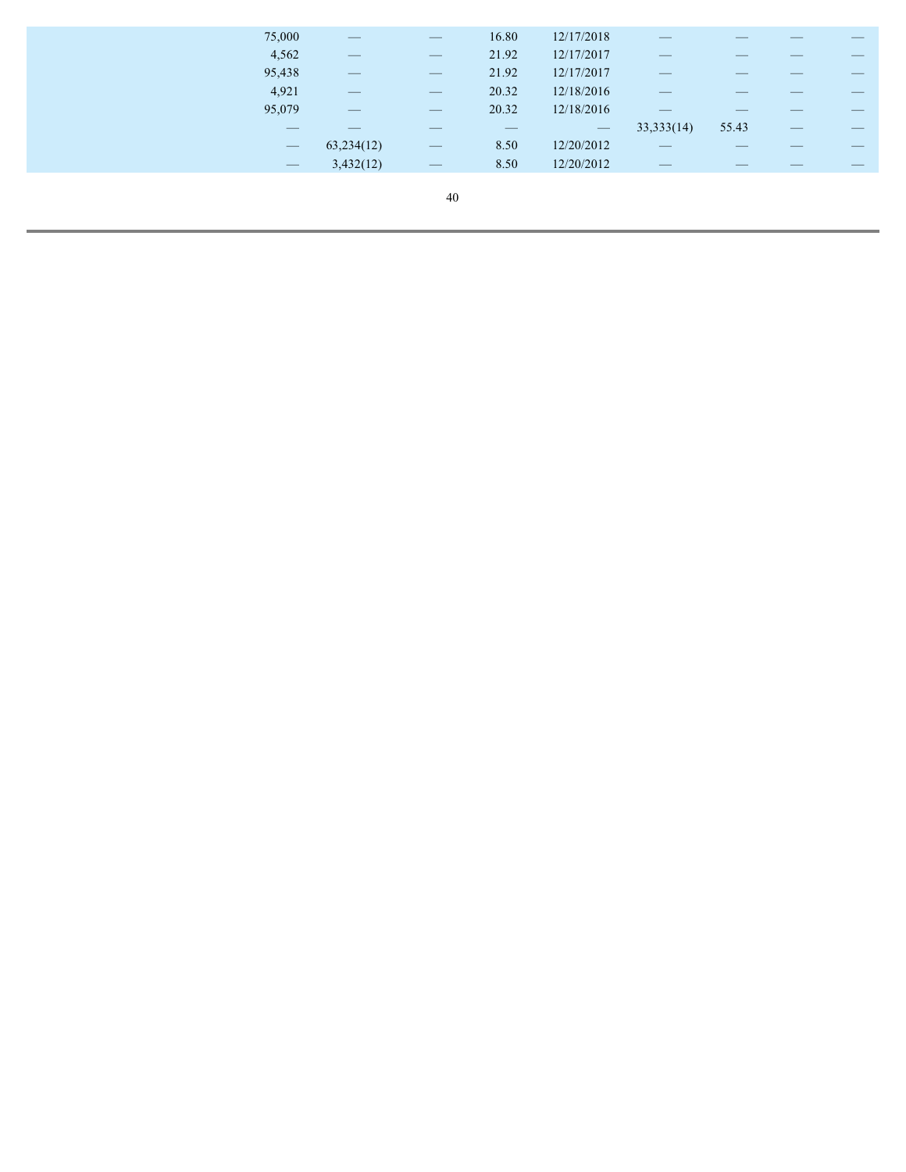| 75,000 | __                                                                                                                                                                                                                                                                                                                                                                                                                                                                         |                   | 16.80 | 12/17/2018                      |                          |       |  |
|--------|----------------------------------------------------------------------------------------------------------------------------------------------------------------------------------------------------------------------------------------------------------------------------------------------------------------------------------------------------------------------------------------------------------------------------------------------------------------------------|-------------------|-------|---------------------------------|--------------------------|-------|--|
| 4,562  |                                                                                                                                                                                                                                                                                                                                                                                                                                                                            | $\hspace{0.05cm}$ | 21.92 | 12/17/2017                      | $\overline{\phantom{a}}$ |       |  |
| 95,438 | $\sim$                                                                                                                                                                                                                                                                                                                                                                                                                                                                     | $\hspace{0.05cm}$ | 21.92 | 12/17/2017                      |                          |       |  |
| 4,921  | $\sim$                                                                                                                                                                                                                                                                                                                                                                                                                                                                     | $\hspace{0.05cm}$ | 20.32 | 12/18/2016                      | __                       |       |  |
| 95,079 | $\frac{1}{2} \left( \frac{1}{2} \right) \left( \frac{1}{2} \right) \left( \frac{1}{2} \right) \left( \frac{1}{2} \right) \left( \frac{1}{2} \right) \left( \frac{1}{2} \right) \left( \frac{1}{2} \right) \left( \frac{1}{2} \right) \left( \frac{1}{2} \right) \left( \frac{1}{2} \right) \left( \frac{1}{2} \right) \left( \frac{1}{2} \right) \left( \frac{1}{2} \right) \left( \frac{1}{2} \right) \left( \frac{1}{2} \right) \left( \frac{1}{2} \right) \left( \frac$ | $\hspace{0.1cm}$  | 20.32 | 12/18/2016                      |                          |       |  |
|        |                                                                                                                                                                                                                                                                                                                                                                                                                                                                            |                   |       | $\hspace{0.1mm}-\hspace{0.1mm}$ | 33,333(14)               | 55.43 |  |
|        | 63,234(12)<br>$\frac{1}{2}$                                                                                                                                                                                                                                                                                                                                                                                                                                                | $\qquad \qquad -$ | 8.50  | 12/20/2012                      |                          |       |  |
|        | 3,432(12)<br>$\qquad \qquad \longleftarrow$                                                                                                                                                                                                                                                                                                                                                                                                                                | $\hspace{0.05cm}$ | 8.50  | 12/20/2012                      |                          |       |  |
|        |                                                                                                                                                                                                                                                                                                                                                                                                                                                                            |                   |       |                                 |                          |       |  |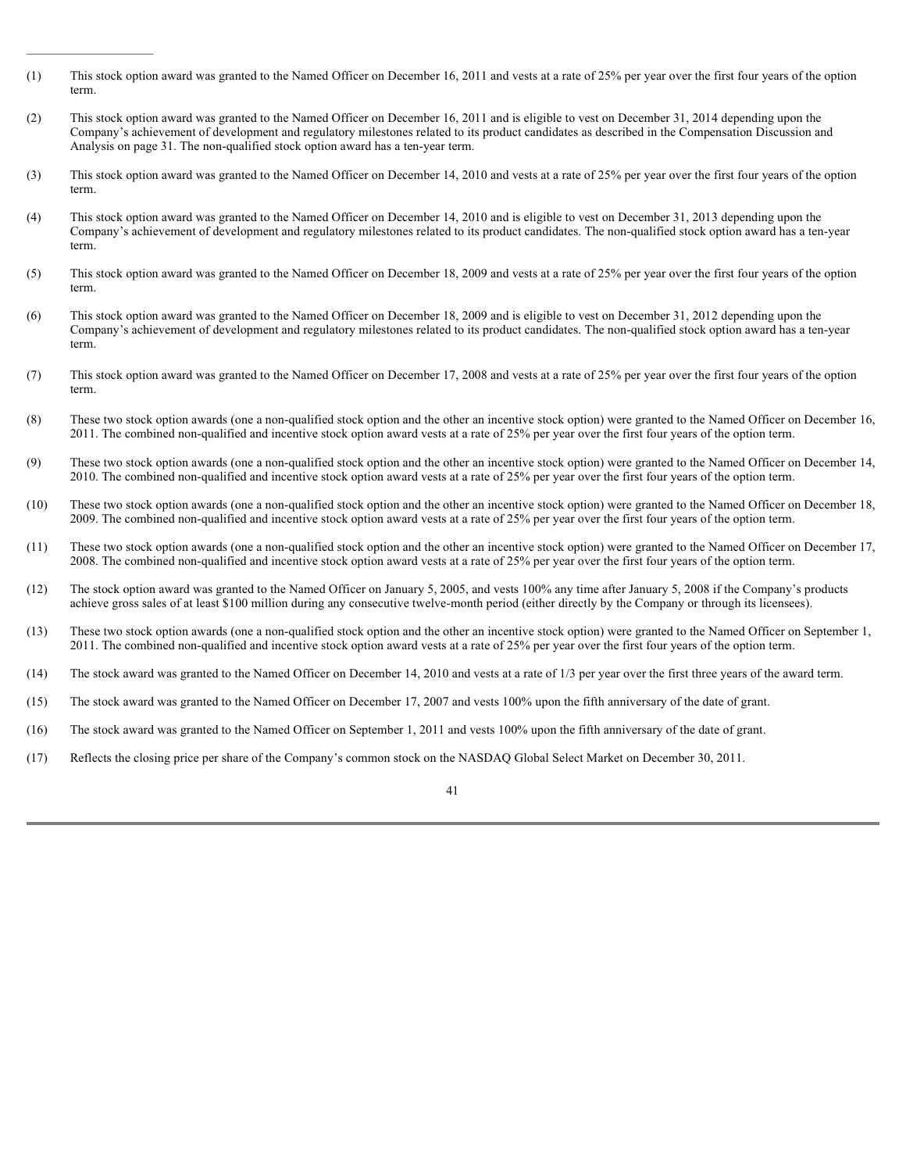- $(1)$ This stock option award was granted to the Named Officer on December 16, 2011 and vests at a rate of 25% per year over the first four years of the option term.
- (2) This stock option award was granted to the Named Officer on December 16, 2011 and is eligible to vest on December 31, 2014 depending upon the Company's achievement of development and regulatory milestones related to its product candidates as described in the Compensation Discussion and Analysis on page 31. The non-qualified stock option award has a ten-year term.

\_\_\_\_\_\_\_\_\_\_\_\_\_\_\_\_\_\_\_\_

- (3) This stock option award was granted to the Named Officer on December 14, 2010 and vests at a rate of 25% per year over the first four years of the option term.
- (4) This stock option award was granted to the Named Officer on December 14, 2010 and is eligible to vest on December 31, 2013 depending upon the Company's achievement of development and regulatory milestones related to its product candidates. The non-qualified stock option award has a ten-year term.
- (5) This stock option award was granted to the Named Officer on December 18, 2009 and vests at a rate of 25% per year over the first four years of the option term.
- (6) This stock option award was granted to the Named Officer on December 18, 2009 and is eligible to vest on December 31, 2012 depending upon the Company's achievement of development and regulatory milestones related to its product candidates. The non-qualified stock option award has a ten-year term.
- (7) This stock option award was granted to the Named Officer on December 17, 2008 and vests at a rate of 25% per year over the first four years of the option term.
- (8) These two stock option awards (one a non-qualified stock option and the other an incentive stock option) were granted to the Named Officer on December 16, 2011. The combined non-qualified and incentive stock option award vests at a rate of 25% per year over the first four years of the option term.
- $(9)$ These two stock option awards (one a non-qualified stock option and the other an incentive stock option) were granted to the Named Officer on December 14, 2010. The combined non-qualified and incentive stock option award vests at a rate of 25% per year over the first four years of the option term.
- (10) These two stock option awards (one a non-qualified stock option and the other an incentive stock option) were granted to the Named Officer on December 18, 2009. The combined non-qualified and incentive stock option award vests at a rate of 25% per year over the first four years of the option term.
- (11) These two stock option awards (one a non-qualified stock option and the other an incentive stock option) were granted to the Named Officer on December 17, 2008. The combined non-qualified and incentive stock option award vests at a rate of 25% per year over the first four years of the option term.
- (12) The stock option award was granted to the Named Officer on January 5, 2005, and vests 100% any time after January 5, 2008 if the Company's products achieve gross sales of at least \$100 million during any consecutive twelve-month period (either directly by the Company or through its licensees).
- (13) These two stock option awards (one a non-qualified stock option and the other an incentive stock option) were granted to the Named Officer on September 1, 2011. The combined non-qualified and incentive stock option award vests at a rate of 25% per year over the first four years of the option term.
- (14) The stock award was granted to the Named Officer on December 14, 2010 and vests at a rate of 1/3 per year over the first three years of the award term.
- (15) The stock award was granted to the Named Officer on December 17, 2007 and vests 100% upon the fifth anniversary of the date of grant.
- (16) The stock award was granted to the Named Officer on September 1, 2011 and vests 100% upon the fifth anniversary of the date of grant.
- (17) Reflects the closing price per share of the Company's common stock on the NASDAQ Global Select Market on December 30, 2011.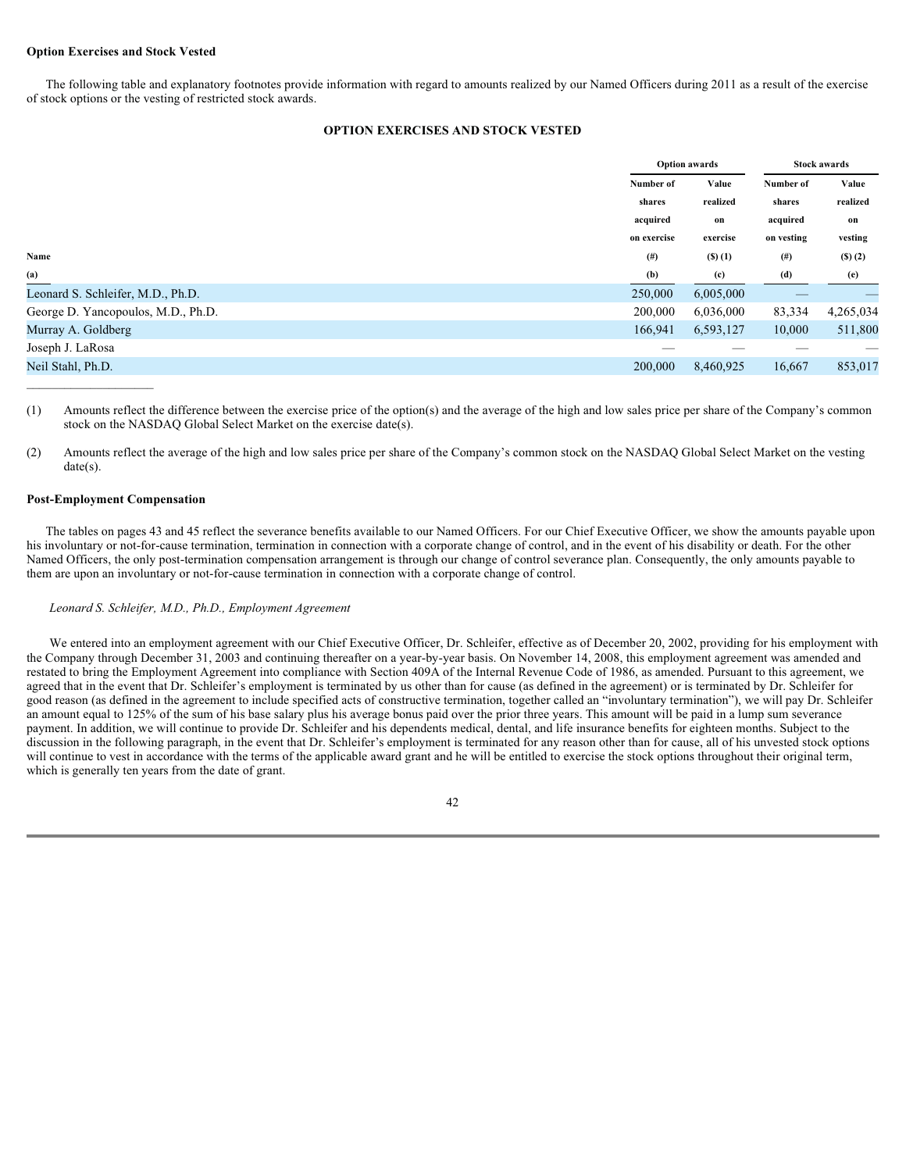#### **Option Exercises and Stock Vested**

 The following table and explanatory footnotes provide information with regard to amounts realized by our Named Officers during 2011 as a result of the exercise of stock options or the vesting of restricted stock awards.

#### **OPTION EXERCISES AND STOCK VESTED**

|             | <b>Option awards</b>                                                                                     |            | <b>Stock awards</b> |  |
|-------------|----------------------------------------------------------------------------------------------------------|------------|---------------------|--|
| Number of   | Value<br>realized<br>on<br>exercise<br>(5)(1)<br>(c)<br>6,005,000<br>6,036,000<br>6,593,127<br>8,460,925 | Number of  | Value               |  |
| shares      |                                                                                                          | shares     | realized            |  |
| acquired    |                                                                                                          | acquired   | on                  |  |
| on exercise |                                                                                                          | on vesting | vesting             |  |
| (# )        |                                                                                                          | $^{(#)}$   | (5)(2)              |  |
| (b)         |                                                                                                          | (d)        | (e)                 |  |
| 250,000     |                                                                                                          |            |                     |  |
| 200,000     |                                                                                                          | 83,334     | 4,265,034           |  |
| 166,941     |                                                                                                          | 10,000     | 511,800             |  |
|             |                                                                                                          |            |                     |  |
| 200,000     |                                                                                                          | 16,667     | 853,017             |  |
|             |                                                                                                          |            |                     |  |

(1) Amounts reflect the difference between the exercise price of the option(s) and the average of the high and low sales price per share of the Company's common stock on the NASDAQ Global Select Market on the exercise date(s).

(2) Amounts reflect the average of the high and low sales price per share of the Company's common stock on the NASDAQ Global Select Market on the vesting date(s).

#### **Post-Employment Compensation**

 The tables on pages 43 and 45 reflect the severance benefits available to our Named Officers. For our Chief Executive Officer, we show the amounts payable upon his involuntary or not-for-cause termination, termination in connection with a corporate change of control, and in the event of his disability or death. For the other Named Officers, the only post-termination compensation arrangement is through our change of control severance plan. Consequently, the only amounts payable to them are upon an involuntary or not-for-cause termination in connection with a corporate change of control.

#### *Leonard S. Schleifer, M.D., Ph.D., Employment Agreement*

We entered into an employment agreement with our Chief Executive Officer, Dr. Schleifer, effective as of December 20, 2002, providing for his employment with the Company through December 31, 2003 and continuing thereafter on a year-by-year basis. On November 14, 2008, this employment agreement was amended and restated to bring the Employment Agreement into compliance with Section 409A of the Internal Revenue Code of 1986, as amended. Pursuant to this agreement, we agreed that in the event that Dr. Schleifer's employment is terminated by us other than for cause (as defined in the agreement) or is terminated by Dr. Schleifer for good reason (as defined in the agreement to include specified acts of constructive termination, together called an "involuntary termination"), we will pay Dr. Schleifer an amount equal to 125% of the sum of his base salary plus his average bonus paid over the prior three years. This amount will be paid in a lump sum severance payment. In addition, we will continue to provide Dr. Schleifer and his dependents medical, dental, and life insurance benefits for eighteen months. Subject to the discussion in the following paragraph, in the event that Dr. Schleifer's employment is terminated for any reason other than for cause, all of his unvested stock options will continue to vest in accordance with the terms of the applicable award grant and he will be entitled to exercise the stock options throughout their original term, which is generally ten years from the date of grant.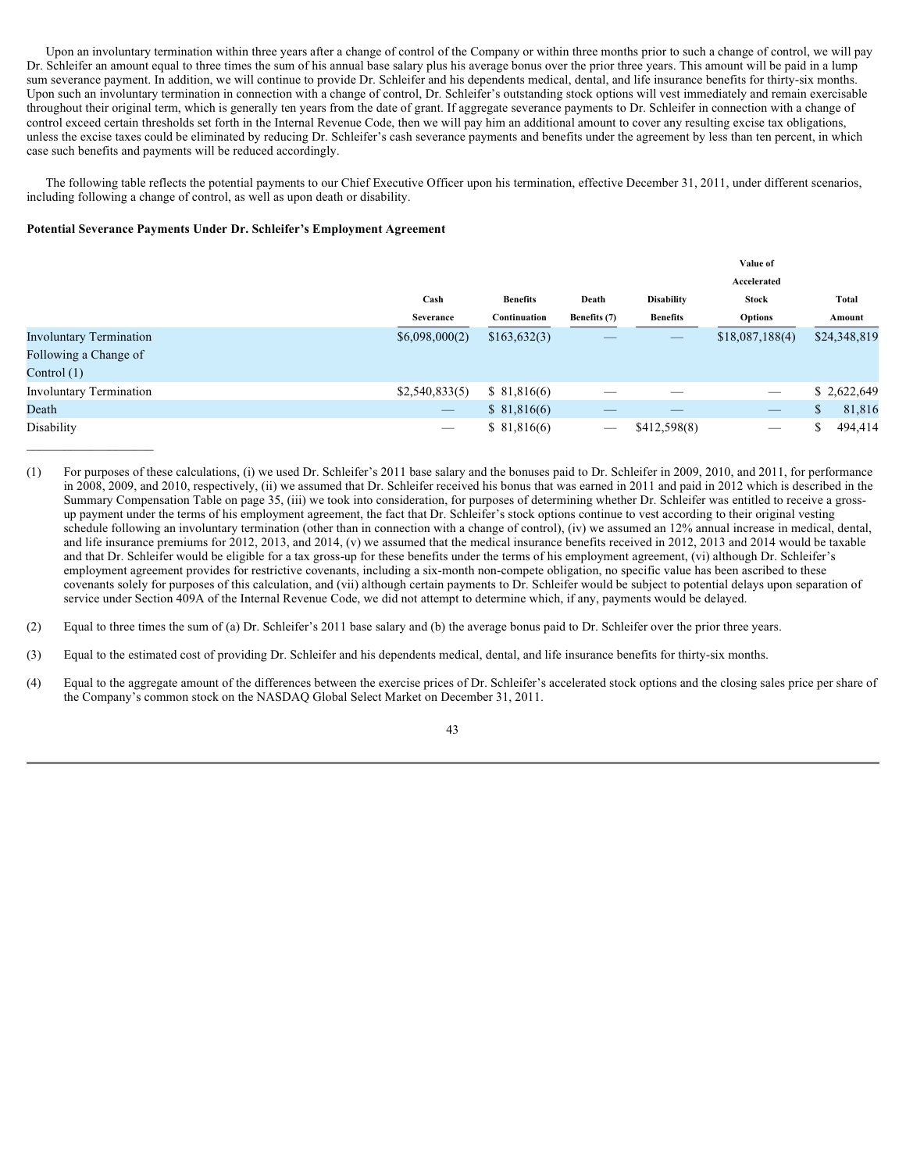Upon an involuntary termination within three years after a change of control of the Company or within three months prior to such a change of control, we will pay Dr. Schleifer an amount equal to three times the sum of his annual base salary plus his average bonus over the prior three years. This amount will be paid in a lump sum severance payment. In addition, we will continue to provide Dr. Schleifer and his dependents medical, dental, and life insurance benefits for thirty-six months. Upon such an involuntary termination in connection with a change of control, Dr. Schleifer's outstanding stock options will vest immediately and remain exercisable throughout their original term, which is generally ten years from the date of grant. If aggregate severance payments to Dr. Schleifer in connection with a change of control exceed certain thresholds set forth in the Internal Revenue Code, then we will pay him an additional amount to cover any resulting excise tax obligations, unless the excise taxes could be eliminated by reducing Dr. Schleifer's cash severance payments and benefits under the agreement by less than ten percent, in which case such benefits and payments will be reduced accordingly.

 The following table reflects the potential payments to our Chief Executive Officer upon his termination, effective December 31, 2011, under different scenarios, including following a change of control, as well as upon death or disability.

#### **Potential Severance Payments Under Dr. Schleifer's Employment Agreement**

|                                |                          |                 |                   |                          | Value of                 |               |
|--------------------------------|--------------------------|-----------------|-------------------|--------------------------|--------------------------|---------------|
|                                |                          |                 |                   |                          | Accelerated              |               |
|                                | Cash                     | <b>Benefits</b> | Death             | <b>Disability</b>        | <b>Stock</b>             | Total         |
|                                | Severance                | Continuation    | Benefits (7)      | <b>Benefits</b>          | <b>Options</b>           | Amount        |
| <b>Involuntary Termination</b> | \$6,098,000(2)           | \$163,632(3)    |                   | $\overline{\phantom{a}}$ | \$18,087,188(4)          | \$24,348,819  |
| Following a Change of          |                          |                 |                   |                          |                          |               |
| Control $(1)$                  |                          |                 |                   |                          |                          |               |
| <b>Involuntary Termination</b> | \$2,540,833(5)           | \$81,816(6)     |                   |                          |                          | \$2,622,649   |
| Death                          | $\qquad \qquad - \qquad$ | \$81,816(6)     |                   |                          | $\hspace{0.05cm}$        | 81,816<br>\$  |
| Disability                     | $\overline{\phantom{a}}$ | \$81,816(6)     | $\hspace{0.05cm}$ | \$412,598(8)             | $\overline{\phantom{m}}$ | 494,414<br>\$ |

- (1) For purposes of these calculations, (i) we used Dr. Schleifer's 2011 base salary and the bonuses paid to Dr. Schleifer in 2009, 2010, and 2011, for performance in 2008, 2009, and 2010, respectively, (ii) we assumed that Dr. Schleifer received his bonus that was earned in 2011 and paid in 2012 which is described in the Summary Compensation Table on page 35, (iii) we took into consideration, for purposes of determining whether Dr. Schleifer was entitled to receive a grossup payment under the terms of his employment agreement, the fact that Dr. Schleifer's stock options continue to vest according to their original vesting schedule following an involuntary termination (other than in connection with a change of control), (iv) we assumed an 12% annual increase in medical, dental, and life insurance premiums for 2012, 2013, and 2014, (v) we assumed that the medical insurance benefits received in 2012, 2013 and 2014 would be taxable and that Dr. Schleifer would be eligible for a tax gross-up for these benefits under the terms of his employment agreement, (vi) although Dr. Schleifer's employment agreement provides for restrictive covenants, including a six-month non-compete obligation, no specific value has been ascribed to these covenants solely for purposes of this calculation, and (vii) although certain payments to Dr. Schleifer would be subject to potential delays upon separation of service under Section 409A of the Internal Revenue Code, we did not attempt to determine which, if any, payments would be delayed.
- (2) Equal to three times the sum of (a) Dr. Schleifer's 2011 base salary and (b) the average bonus paid to Dr. Schleifer over the prior three years.
- (3) Equal to the estimated cost of providing Dr. Schleifer and his dependents medical, dental, and life insurance benefits for thirty-six months.
- (4) Equal to the aggregate amount of the differences between the exercise prices of Dr. Schleifer's accelerated stock options and the closing sales price per share of the Company's common stock on the NASDAQ Global Select Market on December 31, 2011.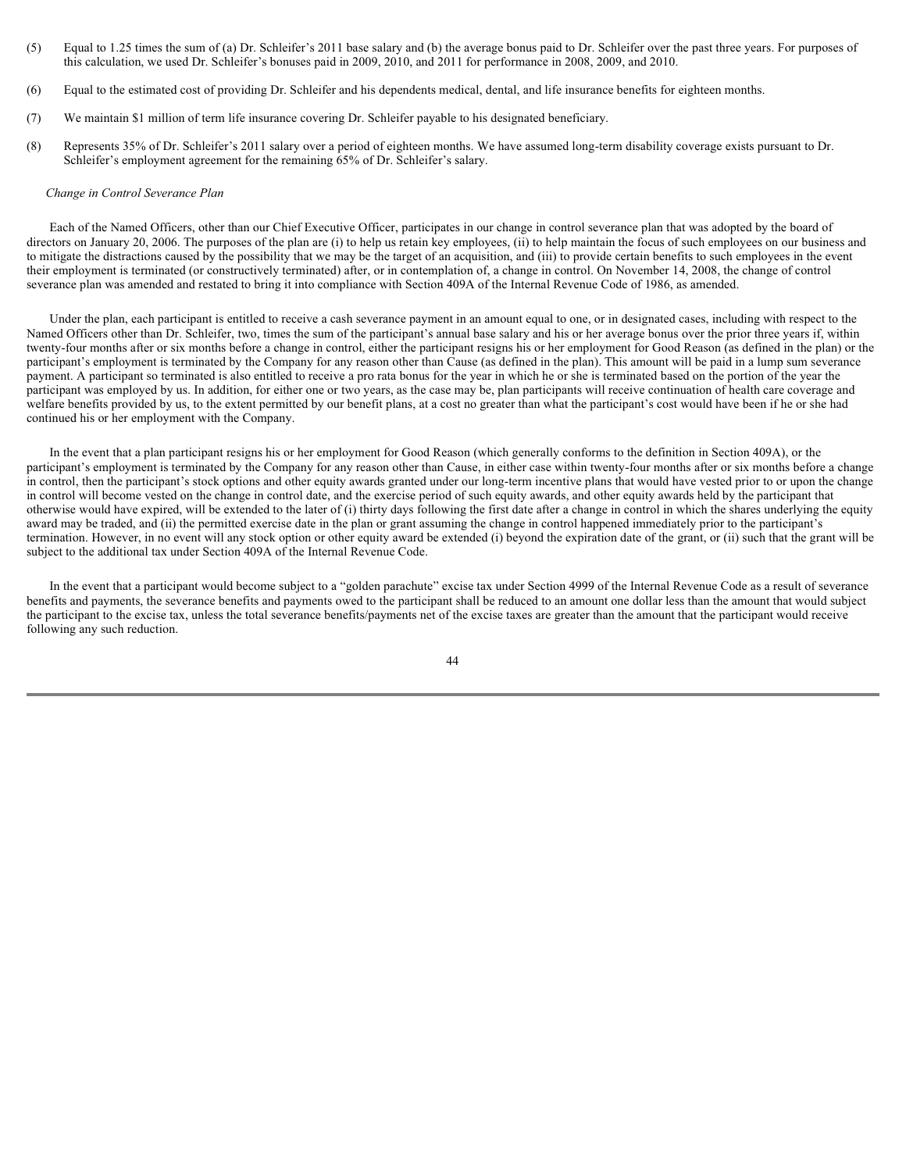- (5) Equal to 1.25 times the sum of (a) Dr. Schleifer's 2011 base salary and (b) the average bonus paid to Dr. Schleifer over the past three years. For purposes of this calculation, we used Dr. Schleifer's bonuses paid in 2009, 2010, and 2011 for performance in 2008, 2009, and 2010.
- (6) Equal to the estimated cost of providing Dr. Schleifer and his dependents medical, dental, and life insurance benefits for eighteen months.
- (7) We maintain \$1 million of term life insurance covering Dr. Schleifer payable to his designated beneficiary.
- (8) Represents 35% of Dr. Schleifer's 2011 salary over a period of eighteen months. We have assumed long-term disability coverage exists pursuant to Dr. Schleifer's employment agreement for the remaining 65% of Dr. Schleifer's salary.

#### *Change in Control Severance Plan*

 Each of the Named Officers, other than our Chief Executive Officer, participates in our change in control severance plan that was adopted by the board of directors on January 20, 2006. The purposes of the plan are (i) to help us retain key employees, (ii) to help maintain the focus of such employees on our business and to mitigate the distractions caused by the possibility that we may be the target of an acquisition, and (iii) to provide certain benefits to such employees in the event their employment is terminated (or constructively terminated) after, or in contemplation of, a change in control. On November 14, 2008, the change of control severance plan was amended and restated to bring it into compliance with Section 409A of the Internal Revenue Code of 1986, as amended.

 Under the plan, each participant is entitled to receive a cash severance payment in an amount equal to one, or in designated cases, including with respect to the Named Officers other than Dr. Schleifer, two, times the sum of the participant's annual base salary and his or her average bonus over the prior three years if, within twenty-four months after or six months before a change in control, either the participant resigns his or her employment for Good Reason (as defined in the plan) or the participant's employment is terminated by the Company for any reason other than Cause (as defined in the plan). This amount will be paid in a lump sum severance payment. A participant so terminated is also entitled to receive a pro rata bonus for the year in which he or she is terminated based on the portion of the year the participant was employed by us. In addition, for either one or two years, as the case may be, plan participants will receive continuation of health care coverage and welfare benefits provided by us, to the extent permitted by our benefit plans, at a cost no greater than what the participant's cost would have been if he or she had continued his or her employment with the Company.

 In the event that a plan participant resigns his or her employment for Good Reason (which generally conforms to the definition in Section 409A), or the participant's employment is terminated by the Company for any reason other than Cause, in either case within twenty-four months after or six months before a change in control, then the participant's stock options and other equity awards granted under our long-term incentive plans that would have vested prior to or upon the change in control will become vested on the change in control date, and the exercise period of such equity awards, and other equity awards held by the participant that otherwise would have expired, will be extended to the later of (i) thirty days following the first date after a change in control in which the shares underlying the equity award may be traded, and (ii) the permitted exercise date in the plan or grant assuming the change in control happened immediately prior to the participant's termination. However, in no event will any stock option or other equity award be extended (i) beyond the expiration date of the grant, or (ii) such that the grant will be subject to the additional tax under Section 409A of the Internal Revenue Code.

 In the event that a participant would become subject to a "golden parachute" excise tax under Section 4999 of the Internal Revenue Code as a result of severance benefits and payments, the severance benefits and payments owed to the participant shall be reduced to an amount one dollar less than the amount that would subject the participant to the excise tax, unless the total severance benefits/payments net of the excise taxes are greater than the amount that the participant would receive following any such reduction.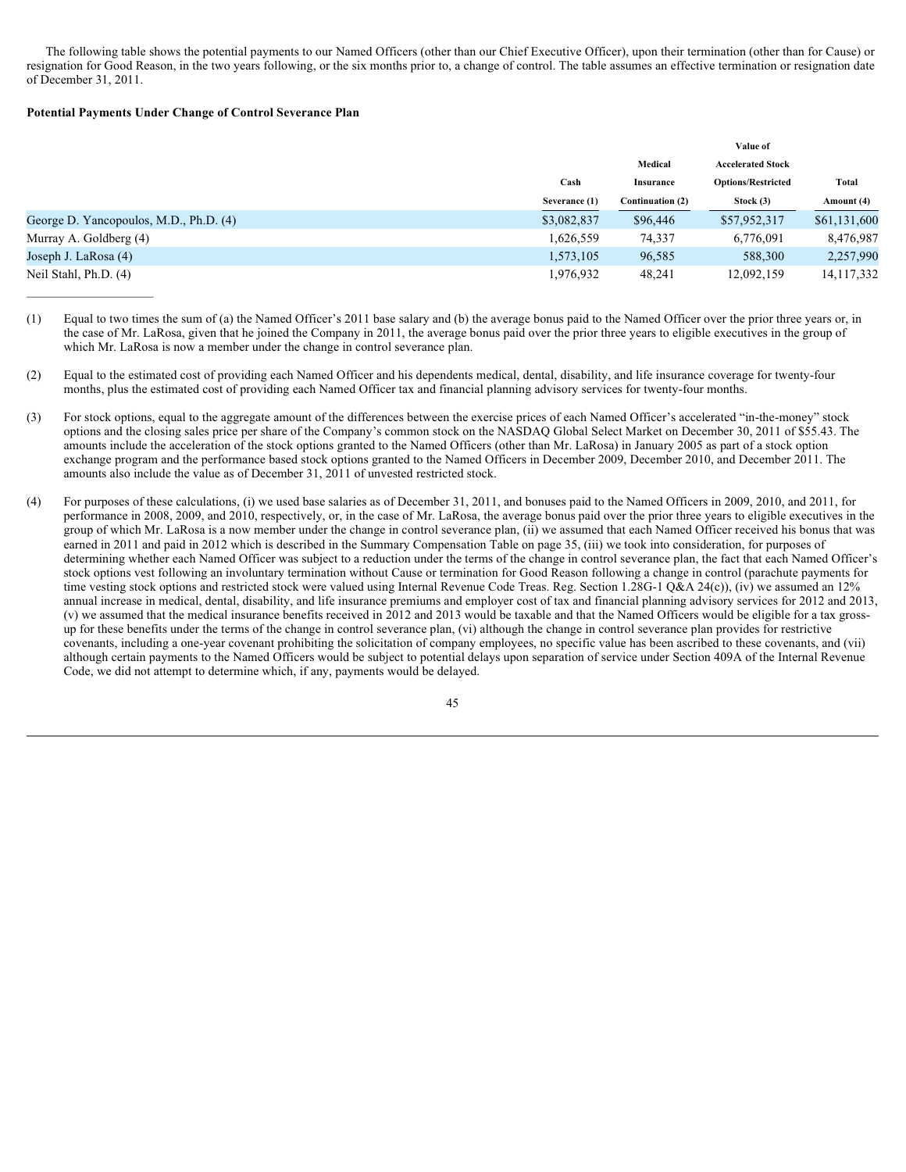The following table shows the potential payments to our Named Officers (other than our Chief Executive Officer), upon their termination (other than for Cause) or resignation for Good Reason, in the two years following, or the six months prior to, a change of control. The table assumes an effective termination or resignation date of December 31, 2011.

#### **Potential Payments Under Change of Control Severance Plan**

|               |                  | Value of                  |              |
|---------------|------------------|---------------------------|--------------|
|               | Medical          | <b>Accelerated Stock</b>  |              |
| Cash          | Insurance        | <b>Options/Restricted</b> | Total        |
| Severance (1) | Continuation (2) | Stock $(3)$               | Amount (4)   |
| \$3,082,837   | \$96,446         | \$57,952,317              | \$61,131,600 |
| 1,626,559     | 74.337           | 6,776,091                 | 8,476,987    |
| 1,573,105     | 96,585           | 588,300                   | 2,257,990    |
| 1,976,932     | 48,241           | 12,092,159                | 14, 117, 332 |
|               |                  |                           |              |

<sup>(1)</sup> Equal to two times the sum of (a) the Named Officer's 2011 base salary and (b) the average bonus paid to the Named Officer over the prior three years or, in the case of Mr. LaRosa, given that he joined the Company in 2011, the average bonus paid over the prior three years to eligible executives in the group of which Mr. LaRosa is now a member under the change in control severance plan.

- (2) Equal to the estimated cost of providing each Named Officer and his dependents medical, dental, disability, and life insurance coverage for twenty-four months, plus the estimated cost of providing each Named Officer tax and financial planning advisory services for twenty-four months.
- (3) For stock options, equal to the aggregate amount of the differences between the exercise prices of each Named Officer's accelerated "in-the-money" stock options and the closing sales price per share of the Company's common stock on the NASDAQ Global Select Market on December 30, 2011 of \$55.43. The amounts include the acceleration of the stock options granted to the Named Officers (other than Mr. LaRosa) in January 2005 as part of a stock option exchange program and the performance based stock options granted to the Named Officers in December 2009, December 2010, and December 2011. The amounts also include the value as of December 31, 2011 of unvested restricted stock.
- (4) For purposes of these calculations, (i) we used base salaries as of December 31, 2011, and bonuses paid to the Named Officers in 2009, 2010, and 2011, for performance in 2008, 2009, and 2010, respectively, or, in the case of Mr. LaRosa, the average bonus paid over the prior three years to eligible executives in the group of which Mr. LaRosa is a now member under the change in control severance plan, (ii) we assumed that each Named Officer received his bonus that was earned in 2011 and paid in 2012 which is described in the Summary Compensation Table on page 35, (iii) we took into consideration, for purposes of determining whether each Named Officer was subject to a reduction under the terms of the change in control severance plan, the fact that each Named Officer's stock options vest following an involuntary termination without Cause or termination for Good Reason following a change in control (parachute payments for time vesting stock options and restricted stock were valued using Internal Revenue Code Treas. Reg. Section 1.28G-1 Q&A 24(c)), (iv) we assumed an 12% annual increase in medical, dental, disability, and life insurance premiums and employer cost of tax and financial planning advisory services for 2012 and 2013, (v) we assumed that the medical insurance benefits received in 2012 and 2013 would be taxable and that the Named Officers would be eligible for a tax grossup for these benefits under the terms of the change in control severance plan, (vi) although the change in control severance plan provides for restrictive covenants, including a one-year covenant prohibiting the solicitation of company employees, no specific value has been ascribed to these covenants, and (vii) although certain payments to the Named Officers would be subject to potential delays upon separation of service under Section 409A of the Internal Revenue Code, we did not attempt to determine which, if any, payments would be delayed.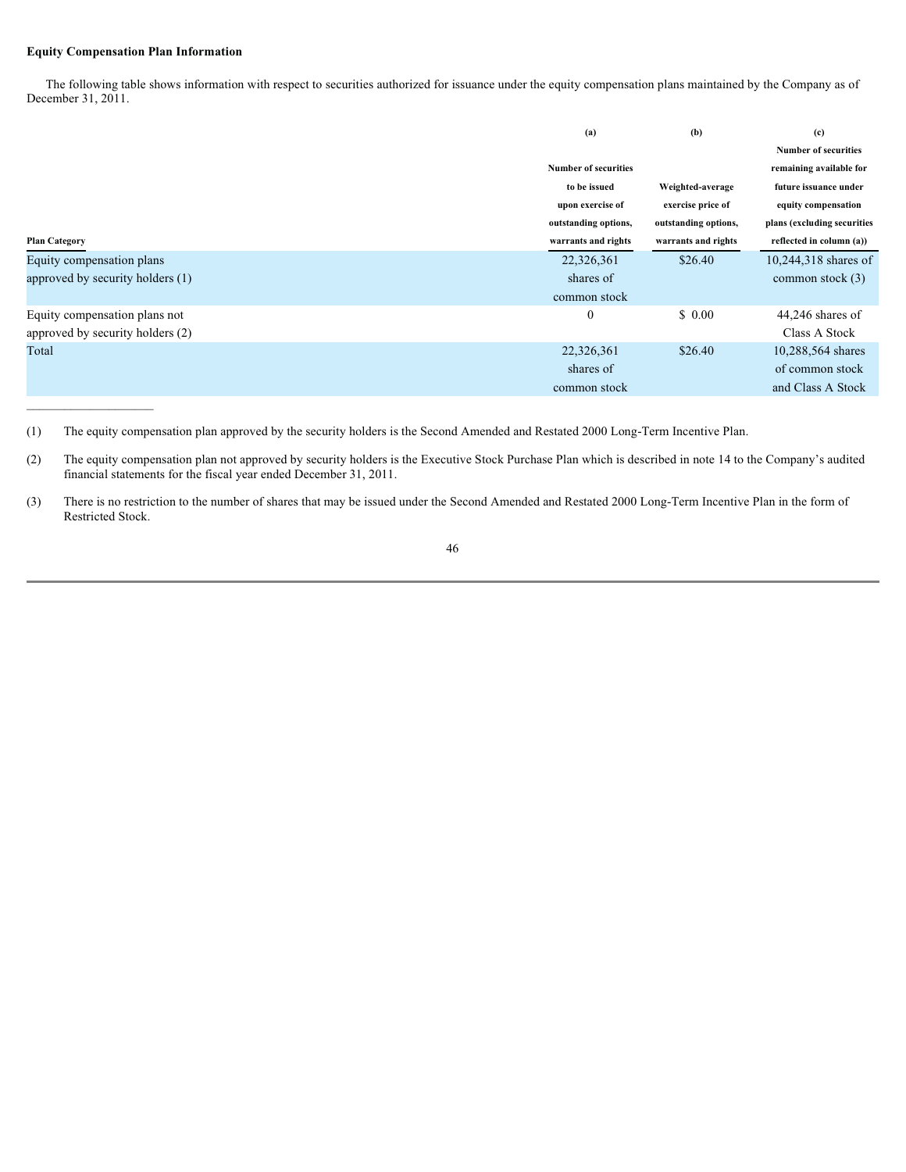#### **Equity Compensation Plan Information**

\_\_\_\_\_\_\_\_\_\_\_\_\_\_\_\_\_\_\_\_

 The following table shows information with respect to securities authorized for issuance under the equity compensation plans maintained by the Company as of December 31, 2011.

|                                  | (a)                         | (b)                  | (c)                         |
|----------------------------------|-----------------------------|----------------------|-----------------------------|
|                                  |                             |                      | <b>Number of securities</b> |
|                                  | <b>Number of securities</b> |                      | remaining available for     |
|                                  | to be issued                | Weighted-average     | future issuance under       |
|                                  | upon exercise of            | exercise price of    | equity compensation         |
|                                  | outstanding options,        | outstanding options, | plans (excluding securities |
| <b>Plan Category</b>             | warrants and rights         | warrants and rights  | reflected in column (a))    |
| Equity compensation plans        | 22,326,361                  | \$26.40              | 10,244,318 shares of        |
| approved by security holders (1) | shares of                   |                      | common stock $(3)$          |
|                                  | common stock                |                      |                             |
| Equity compensation plans not    | $\mathbf{0}$                | \$0.00               | $44,246$ shares of          |
| approved by security holders (2) |                             |                      | Class A Stock               |
| Total                            | 22,326,361                  | \$26.40              | 10,288,564 shares           |
|                                  | shares of                   |                      | of common stock             |
|                                  | common stock                |                      | and Class A Stock           |

(1) The equity compensation plan approved by the security holders is the Second Amended and Restated 2000 Long-Term Incentive Plan.

(2) The equity compensation plan not approved by security holders is the Executive Stock Purchase Plan which is described in note 14 to the Company's audited financial statements for the fiscal year ended December 31, 2011.

(3) There is no restriction to the number of shares that may be issued under the Second Amended and Restated 2000 Long-Term Incentive Plan in the form of Restricted Stock.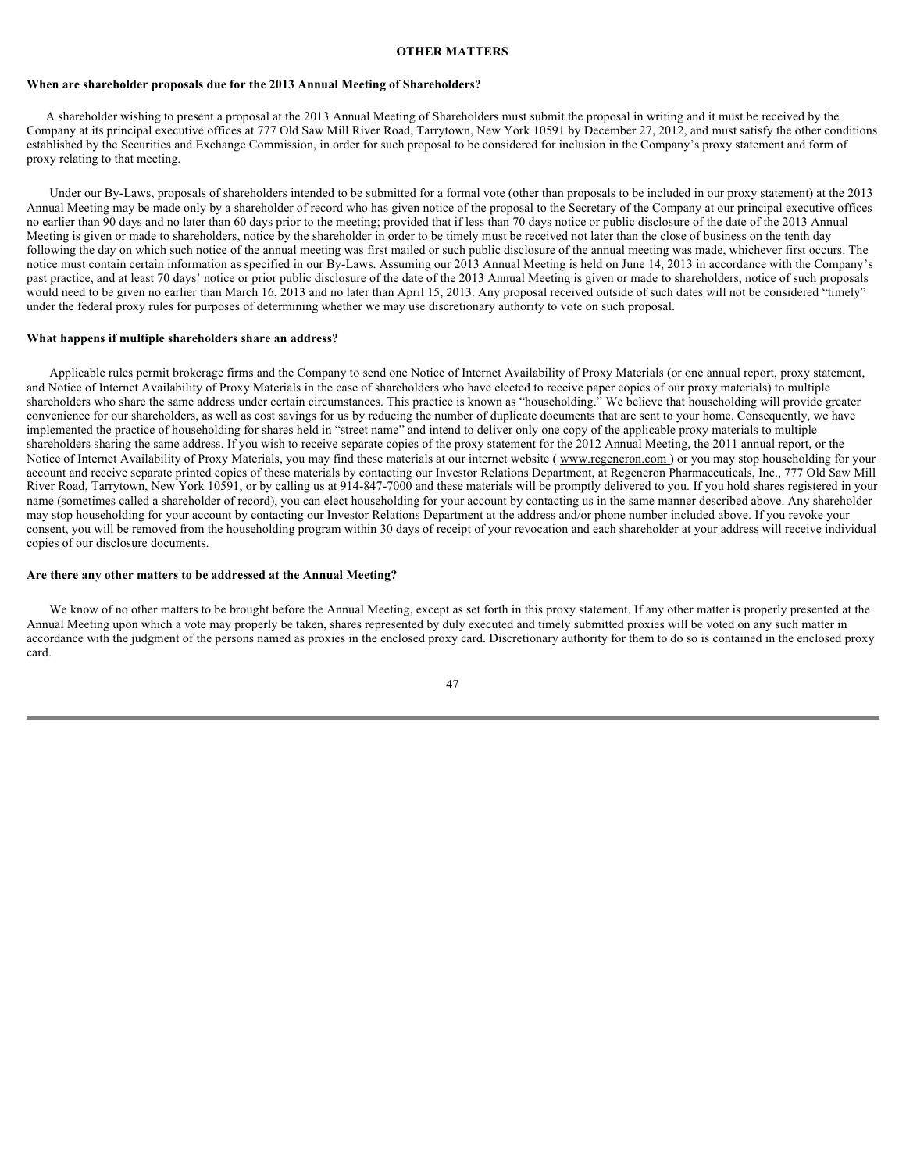#### **OTHER MATTERS**

#### **When are shareholder proposals due for the 2013 Annual Meeting of Shareholders?**

 A shareholder wishing to present a proposal at the 2013 Annual Meeting of Shareholders must submit the proposal in writing and it must be received by the Company at its principal executive offices at 777 Old Saw Mill River Road, Tarrytown, New York 10591 by December 27, 2012, and must satisfy the other conditions established by the Securities and Exchange Commission, in order for such proposal to be considered for inclusion in the Company's proxy statement and form of proxy relating to that meeting.

 Under our By-Laws, proposals of shareholders intended to be submitted for a formal vote (other than proposals to be included in our proxy statement) at the 2013 Annual Meeting may be made only by a shareholder of record who has given notice of the proposal to the Secretary of the Company at our principal executive offices no earlier than 90 days and no later than 60 days prior to the meeting; provided that if less than 70 days notice or public disclosure of the date of the 2013 Annual Meeting is given or made to shareholders, notice by the shareholder in order to be timely must be received not later than the close of business on the tenth day following the day on which such notice of the annual meeting was first mailed or such public disclosure of the annual meeting was made, whichever first occurs. The notice must contain certain information as specified in our By-Laws. Assuming our 2013 Annual Meeting is held on June 14, 2013 in accordance with the Company's past practice, and at least 70 days' notice or prior public disclosure of the date of the 2013 Annual Meeting is given or made to shareholders, notice of such proposals would need to be given no earlier than March 16, 2013 and no later than April 15, 2013. Any proposal received outside of such dates will not be considered "timely" under the federal proxy rules for purposes of determining whether we may use discretionary authority to vote on such proposal.

#### **What happens if multiple shareholders share an address?**

 Applicable rules permit brokerage firms and the Company to send one Notice of Internet Availability of Proxy Materials (or one annual report, proxy statement, and Notice of Internet Availability of Proxy Materials in the case of shareholders who have elected to receive paper copies of our proxy materials) to multiple shareholders who share the same address under certain circumstances. This practice is known as "householding." We believe that householding will provide greater convenience for our shareholders, as well as cost savings for us by reducing the number of duplicate documents that are sent to your home. Consequently, we have implemented the practice of householding for shares held in "street name" and intend to deliver only one copy of the applicable proxy materials to multiple shareholders sharing the same address. If you wish to receive separate copies of the proxy statement for the 2012 Annual Meeting, the 2011 annual report, or the Notice of Internet Availability of Proxy Materials, you may find these materials at our internet website ( www.regeneron.com ) or you may stop householding for your account and receive separate printed copies of these materials by contacting our Investor Relations Department, at Regeneron Pharmaceuticals, Inc., 777 Old Saw Mill River Road, Tarrytown, New York 10591, or by calling us at 914-847-7000 and these materials will be promptly delivered to you. If you hold shares registered in your name (sometimes called a shareholder of record), you can elect householding for your account by contacting us in the same manner described above. Any shareholder may stop householding for your account by contacting our Investor Relations Department at the address and/or phone number included above. If you revoke your consent, you will be removed from the householding program within 30 days of receipt of your revocation and each shareholder at your address will receive individual copies of our disclosure documents.

#### **Are there any other matters to be addressed at the Annual Meeting?**

We know of no other matters to be brought before the Annual Meeting, except as set forth in this proxy statement. If any other matter is properly presented at the Annual Meeting upon which a vote may properly be taken, shares represented by duly executed and timely submitted proxies will be voted on any such matter in accordance with the judgment of the persons named as proxies in the enclosed proxy card. Discretionary authority for them to do so is contained in the enclosed proxy card.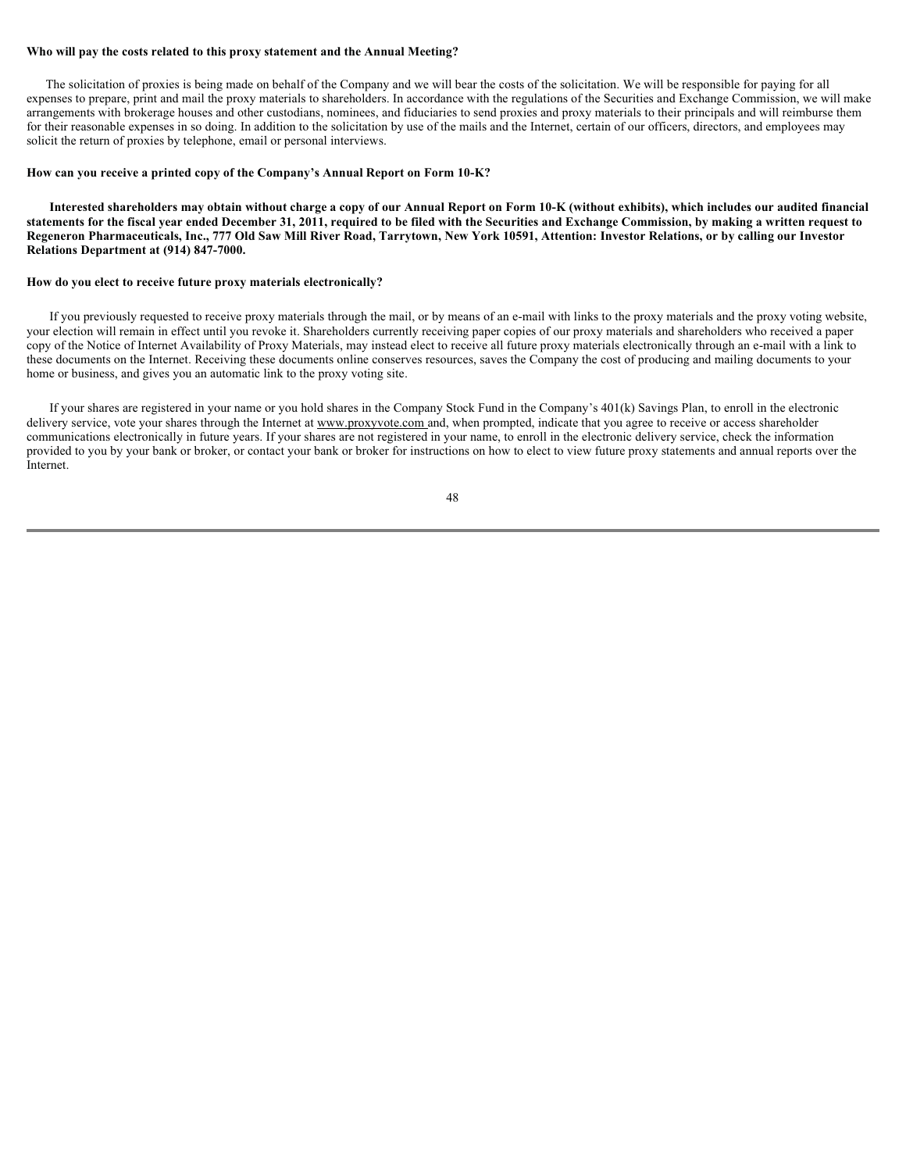#### **Who will pay the costs related to this proxy statement and the Annual Meeting?**

 The solicitation of proxies is being made on behalf of the Company and we will bear the costs of the solicitation. We will be responsible for paying for all expenses to prepare, print and mail the proxy materials to shareholders. In accordance with the regulations of the Securities and Exchange Commission, we will make arrangements with brokerage houses and other custodians, nominees, and fiduciaries to send proxies and proxy materials to their principals and will reimburse them for their reasonable expenses in so doing. In addition to the solicitation by use of the mails and the Internet, certain of our officers, directors, and employees may solicit the return of proxies by telephone, email or personal interviews.

#### **How can you receive a printed copy of the Company's Annual Report on Form 10-K?**

 **Interested shareholders may obtain without charge a copy of our Annual Report on Form 10-K (without exhibits), which includes our audited financial statements for the fiscal year ended December 31, 2011, required to be filed with the Securities and Exchange Commission, by making a written request to Regeneron Pharmaceuticals, Inc., 777 Old Saw Mill River Road, Tarrytown, New York 10591, Attention: Investor Relations, or by calling our Investor Relations Department at (914) 847-7000.** 

#### **How do you elect to receive future proxy materials electronically?**

 If you previously requested to receive proxy materials through the mail, or by means of an e-mail with links to the proxy materials and the proxy voting website, your election will remain in effect until you revoke it. Shareholders currently receiving paper copies of our proxy materials and shareholders who received a paper copy of the Notice of Internet Availability of Proxy Materials, may instead elect to receive all future proxy materials electronically through an e-mail with a link to these documents on the Internet. Receiving these documents online conserves resources, saves the Company the cost of producing and mailing documents to your home or business, and gives you an automatic link to the proxy voting site.

 If your shares are registered in your name or you hold shares in the Company Stock Fund in the Company's 401(k) Savings Plan, to enroll in the electronic delivery service, vote your shares through the Internet at www.proxyvote.com and, when prompted, indicate that you agree to receive or access shareholder communications electronically in future years. If your shares are not registered in your name, to enroll in the electronic delivery service, check the information provided to you by your bank or broker, or contact your bank or broker for instructions on how to elect to view future proxy statements and annual reports over the Internet.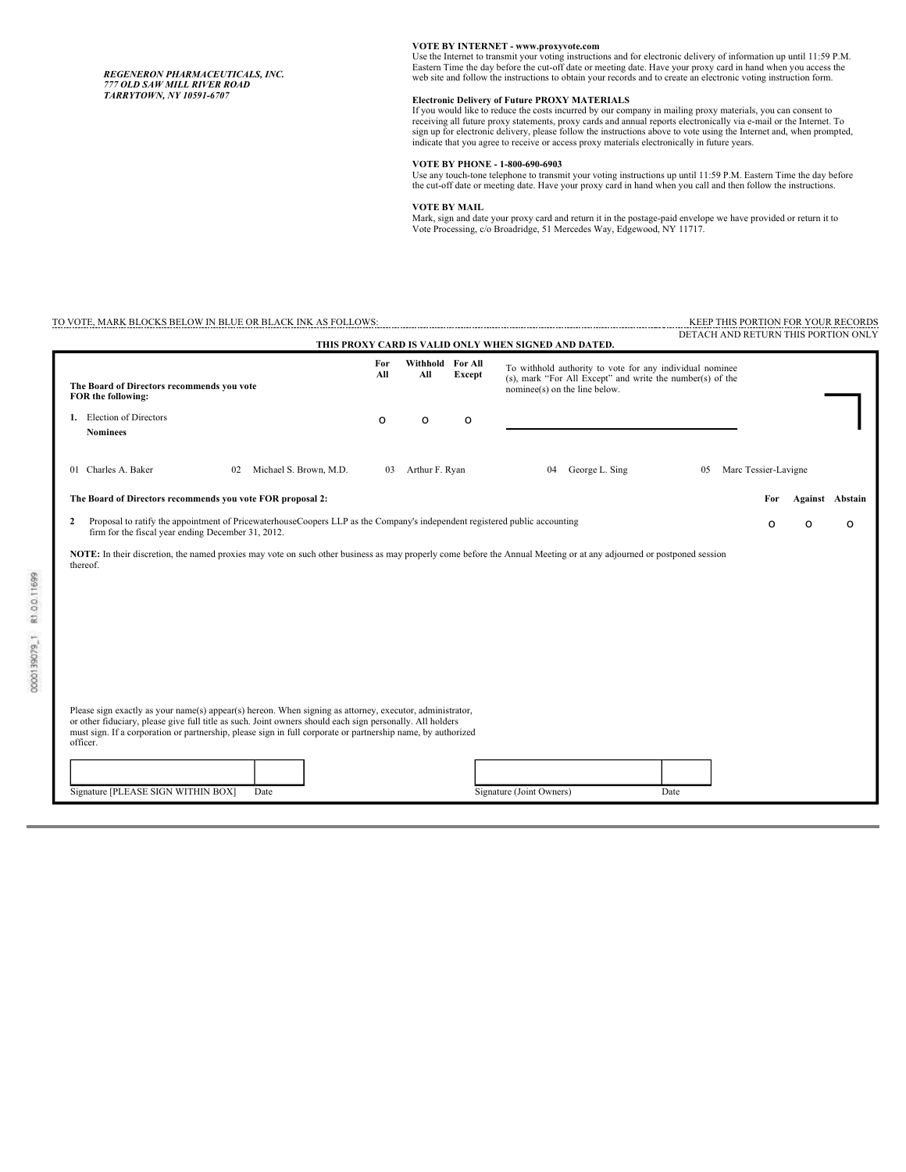REGENERON PHARMACEUTICALS, INC. *REGENERON PHARMACEUTICALS, INC. 777 OLD SAW MILL RIVER ROAD TARRYTOWN, NY 10591-6707*  **VOTE BY INTERNET - www.proxyvote.com** 

Use the Internet to transmit your voting instructions and for electronic delivery of information up until 11:59 P.M.<br>Eastern Time the day before the cut-off date or meeting date. Have your proxy card in hand when you acces

Electronic Delivery of Future PROXY MATERIALS<br>If you would like to reduce the costs incurred by our company in mailing proxy materials, you can consent to<br>receiving all future proxy statements, proxy cards and annual repor sign up for electronic delivery, please follow the instructions above to vote using the Internet and, when prompted, indicate that you agree to receive or access proxy materials electronically in future years.

## **VOTE BY PHONE - 1-800-690-6903**

Use any touch-tone telephone to transmit your voting instructions up until 11:59 P.M. Eastern Time the day before<br>the cut-off date or meeting date. Have your proxy card in hand when you call and then follow the instruction

## **VOTE BY MAIL**

Mark, sign and date your proxy card and return it in the postage-paid envelope we have provided or return it to Vote Processing, c/o Broadridge, 51 Mercedes Way, Edgewood, NY 11717.

#### TO VOTE, MARK BLOCKS BELOW IN BLUE OR BLACK INK AS FOLLOWS: KEEP THIS PORTION FOR YOUR RECORDS

## KEEP THIS PORTION FOR YOUR RECORDS<br>DETACH AND RETURN THIS PORTION ONLY

| THIS PROXY CARD IS VALID ONLY WHEN SIGNED AND DATED. |                                                                                                                                                                                                                                                                                                                                                                                                 |            |                         |        |                                                                                                                                                        |                      |   |                        |  |
|------------------------------------------------------|-------------------------------------------------------------------------------------------------------------------------------------------------------------------------------------------------------------------------------------------------------------------------------------------------------------------------------------------------------------------------------------------------|------------|-------------------------|--------|--------------------------------------------------------------------------------------------------------------------------------------------------------|----------------------|---|------------------------|--|
|                                                      | The Board of Directors recommends you vote<br>FOR the following:                                                                                                                                                                                                                                                                                                                                | For<br>All | Withhold For All<br>All | Except | To withhold authority to vote for any individual nominee<br>(s), mark "For All Except" and write the number(s) of the<br>nominee(s) on the line below. |                      |   |                        |  |
|                                                      | 1. Election of Directors<br><b>Nominees</b>                                                                                                                                                                                                                                                                                                                                                     | 0          | $\Omega$                | o      |                                                                                                                                                        |                      |   |                        |  |
|                                                      | 01 Charles A. Baker<br>Michael S. Brown, M.D.<br>02                                                                                                                                                                                                                                                                                                                                             |            | 03 Arthur F. Ryan       |        | George L. Sing<br>04<br>05                                                                                                                             | Marc Tessier-Lavigne |   |                        |  |
|                                                      | The Board of Directors recommends you vote FOR proposal 2:                                                                                                                                                                                                                                                                                                                                      |            |                         |        |                                                                                                                                                        | For                  |   | <b>Against</b> Abstain |  |
| 2                                                    | Proposal to ratify the appointment of PricewaterhouseCoopers LLP as the Company's independent registered public accounting<br>firm for the fiscal year ending December 31, 2012.                                                                                                                                                                                                                |            |                         |        |                                                                                                                                                        | O                    | o | o                      |  |
|                                                      | NOTE: In their discretion, the named proxies may vote on such other business as may properly come before the Annual Meeting or at any adjourned or postponed session<br>thereof.                                                                                                                                                                                                                |            |                         |        |                                                                                                                                                        |                      |   |                        |  |
|                                                      | Please sign exactly as your name(s) appear(s) hereon. When signing as attorney, executor, administrator,<br>or other fiduciary, please give full title as such. Joint owners should each sign personally. All holders<br>must sign. If a corporation or partnership, please sign in full corporate or partnership name, by authorized<br>officer.<br>Signature [PLEASE SIGN WITHIN BOX]<br>Date |            |                         |        | Signature (Joint Owners)<br>Date                                                                                                                       |                      |   |                        |  |